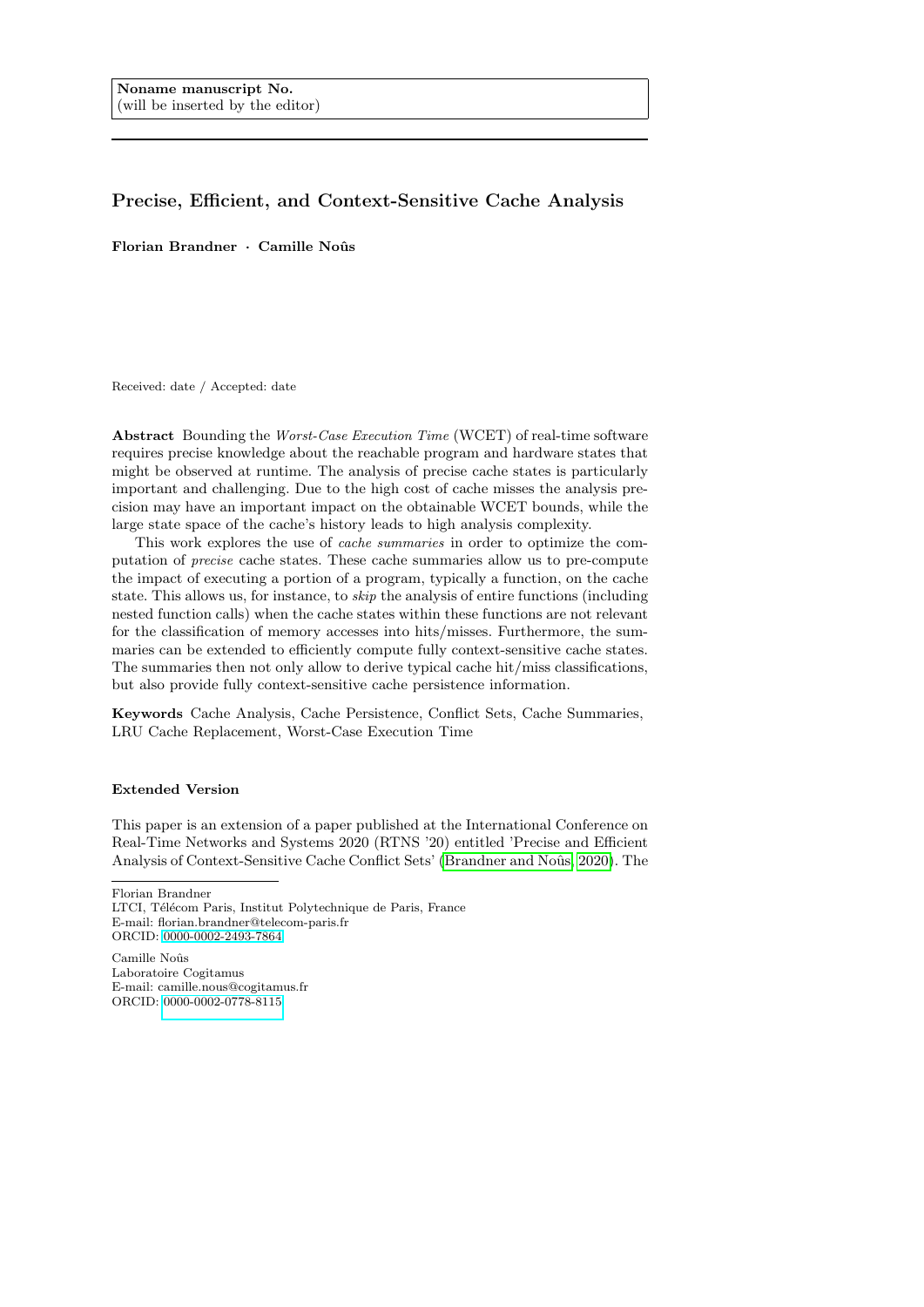# Precise, Efficient, and Context-Sensitive Cache Analysis

Florian Brandner  $\cdot$  Camille Noûs

Received: date / Accepted: date

Abstract Bounding the Worst-Case Execution Time (WCET) of real-time software requires precise knowledge about the reachable program and hardware states that might be observed at runtime. The analysis of precise cache states is particularly important and challenging. Due to the high cost of cache misses the analysis precision may have an important impact on the obtainable WCET bounds, while the large state space of the cache's history leads to high analysis complexity.

This work explores the use of *cache summaries* in order to optimize the computation of precise cache states. These cache summaries allow us to pre-compute the impact of executing a portion of a program, typically a function, on the cache state. This allows us, for instance, to skip the analysis of entire functions (including nested function calls) when the cache states within these functions are not relevant for the classification of memory accesses into hits/misses. Furthermore, the summaries can be extended to efficiently compute fully context-sensitive cache states. The summaries then not only allow to derive typical cache hit/miss classifications, but also provide fully context-sensitive cache persistence information.

Keywords Cache Analysis, Cache Persistence, Conflict Sets, Cache Summaries, LRU Cache Replacement, Worst-Case Execution Time

### Extended Version

This paper is an extension of a paper published at the International Conference on Real-Time Networks and Systems 2020 (RTNS '20) entitled 'Precise and Efficient Analysis of Context-Sensitive Cache Conflict Sets' (Brandner and Noûs, 2020). The

Florian Brandner

Camille Noûs Laboratoire Cogitamus E-mail: camille.nous@cogitamus.fr ORCID: [0000-0002-0778-8115](https://orcid.org/0000-0002-0778-8115)

LTCI, Télécom Paris, Institut Polytechnique de Paris, France E-mail: florian.brandner@telecom-paris.fr ORCID: [0000-0002-2493-7864](https://orcid.org/0000-0002-2493-7864)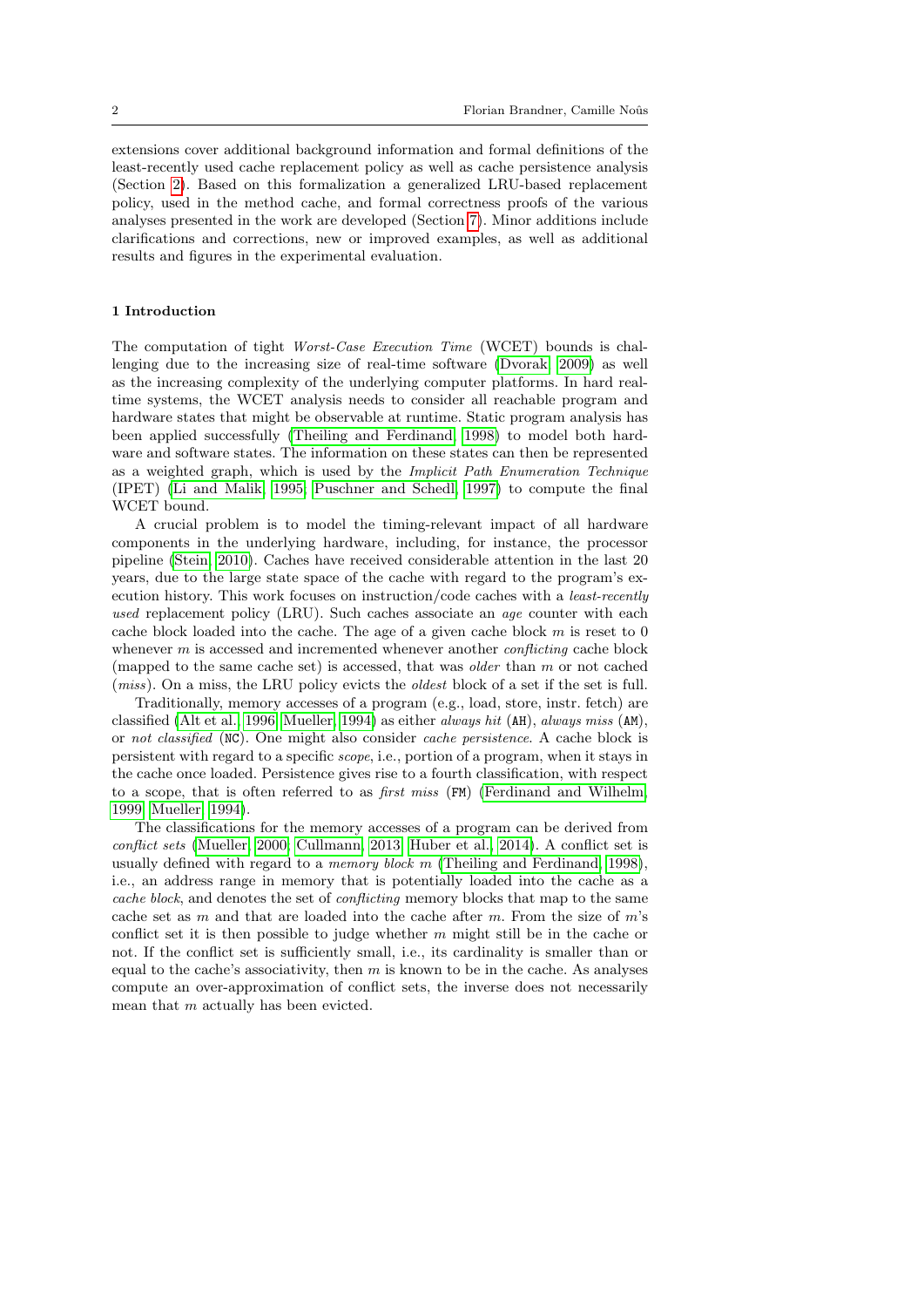extensions cover additional background information and formal definitions of the least-recently used cache replacement policy as well as cache persistence analysis (Section [2\)](#page-3-0). Based on this formalization a generalized LRU-based replacement policy, used in the method cache, and formal correctness proofs of the various analyses presented in the work are developed (Section [7\)](#page-19-0). Minor additions include clarifications and corrections, new or improved examples, as well as additional results and figures in the experimental evaluation.

#### 1 Introduction

The computation of tight Worst-Case Execution Time (WCET) bounds is challenging due to the increasing size of real-time software [\(Dvorak, 2009\)](#page-43-1) as well as the increasing complexity of the underlying computer platforms. In hard realtime systems, the WCET analysis needs to consider all reachable program and hardware states that might be observable at runtime. Static program analysis has been applied successfully [\(Theiling and Ferdinand, 1998\)](#page-45-0) to model both hardware and software states. The information on these states can then be represented as a weighted graph, which is used by the Implicit Path Enumeration Technique (IPET) [\(Li and Malik, 1995;](#page-44-0) [Puschner and Schedl, 1997\)](#page-45-1) to compute the final WCET bound.

A crucial problem is to model the timing-relevant impact of all hardware components in the underlying hardware, including, for instance, the processor pipeline [\(Stein, 2010\)](#page-45-2). Caches have received considerable attention in the last 20 years, due to the large state space of the cache with regard to the program's execution history. This work focuses on instruction/code caches with a least-recently used replacement policy (LRU). Such caches associate an *age* counter with each cache block loaded into the cache. The age of a given cache block  $m$  is reset to 0 whenever  $m$  is accessed and incremented whenever another *conflicting* cache block (mapped to the same cache set) is accessed, that was older than m or not cached (miss). On a miss, the LRU policy evicts the oldest block of a set if the set is full.

Traditionally, memory accesses of a program (e.g., load, store, instr. fetch) are classified [\(Alt et al., 1996;](#page-43-2) [Mueller, 1994\)](#page-44-1) as either always hit (AH), always miss (AM), or not classified (NC). One might also consider cache persistence. A cache block is persistent with regard to a specific scope, i.e., portion of a program, when it stays in the cache once loaded. Persistence gives rise to a fourth classification, with respect to a scope, that is often referred to as first miss (FM) [\(Ferdinand and Wilhelm,](#page-44-2) [1999;](#page-44-2) [Mueller, 1994\)](#page-44-1).

The classifications for the memory accesses of a program can be derived from conflict sets [\(Mueller, 2000;](#page-44-3) [Cullmann, 2013;](#page-43-3) [Huber et al., 2014\)](#page-44-4). A conflict set is usually defined with regard to a *memory block m* [\(Theiling and Ferdinand, 1998\)](#page-45-0), i.e., an address range in memory that is potentially loaded into the cache as a cache block, and denotes the set of conflicting memory blocks that map to the same cache set as  $m$  and that are loaded into the cache after  $m$ . From the size of  $m$ 's conflict set it is then possible to judge whether  $m$  might still be in the cache or not. If the conflict set is sufficiently small, i.e., its cardinality is smaller than or equal to the cache's associativity, then  $m$  is known to be in the cache. As analyses compute an over-approximation of conflict sets, the inverse does not necessarily mean that m actually has been evicted.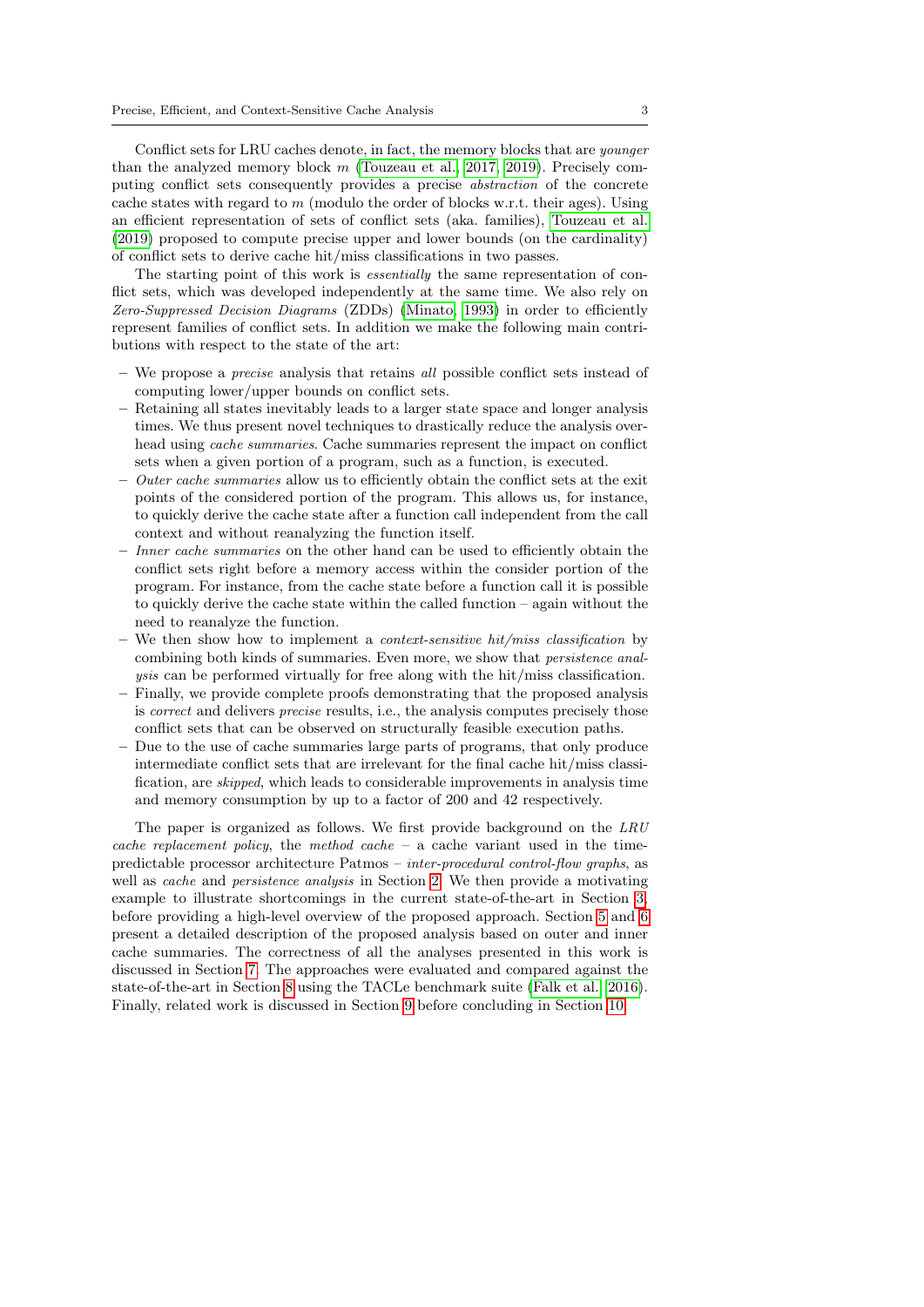Conflict sets for LRU caches denote, in fact, the memory blocks that are *younger* than the analyzed memory block  $m$  [\(Touzeau et al., 2017,](#page-45-3) [2019\)](#page-45-4). Precisely computing conflict sets consequently provides a precise abstraction of the concrete cache states with regard to  $m$  (modulo the order of blocks w.r.t. their ages). Using an efficient representation of sets of conflict sets (aka. families), [Touzeau et al.](#page-45-4) [\(2019\)](#page-45-4) proposed to compute precise upper and lower bounds (on the cardinality) of conflict sets to derive cache hit/miss classifications in two passes.

The starting point of this work is *essentially* the same representation of conflict sets, which was developed independently at the same time. We also rely on Zero-Suppressed Decision Diagrams (ZDDs) [\(Minato, 1993\)](#page-44-5) in order to efficiently represent families of conflict sets. In addition we make the following main contributions with respect to the state of the art:

- We propose a precise analysis that retains all possible conflict sets instead of computing lower/upper bounds on conflict sets.
- Retaining all states inevitably leads to a larger state space and longer analysis times. We thus present novel techniques to drastically reduce the analysis overhead using *cache summaries*. Cache summaries represent the impact on conflict sets when a given portion of a program, such as a function, is executed.
- $-$  *Outer cache summaries* allow us to efficiently obtain the conflict sets at the exit points of the considered portion of the program. This allows us, for instance, to quickly derive the cache state after a function call independent from the call context and without reanalyzing the function itself.
- Inner cache summaries on the other hand can be used to efficiently obtain the conflict sets right before a memory access within the consider portion of the program. For instance, from the cache state before a function call it is possible to quickly derive the cache state within the called function – again without the need to reanalyze the function.
- We then show how to implement a *context-sensitive hit/miss classification* by combining both kinds of summaries. Even more, we show that persistence analysis can be performed virtually for free along with the hit/miss classification.
- Finally, we provide complete proofs demonstrating that the proposed analysis is correct and delivers precise results, i.e., the analysis computes precisely those conflict sets that can be observed on structurally feasible execution paths.
- Due to the use of cache summaries large parts of programs, that only produce intermediate conflict sets that are irrelevant for the final cache hit/miss classification, are skipped, which leads to considerable improvements in analysis time and memory consumption by up to a factor of 200 and 42 respectively.

The paper is organized as follows. We first provide background on the LRU cache replacement policy, the method cache – a cache variant used in the timepredictable processor architecture Patmos – inter-procedural control-flow graphs, as well as *cache* and *persistence analysis* in Section [2.](#page-3-0) We then provide a motivating example to illustrate shortcomings in the current state-of-the-art in Section [3,](#page-8-0) before providing a high-level overview of the proposed approach. Section [5](#page-11-0) and [6](#page-15-0) present a detailed description of the proposed analysis based on outer and inner cache summaries. The correctness of all the analyses presented in this work is discussed in Section [7.](#page-19-0) The approaches were evaluated and compared against the state-of-the-art in Section [8](#page-30-0) using the TACLe benchmark suite [\(Falk et al., 2016\)](#page-43-4). Finally, related work is discussed in Section [9](#page-40-0) before concluding in Section [10.](#page-42-0)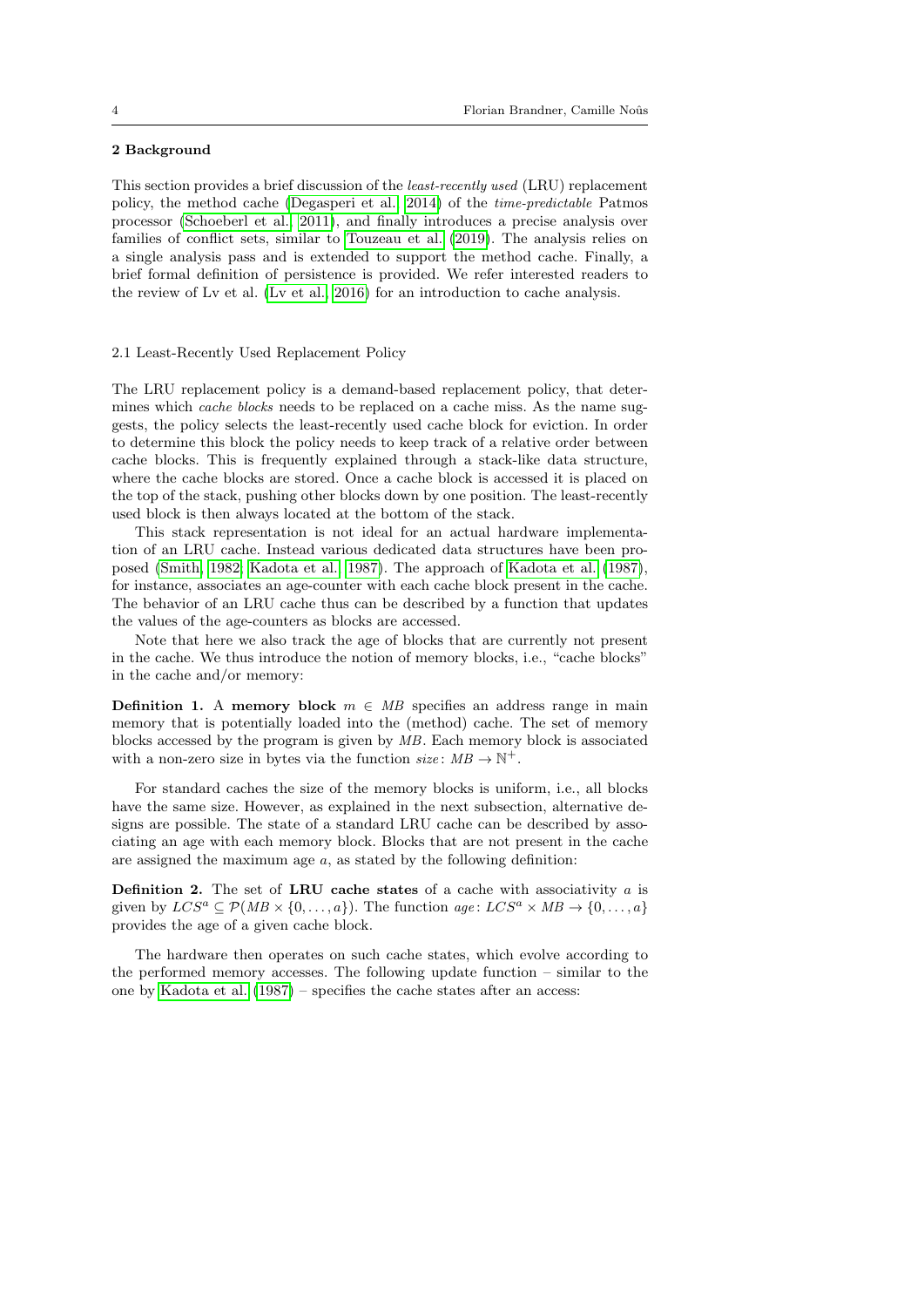## <span id="page-3-0"></span>2 Background

This section provides a brief discussion of the least-recently used (LRU) replacement policy, the method cache [\(Degasperi et al., 2014\)](#page-43-5) of the time-predictable Patmos processor [\(Schoeberl et al., 2011\)](#page-45-5), and finally introduces a precise analysis over families of conflict sets, similar to [Touzeau et al.](#page-45-4) [\(2019\)](#page-45-4). The analysis relies on a single analysis pass and is extended to support the method cache. Finally, a brief formal definition of persistence is provided. We refer interested readers to the review of Lv et al. [\(Lv et al., 2016\)](#page-44-6) for an introduction to cache analysis.

### 2.1 Least-Recently Used Replacement Policy

The LRU replacement policy is a demand-based replacement policy, that determines which *cache blocks* needs to be replaced on a cache miss. As the name suggests, the policy selects the least-recently used cache block for eviction. In order to determine this block the policy needs to keep track of a relative order between cache blocks. This is frequently explained through a stack-like data structure, where the cache blocks are stored. Once a cache block is accessed it is placed on the top of the stack, pushing other blocks down by one position. The least-recently used block is then always located at the bottom of the stack.

This stack representation is not ideal for an actual hardware implementation of an LRU cache. Instead various dedicated data structures have been proposed [\(Smith, 1982;](#page-45-6) [Kadota et al., 1987\)](#page-44-7). The approach of [Kadota et al.](#page-44-7) [\(1987\)](#page-44-7), for instance, associates an age-counter with each cache block present in the cache. The behavior of an LRU cache thus can be described by a function that updates the values of the age-counters as blocks are accessed.

Note that here we also track the age of blocks that are currently not present in the cache. We thus introduce the notion of memory blocks, i.e., "cache blocks" in the cache and/or memory:

<span id="page-3-1"></span>**Definition 1.** A memory block  $m \in MB$  specifies an address range in main memory that is potentially loaded into the (method) cache. The set of memory blocks accessed by the program is given by MB. Each memory block is associated with a non-zero size in bytes via the function  $size: MB \rightarrow \mathbb{N}^+$ .

For standard caches the size of the memory blocks is uniform, i.e., all blocks have the same size. However, as explained in the next subsection, alternative designs are possible. The state of a standard LRU cache can be described by associating an age with each memory block. Blocks that are not present in the cache are assigned the maximum age  $a$ , as stated by the following definition:

<span id="page-3-2"></span>**Definition 2.** The set of LRU cache states of a cache with associativity  $a$  is given by  $LCS^a \subseteq \mathcal{P}(MB \times \{0,\ldots,a\})$ . The function  $age: LCS^a \times MB \rightarrow \{0,\ldots,a\}$ provides the age of a given cache block.

The hardware then operates on such cache states, which evolve according to the performed memory accesses. The following update function – similar to the one by [Kadota et al.](#page-44-7) [\(1987\)](#page-44-7) – specifies the cache states after an access: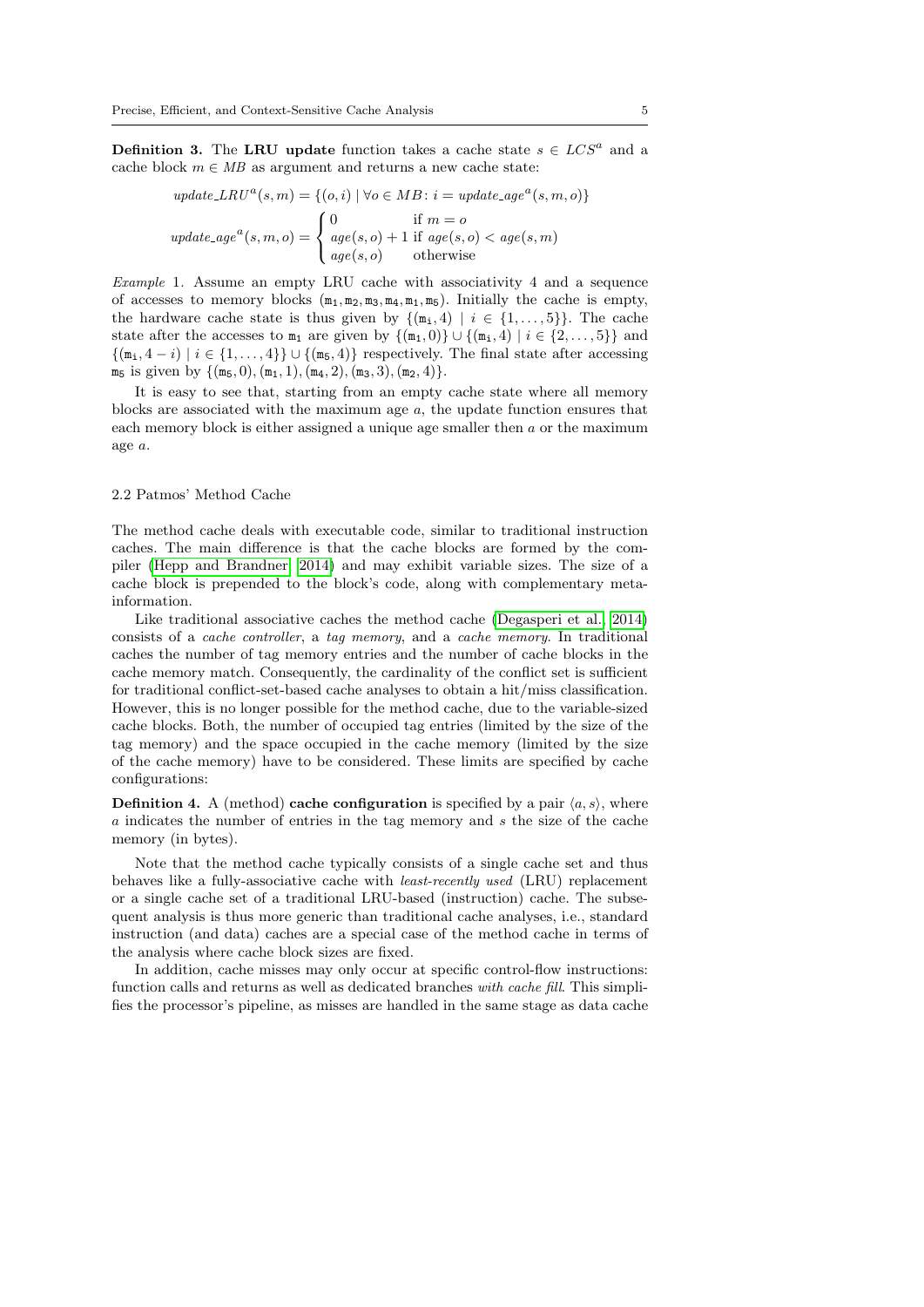<span id="page-4-1"></span>**Definition 3.** The LRU update function takes a cache state  $s \in LCS^a$  and a cache block  $m \in MB$  as argument and returns a new cache state:

$$
update\_LRU^a(s, m) = \{(o, i) \mid \forall o \in MB : i = update\_age^a(s, m, o)\}
$$

$$
update\_age^a(s, m, o) = \begin{cases} 0 & \text{if } m = o \\ age(s, o) + 1 & \text{if } age(s, o) < age(s, m) \\ age(s, o) & \text{otherwise} \end{cases}
$$

Example 1. Assume an empty LRU cache with associativity 4 and a sequence of accesses to memory blocks  $(m_1, m_2, m_3, m_4, m_1, m_5)$ . Initially the cache is empty, the hardware cache state is thus given by  $\{(\mathbf{m}_i, 4) \mid i \in \{1, \ldots, 5\}\}.$  The cache state after the accesses to  $m_1$  are given by  $\{(m_1, 0)\} \cup \{(m_1, 4) | i \in \{2, ..., 5\}\}\$ and  $\{(\mathfrak{m}_i, 4 - i) \mid i \in \{1, ..., 4\}\} \cup \{(\mathfrak{m}_5, 4)\}$  respectively. The final state after accessing  $m_5$  is given by  $\{(m_5, 0), (m_1, 1), (m_4, 2), (m_3, 3), (m_2, 4)\}.$ 

It is easy to see that, starting from an empty cache state where all memory blocks are associated with the maximum age  $a$ , the update function ensures that each memory block is either assigned a unique age smaller then a or the maximum age a.

#### <span id="page-4-2"></span>2.2 Patmos' Method Cache

The method cache deals with executable code, similar to traditional instruction caches. The main difference is that the cache blocks are formed by the compiler [\(Hepp and Brandner, 2014\)](#page-44-8) and may exhibit variable sizes. The size of a cache block is prepended to the block's code, along with complementary metainformation.

Like traditional associative caches the method cache [\(Degasperi et al., 2014\)](#page-43-5) consists of a cache controller, a tag memory, and a cache memory. In traditional caches the number of tag memory entries and the number of cache blocks in the cache memory match. Consequently, the cardinality of the conflict set is sufficient for traditional conflict-set-based cache analyses to obtain a hit/miss classification. However, this is no longer possible for the method cache, due to the variable-sized cache blocks. Both, the number of occupied tag entries (limited by the size of the tag memory) and the space occupied in the cache memory (limited by the size of the cache memory) have to be considered. These limits are specified by cache configurations:

<span id="page-4-0"></span>**Definition 4.** A (method) cache configuration is specified by a pair  $\langle a, s \rangle$ , where a indicates the number of entries in the tag memory and s the size of the cache memory (in bytes).

Note that the method cache typically consists of a single cache set and thus behaves like a fully-associative cache with least-recently used (LRU) replacement or a single cache set of a traditional LRU-based (instruction) cache. The subsequent analysis is thus more generic than traditional cache analyses, i.e., standard instruction (and data) caches are a special case of the method cache in terms of the analysis where cache block sizes are fixed.

In addition, cache misses may only occur at specific control-flow instructions: function calls and returns as well as dedicated branches with cache fill. This simplifies the processor's pipeline, as misses are handled in the same stage as data cache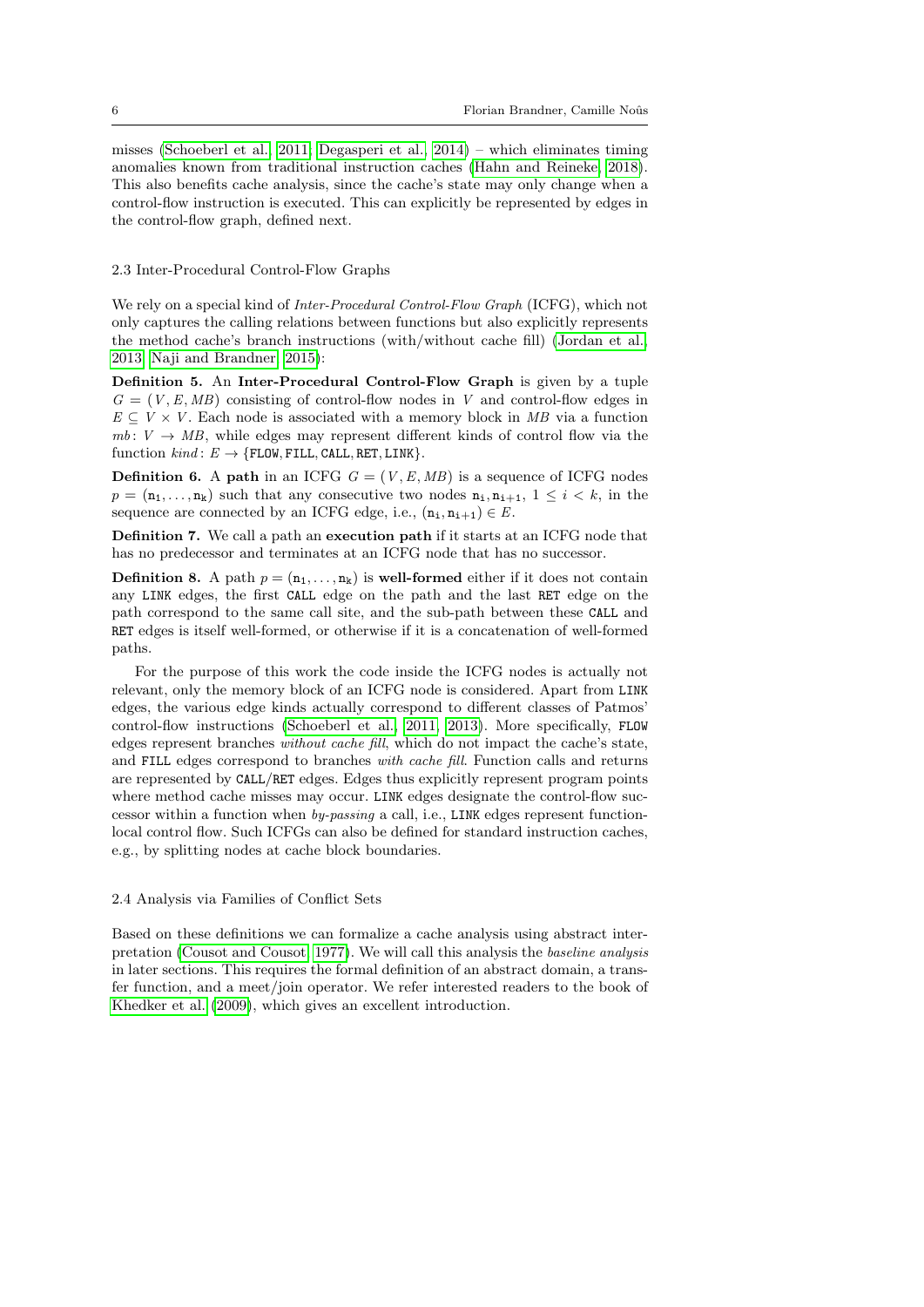misses [\(Schoeberl et al., 2011;](#page-45-5) [Degasperi et al., 2014\)](#page-43-5) – which eliminates timing anomalies known from traditional instruction caches [\(Hahn and Reineke, 2018\)](#page-44-9). This also benefits cache analysis, since the cache's state may only change when a control-flow instruction is executed. This can explicitly be represented by edges in the control-flow graph, defined next.

### 2.3 Inter-Procedural Control-Flow Graphs

We rely on a special kind of *Inter-Procedural Control-Flow Graph* (ICFG), which not only captures the calling relations between functions but also explicitly represents the method cache's branch instructions (with/without cache fill) [\(Jordan et al.,](#page-44-10) [2013;](#page-44-10) [Naji and Brandner, 2015\)](#page-44-11):

<span id="page-5-0"></span>Definition 5. An Inter-Procedural Control-Flow Graph is given by a tuple  $G = (V, E, MB)$  consisting of control-flow nodes in V and control-flow edges in  $E \subseteq V \times V$ . Each node is associated with a memory block in MB via a function  $mb: V \rightarrow MB$ , while edges may represent different kinds of control flow via the function  $kind: E \rightarrow \{FLOW, FILL, CALL, RET, LINK\}.$ 

**Definition 6.** A path in an ICFG  $G = (V, E, MB)$  is a sequence of ICFG nodes  $p = (\mathbf{n}_1, \dots, \mathbf{n}_k)$  such that any consecutive two nodes  $\mathbf{n}_1, \mathbf{n}_{i+1}, 1 \leq i \leq k$ , in the sequence are connected by an ICFG edge, i.e.,  $(n_i, n_{i+1}) \in E$ .

Definition 7. We call a path an execution path if it starts at an ICFG node that has no predecessor and terminates at an ICFG node that has no successor.

<span id="page-5-1"></span>**Definition 8.** A path  $p = (\mathbf{n}_1, \dots, \mathbf{n}_k)$  is well-formed either if it does not contain any LINK edges, the first CALL edge on the path and the last RET edge on the path correspond to the same call site, and the sub-path between these CALL and RET edges is itself well-formed, or otherwise if it is a concatenation of well-formed paths.

For the purpose of this work the code inside the ICFG nodes is actually not relevant, only the memory block of an ICFG node is considered. Apart from LINK edges, the various edge kinds actually correspond to different classes of Patmos' control-flow instructions [\(Schoeberl et al., 2011,](#page-45-5) [2013\)](#page-45-7). More specifically, FLOW edges represent branches without cache fill, which do not impact the cache's state, and FILL edges correspond to branches with cache fill. Function calls and returns are represented by CALL/RET edges. Edges thus explicitly represent program points where method cache misses may occur. LINK edges designate the control-flow successor within a function when by-passing a call, i.e., LINK edges represent functionlocal control flow. Such ICFGs can also be defined for standard instruction caches, e.g., by splitting nodes at cache block boundaries.

#### 2.4 Analysis via Families of Conflict Sets

Based on these definitions we can formalize a cache analysis using abstract interpretation [\(Cousot and Cousot, 1977\)](#page-43-6). We will call this analysis the baseline analysis in later sections. This requires the formal definition of an abstract domain, a transfer function, and a meet/join operator. We refer interested readers to the book of [Khedker et al.](#page-44-12) [\(2009\)](#page-44-12), which gives an excellent introduction.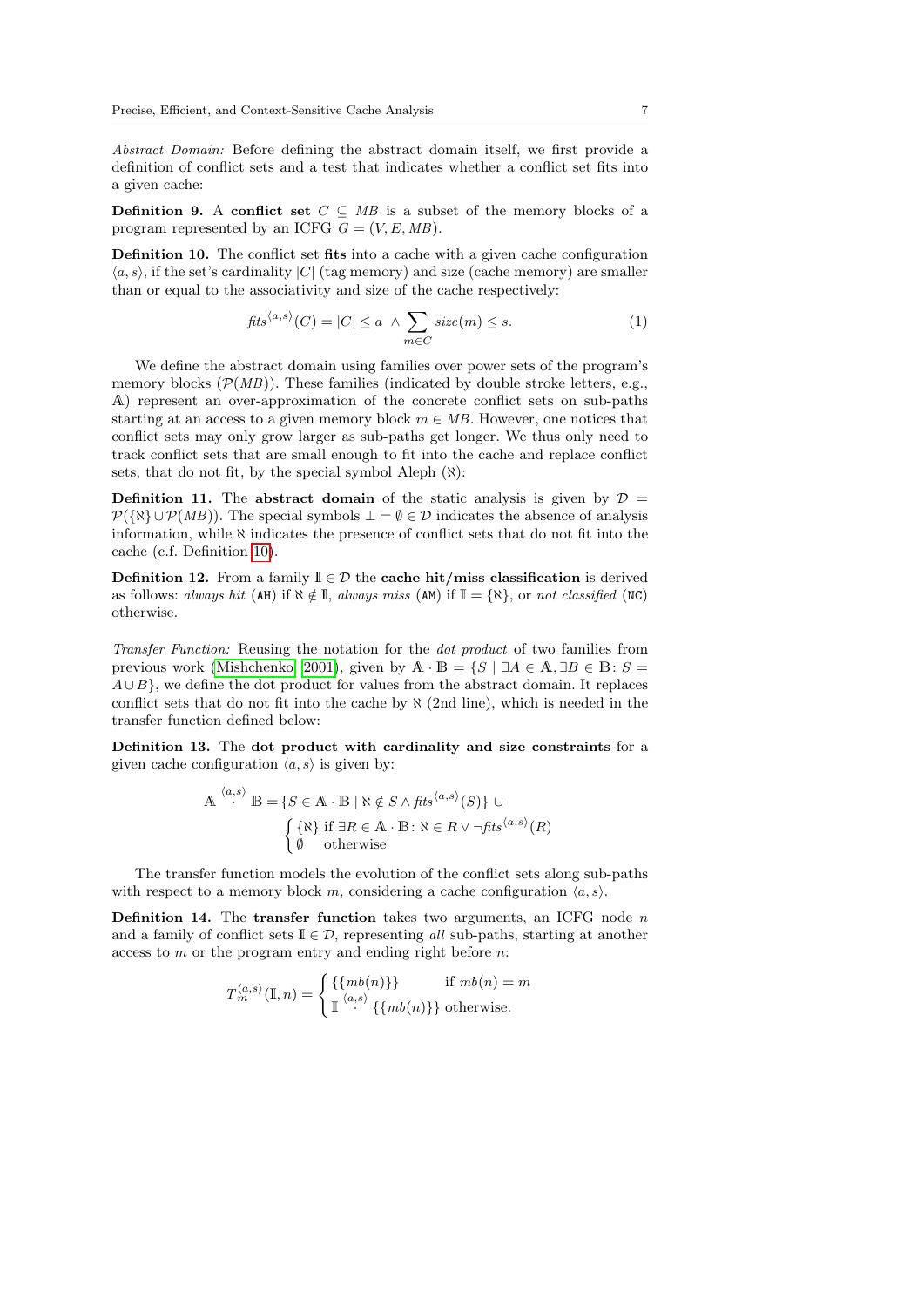Abstract Domain: Before defining the abstract domain itself, we first provide a definition of conflict sets and a test that indicates whether a conflict set fits into a given cache:

**Definition 9.** A conflict set  $C \subseteq MB$  is a subset of the memory blocks of a program represented by an ICFG  $G = (V, E, MB)$ .

<span id="page-6-0"></span>Definition 10. The conflict set fits into a cache with a given cache configuration  $\langle a, s \rangle$ , if the set's cardinality |C| (tag memory) and size (cache memory) are smaller than or equal to the associativity and size of the cache respectively:

$$
fits^{\langle a,s\rangle}(C) = |C| \le a \ \land \sum_{m \in C} size(m) \le s. \tag{1}
$$

We define the abstract domain using families over power sets of the program's memory blocks  $(\mathcal{P}(MB))$ . These families (indicated by double stroke letters, e.g., A) represent an over-approximation of the concrete conflict sets on sub-paths starting at an access to a given memory block  $m \in MB$ . However, one notices that conflict sets may only grow larger as sub-paths get longer. We thus only need to track conflict sets that are small enough to fit into the cache and replace conflict sets, that do not fit, by the special symbol Aleph  $(\aleph)$ :

<span id="page-6-2"></span>**Definition 11.** The abstract domain of the static analysis is given by  $D =$  $\mathcal{P}(\{\aleph\} \cup \mathcal{P}(MB))$ . The special symbols  $\bot = \emptyset \in \mathcal{D}$  indicates the absence of analysis information, while  $\aleph$  indicates the presence of conflict sets that do not fit into the cache (c.f. Definition [10\)](#page-6-0).

<span id="page-6-1"></span>**Definition 12.** From a family  $\mathbb{I} \in \mathcal{D}$  the **cache hit/miss classification** is derived as follows: always hit (AH) if  $\aleph \notin \mathbb{I}$ , always miss (AM) if  $\mathbb{I} = {\aleph}$ , or not classified (NC) otherwise.

Transfer Function: Reusing the notation for the dot product of two families from previous work [\(Mishchenko, 2001\)](#page-44-13), given by  $\mathbb{A} \cdot \mathbb{B} = \{S \mid \exists A \in \mathbb{A}, \exists B \in \mathbb{B} : S =$  $A \cup B$ , we define the dot product for values from the abstract domain. It replaces conflict sets that do not fit into the cache by  $\aleph$  (2nd line), which is needed in the transfer function defined below:

<span id="page-6-3"></span>Definition 13. The dot product with cardinality and size constraints for a given cache configuration  $\langle a, s \rangle$  is given by:

$$
\mathbf{A}^{\langle a,s\rangle} \mathbf{B} = \{ S \in \mathbf{A} \cdot \mathbf{B} \mid \aleph \notin S \land \mathit{fits}^{\langle a,s\rangle}(S) \} \cup \{\{\aleph\} \text{ if } \exists R \in \mathbf{A} \cdot \mathbf{B} \colon \aleph \in R \lor \neg \mathit{fits}^{\langle a,s\rangle}(R) \}
$$
\n
$$
\emptyset \quad \text{otherwise}
$$

The transfer function models the evolution of the conflict sets along sub-paths with respect to a memory block m, considering a cache configuration  $\langle a, s \rangle$ .

<span id="page-6-4"></span>**Definition 14.** The transfer function takes two arguments, an ICFG node  $n$ and a family of conflict sets  $\mathbb{I} \in \mathcal{D}$ , representing all sub-paths, starting at another access to m or the program entry and ending right before n:

$$
T_m^{\langle a,s\rangle}(\mathbb{I},n) = \begin{cases} \{\{mb(n)\}\} & \text{if } mb(n) = m \\ \mathbb{I}^{\langle a,s\rangle} \{\{mb(n)\}\} & \text{otherwise.} \end{cases}
$$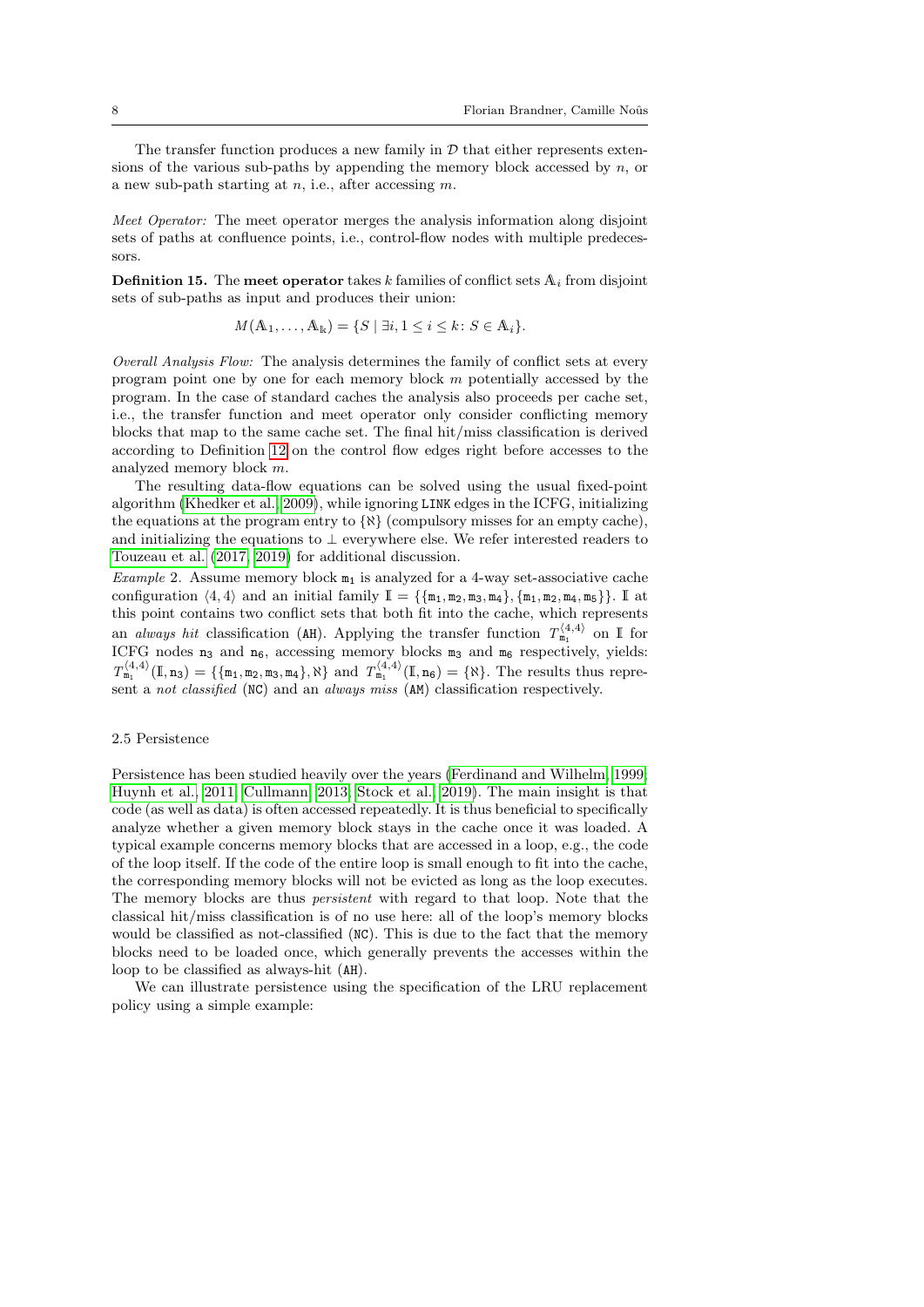The transfer function produces a new family in  $\mathcal D$  that either represents extensions of the various sub-paths by appending the memory block accessed by  $n$ , or a new sub-path starting at  $n$ , i.e., after accessing  $m$ .

Meet Operator: The meet operator merges the analysis information along disjoint sets of paths at confluence points, i.e., control-flow nodes with multiple predecessors.

<span id="page-7-0"></span>**Definition 15.** The meet operator takes  $k$  families of conflict sets  $A_i$  from disjoint sets of sub-paths as input and produces their union:

$$
M(\mathbb{A}_1,\ldots,\mathbb{A}_k)=\{S \mid \exists i, 1 \leq i \leq k \colon S \in \mathbb{A}_i\}.
$$

Overall Analysis Flow: The analysis determines the family of conflict sets at every program point one by one for each memory block  $m$  potentially accessed by the program. In the case of standard caches the analysis also proceeds per cache set, i.e., the transfer function and meet operator only consider conflicting memory blocks that map to the same cache set. The final hit/miss classification is derived according to Definition [12](#page-6-1) on the control flow edges right before accesses to the analyzed memory block m.

The resulting data-flow equations can be solved using the usual fixed-point algorithm [\(Khedker et al., 2009\)](#page-44-12), while ignoring LINK edges in the ICFG, initializing the equations at the program entry to  $\{R\}$  (compulsory misses for an empty cache), and initializing the equations to  $\perp$  everywhere else. We refer interested readers to [Touzeau et al.](#page-45-3) [\(2017,](#page-45-3) [2019\)](#page-45-4) for additional discussion.

Example 2. Assume memory block  $m_1$  is analyzed for a 4-way set-associative cache configuration  $\langle 4, 4 \rangle$  and an initial family  $\mathbb{I} = {\{\mathfrak{m}_1, \mathfrak{m}_2, \mathfrak{m}_3, \mathfrak{m}_4\}, \{\mathfrak{m}_1, \mathfrak{m}_2, \mathfrak{m}_4, \mathfrak{m}_5\}}$ . If at this point contains two conflict sets that both fit into the cache, which represents an *always hit* classification (AH). Applying the transfer function  $T_{m_1}^{\langle 4,4\rangle}$  on I for ICFG nodes  $n_3$  and  $n_6$ , accessing memory blocks  $m_3$  and  $m_6$  respectively, yields:  $T_{m_1}^{\langle 4,4 \rangle}(\mathbb{I}, n_3) = \{\{\mathfrak{m}_1, \mathfrak{m}_2, \mathfrak{m}_3, \mathfrak{m}_4\}, \aleph\}$  and  $T_{m_1}^{\langle 4,4 \rangle}(\mathbb{I}, n_6) = \{\aleph\}$ . The results thus represent a *not classified* (NC) and an *always miss* (AM) classification respectively.

#### 2.5 Persistence

Persistence has been studied heavily over the years [\(Ferdinand and Wilhelm, 1999;](#page-44-2) [Huynh et al., 2011;](#page-44-14) [Cullmann, 2013;](#page-43-3) [Stock et al., 2019\)](#page-45-8). The main insight is that code (as well as data) is often accessed repeatedly. It is thus beneficial to specifically analyze whether a given memory block stays in the cache once it was loaded. A typical example concerns memory blocks that are accessed in a loop, e.g., the code of the loop itself. If the code of the entire loop is small enough to fit into the cache, the corresponding memory blocks will not be evicted as long as the loop executes. The memory blocks are thus persistent with regard to that loop. Note that the classical hit/miss classification is of no use here: all of the loop's memory blocks would be classified as not-classified (NC). This is due to the fact that the memory blocks need to be loaded once, which generally prevents the accesses within the loop to be classified as always-hit (AH).

We can illustrate persistence using the specification of the LRU replacement policy using a simple example: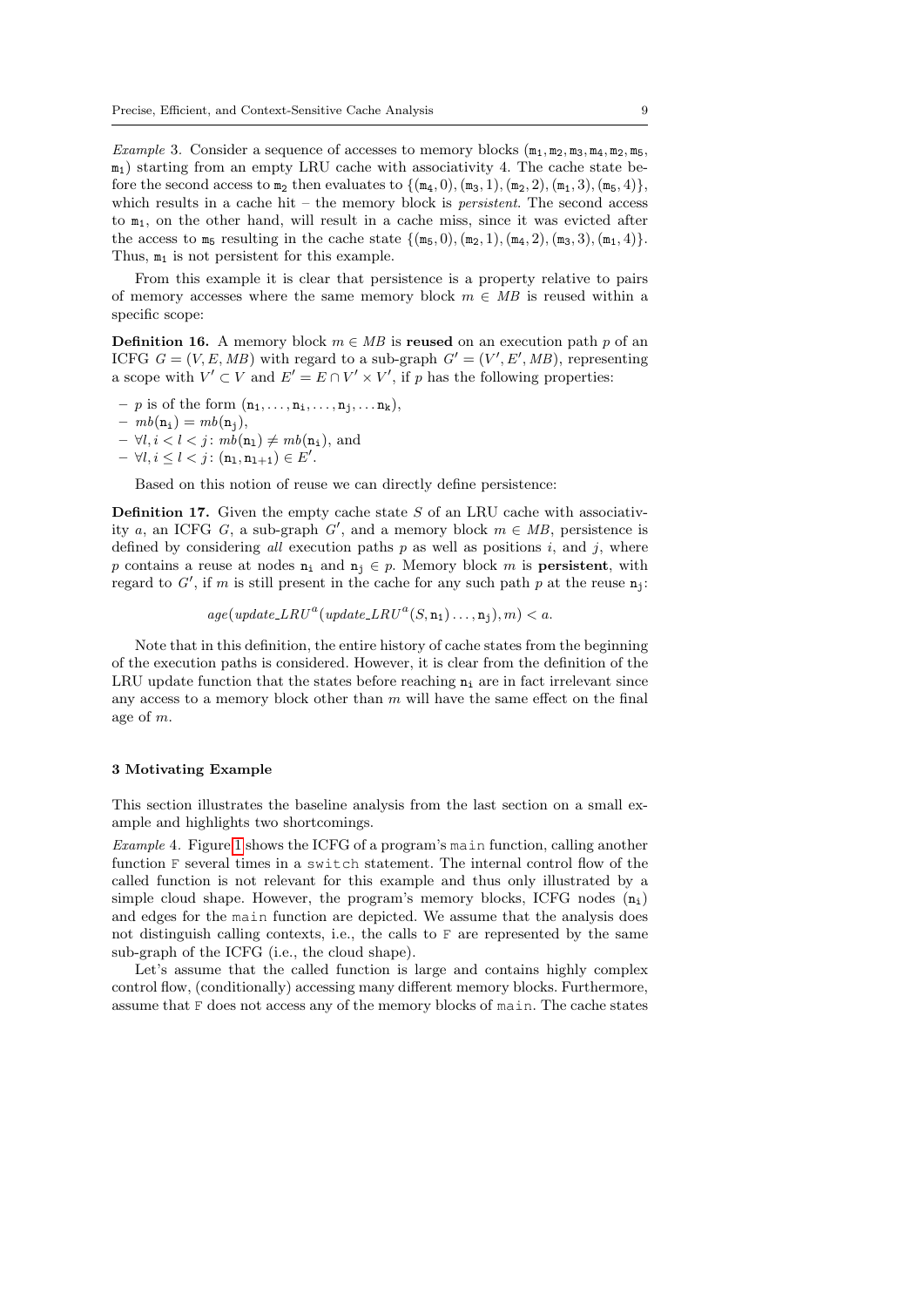Example 3. Consider a sequence of accesses to memory blocks  $(\mathfrak{m}_1, \mathfrak{m}_2, \mathfrak{m}_3, \mathfrak{m}_4, \mathfrak{m}_2, \mathfrak{m}_5,$  $m_1$ ) starting from an empty LRU cache with associativity 4. The cache state before the second access to  $m_2$  then evaluates to  $\{(m_4, 0), (m_3, 1), (m_2, 2), (m_1, 3), (m_5, 4)\},$ which results in a cache hit – the memory block is *persistent*. The second access to  $m_1$ , on the other hand, will result in a cache miss, since it was evicted after the access to  $m_5$  resulting in the cache state  $\{(m_5, 0), (m_2, 1), (m_4, 2), (m_3, 3), (m_1, 4)\}.$ Thus,  $m_1$  is not persistent for this example.

From this example it is clear that persistence is a property relative to pairs of memory accesses where the same memory block  $m \in MB$  is reused within a specific scope:

<span id="page-8-3"></span>**Definition 16.** A memory block  $m \in MB$  is reused on an execution path p of an ICFG  $G = (V, E, MB)$  with regard to a sub-graph  $G' = (V', E', MB)$ , representing a scope with  $V' \subset V$  and  $E' = E \cap V' \times V'$ , if p has the following properties:

- $-p$  is of the form  $(n_1, \ldots, n_i, \ldots, n_j, \ldots, n_k)$ ,
- $mb(n_i) = mb(n_i),$
- $\forall l, i < l < j : mb(n_1) \neq mb(n_i),$  and
- $\forall l, i \leq l < j : (\mathtt{n}_1, \mathtt{n}_{1+1}) \in E'.$

Based on this notion of reuse we can directly define persistence:

<span id="page-8-2"></span>**Definition 17.** Given the empty cache state  $S$  of an LRU cache with associativity a, an ICFG G, a sub-graph  $G'$ , and a memory block  $m \in MB$ , persistence is defined by considering all execution paths  $p$  as well as positions  $i$ , and  $j$ , where p contains a reuse at nodes  $n_i$  and  $n_j \in p$ . Memory block m is **persistent**, with regard to  $G'$ , if m is still present in the cache for any such path p at the reuse  $\mathbf{n}_j$ :

 $age(update\_LRU^a(update\_LRU^a(S, n_1) \dots, n_j), m) < a.$ 

Note that in this definition, the entire history of cache states from the beginning of the execution paths is considered. However, it is clear from the definition of the LRU update function that the states before reaching  $n_i$  are in fact irrelevant since any access to a memory block other than  $m$  will have the same effect on the final age of m.

### <span id="page-8-0"></span>3 Motivating Example

This section illustrates the baseline analysis from the last section on a small example and highlights two shortcomings.

<span id="page-8-1"></span>Example 4. Figure [1](#page-9-0) shows the ICFG of a program's main function, calling another function F several times in a switch statement. The internal control flow of the called function is not relevant for this example and thus only illustrated by a simple cloud shape. However, the program's memory blocks, ICFG nodes  $(n_i)$ and edges for the main function are depicted. We assume that the analysis does not distinguish calling contexts, i.e., the calls to F are represented by the same sub-graph of the ICFG (i.e., the cloud shape).

Let's assume that the called function is large and contains highly complex control flow, (conditionally) accessing many different memory blocks. Furthermore, assume that F does not access any of the memory blocks of main. The cache states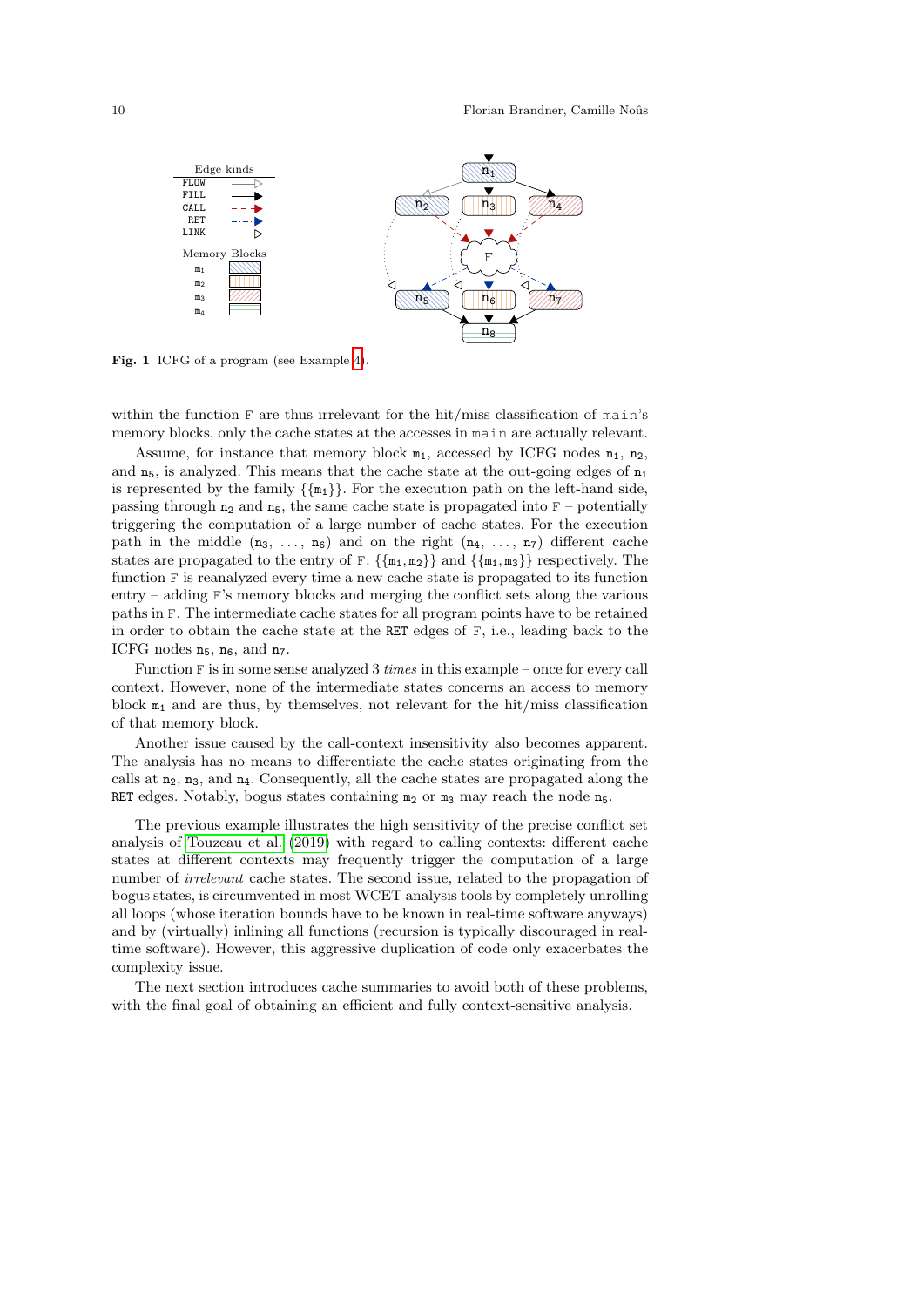

<span id="page-9-0"></span>Fig. 1 ICFG of a program (see Example [4\)](#page-8-1).

within the function F are thus irrelevant for the hit/miss classification of main's memory blocks, only the cache states at the accesses in main are actually relevant.

Assume, for instance that memory block  $m_1$ , accessed by ICFG nodes  $n_1$ ,  $n_2$ , and  $n_5$ , is analyzed. This means that the cache state at the out-going edges of  $n_1$ is represented by the family  $\{\{m_1\}\}\$ . For the execution path on the left-hand side, passing through  $n_2$  and  $n_5$ , the same cache state is propagated into  $F$  – potentially triggering the computation of a large number of cache states. For the execution path in the middle  $(n_3, \ldots, n_6)$  and on the right  $(n_4, \ldots, n_7)$  different cache states are propagated to the entry of  $F: \{\{m_1, m_2\}\}\$  and  $\{\{m_1, m_3\}\}\$  respectively. The function F is reanalyzed every time a new cache state is propagated to its function entry – adding F's memory blocks and merging the conflict sets along the various paths in F. The intermediate cache states for all program points have to be retained in order to obtain the cache state at the RET edges of  $F$ , i.e., leading back to the ICFG nodes  $n_5$ ,  $n_6$ , and  $n_7$ .

Function F is in some sense analyzed 3 times in this example – once for every call context. However, none of the intermediate states concerns an access to memory block  $m_1$  and are thus, by themselves, not relevant for the hit/miss classification of that memory block.

Another issue caused by the call-context insensitivity also becomes apparent. The analysis has no means to differentiate the cache states originating from the calls at  $n_2$ ,  $n_3$ , and  $n_4$ . Consequently, all the cache states are propagated along the RET edges. Notably, bogus states containing  $m_2$  or  $m_3$  may reach the node  $n_5$ .

The previous example illustrates the high sensitivity of the precise conflict set analysis of [Touzeau et al.](#page-45-4) [\(2019\)](#page-45-4) with regard to calling contexts: different cache states at different contexts may frequently trigger the computation of a large number of irrelevant cache states. The second issue, related to the propagation of bogus states, is circumvented in most WCET analysis tools by completely unrolling all loops (whose iteration bounds have to be known in real-time software anyways) and by (virtually) inlining all functions (recursion is typically discouraged in realtime software). However, this aggressive duplication of code only exacerbates the complexity issue.

The next section introduces cache summaries to avoid both of these problems, with the final goal of obtaining an efficient and fully context-sensitive analysis.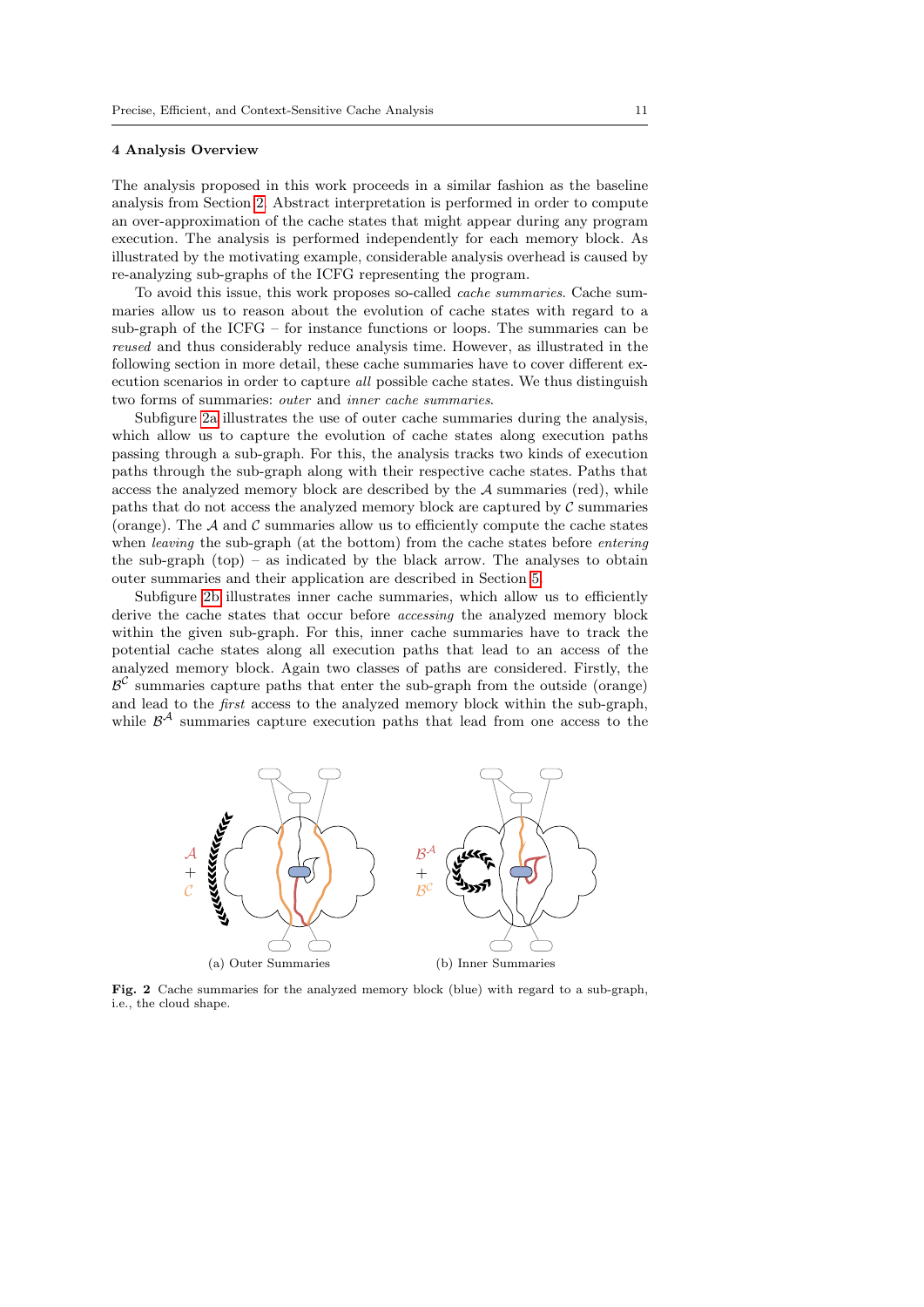#### 4 Analysis Overview

The analysis proposed in this work proceeds in a similar fashion as the baseline analysis from Section [2.](#page-3-0) Abstract interpretation is performed in order to compute an over-approximation of the cache states that might appear during any program execution. The analysis is performed independently for each memory block. As illustrated by the motivating example, considerable analysis overhead is caused by re-analyzing sub-graphs of the ICFG representing the program.

To avoid this issue, this work proposes so-called cache summaries. Cache summaries allow us to reason about the evolution of cache states with regard to a sub-graph of the ICFG – for instance functions or loops. The summaries can be reused and thus considerably reduce analysis time. However, as illustrated in the following section in more detail, these cache summaries have to cover different execution scenarios in order to capture all possible cache states. We thus distinguish two forms of summaries: outer and inner cache summaries.

Subfigure [2a](#page-10-0) illustrates the use of outer cache summaries during the analysis, which allow us to capture the evolution of cache states along execution paths passing through a sub-graph. For this, the analysis tracks two kinds of execution paths through the sub-graph along with their respective cache states. Paths that access the analyzed memory block are described by the  $A$  summaries (red), while paths that do not access the analyzed memory block are captured by  $C$  summaries (orange). The  $A$  and  $C$  summaries allow us to efficiently compute the cache states when *leaving* the sub-graph (at the bottom) from the cache states before *entering* the sub-graph  $(top)$  – as indicated by the black arrow. The analyses to obtain outer summaries and their application are described in Section [5.](#page-11-0)

Subfigure [2b](#page-10-1) illustrates inner cache summaries, which allow us to efficiently derive the cache states that occur before accessing the analyzed memory block within the given sub-graph. For this, inner cache summaries have to track the potential cache states along all execution paths that lead to an access of the analyzed memory block. Again two classes of paths are considered. Firstly, the  $\beta^{\mathcal{C}}$  summaries capture paths that enter the sub-graph from the outside (orange) and lead to the first access to the analyzed memory block within the sub-graph, while  $\mathcal{B}^{\mathcal{A}}$  summaries capture execution paths that lead from one access to the

<span id="page-10-0"></span>

<span id="page-10-1"></span>Fig. 2 Cache summaries for the analyzed memory block (blue) with regard to a sub-graph, i.e., the cloud shape.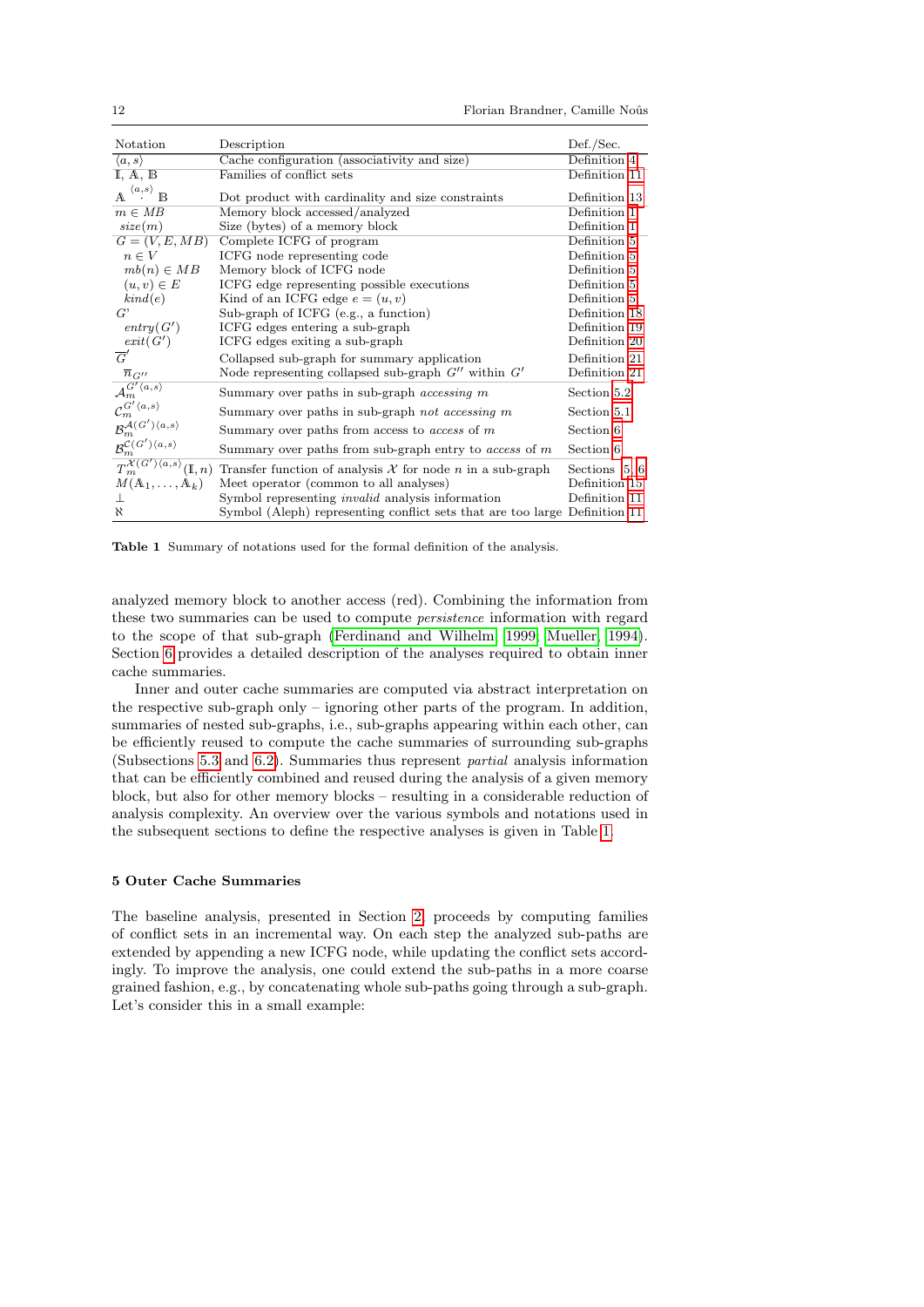| Notation                                                                                 | Description                                                                | Def./Sec.     |
|------------------------------------------------------------------------------------------|----------------------------------------------------------------------------|---------------|
| $\langle a, s \rangle$                                                                   | Cache configuration (associativity and size)                               | Definition 4  |
| $\mathbb{I}, \mathbb{A}, \mathbb{B}$                                                     | Families of conflict sets                                                  | Definition 11 |
| $^{\langle a,s\rangle}$ B<br>$\mathbb{A}$                                                | Dot product with cardinality and size constraints                          | Definition 13 |
| $m \in MB$                                                                               | Memory block accessed/analyzed                                             | Definition 1  |
| size(m)                                                                                  | Size (bytes) of a memory block                                             | Definition 1  |
| $G=(V, E, MB)$                                                                           | Complete ICFG of program                                                   | Definition 5  |
| $n \in V$                                                                                | ICFG node representing code                                                | Definition 5  |
| $mb(n) \in MB$                                                                           | Memory block of ICFG node                                                  | Definition 5  |
| $(u, v) \in E$                                                                           | ICFG edge representing possible executions                                 | Definition 5  |
| kind(e)                                                                                  | Kind of an ICFG edge $e = (u, v)$                                          | Definition 5  |
| $G^*$                                                                                    | Sub-graph of ICFG (e.g., a function)                                       | Definition 18 |
| entry(G')                                                                                | ICFG edges entering a sub-graph                                            | Definition 19 |
| exit(G')                                                                                 | ICFG edges exiting a sub-graph                                             | Definition 20 |
| $\overline{G}'$                                                                          | Collapsed sub-graph for summary application                                | Definition 21 |
|                                                                                          | Node representing collapsed sub-graph $G''$ within $G'$                    | Definition 21 |
| $\frac{\overline{n}_{G^{\prime\prime}}}{\mathcal{A}_{m}^{G^{\prime}\langle a,s\rangle}}$ | Summary over paths in sub-graph <i>accessing</i> m                         | Section 5.2   |
| $\mathcal{C}_m^{G' \langle a,s \rangle}$                                                 | Summary over paths in sub-graph not accessing m                            | Section 5.1   |
| $\mathcal{B}^{\mathcal{A}(G')\langle a,s \rangle}_{m}$                                   | Summary over paths from access to <i>access</i> of $m$                     | Section 6     |
| $\mathcal{B}_{m}^{\mathcal{C}\left( G'\right) \left\langle a,s\right\rangle }$           | Summary over paths from sub-graph entry to $access$ of $m$                 | Section 6     |
| $T_m^{\mathcal{X}(G')\langle a,s\rangle}(\mathbb{I},n)$                                  | Transfer function of analysis $X$ for node $n$ in a sub-graph              | Sections 5, 6 |
| $M(\mathbb{A}_1,\ldots,\mathbb{A}_k)$                                                    | Meet operator (common to all analyses)                                     | Definition 15 |
|                                                                                          | Symbol representing <i>invalid</i> analysis information                    | Definition 11 |
| $\aleph$                                                                                 | Symbol (Aleph) representing conflict sets that are too large Definition 11 |               |

<span id="page-11-1"></span>Table 1 Summary of notations used for the formal definition of the analysis.

analyzed memory block to another access (red). Combining the information from these two summaries can be used to compute persistence information with regard to the scope of that sub-graph [\(Ferdinand and Wilhelm, 1999;](#page-44-2) [Mueller, 1994\)](#page-44-1). Section [6](#page-15-0) provides a detailed description of the analyses required to obtain inner cache summaries.

Inner and outer cache summaries are computed via abstract interpretation on the respective sub-graph only – ignoring other parts of the program. In addition, summaries of nested sub-graphs, i.e., sub-graphs appearing within each other, can be efficiently reused to compute the cache summaries of surrounding sub-graphs (Subsections [5.3](#page-14-1) and [6.2\)](#page-16-0). Summaries thus represent partial analysis information that can be efficiently combined and reused during the analysis of a given memory block, but also for other memory blocks – resulting in a considerable reduction of analysis complexity. An overview over the various symbols and notations used in the subsequent sections to define the respective analyses is given in Table [1.](#page-11-1)

### <span id="page-11-0"></span>5 Outer Cache Summaries

The baseline analysis, presented in Section [2,](#page-3-0) proceeds by computing families of conflict sets in an incremental way. On each step the analyzed sub-paths are extended by appending a new ICFG node, while updating the conflict sets accordingly. To improve the analysis, one could extend the sub-paths in a more coarse grained fashion, e.g., by concatenating whole sub-paths going through a sub-graph. Let's consider this in a small example: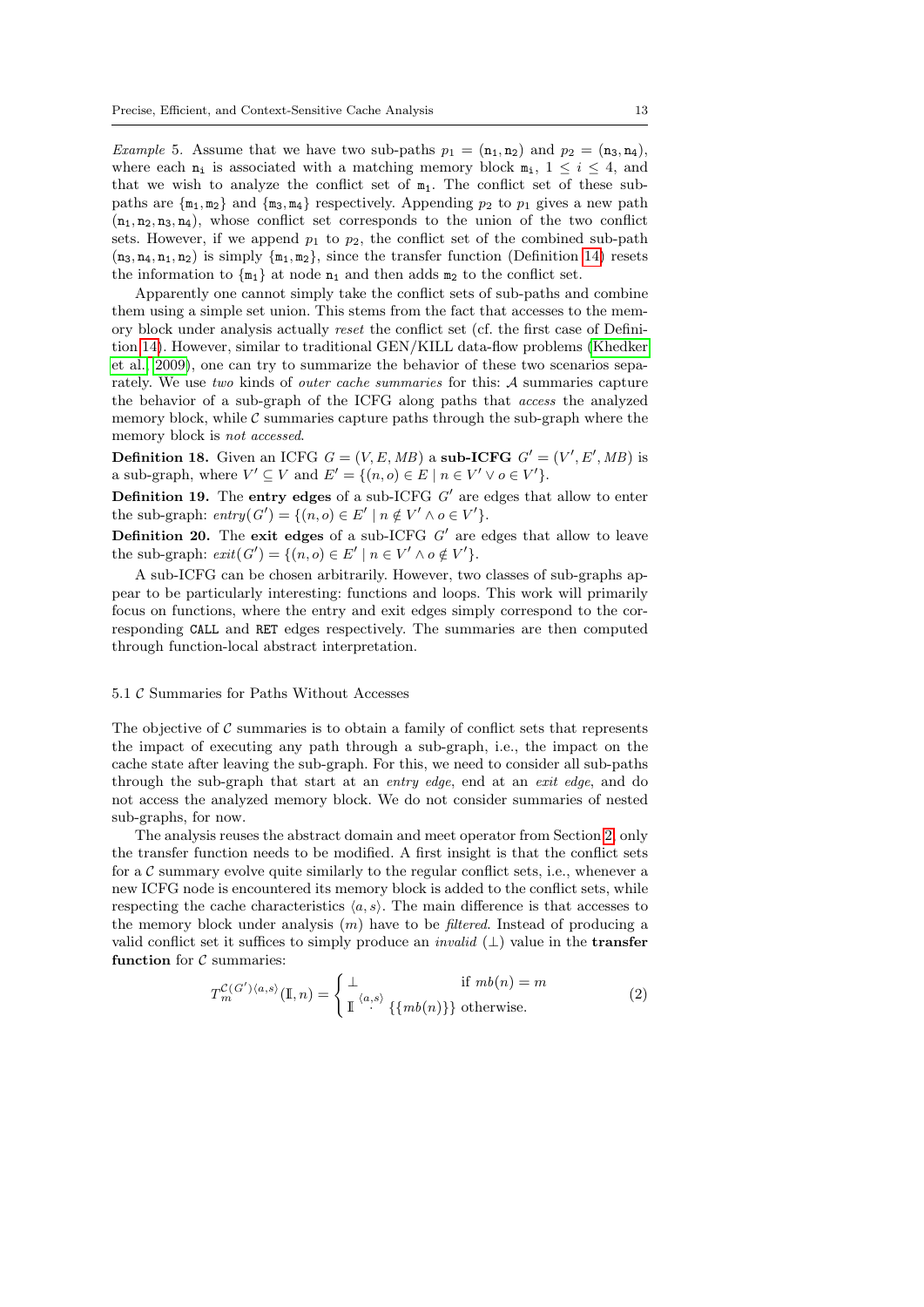Example 5. Assume that we have two sub-paths  $p_1 = (\mathbf{n}_1, \mathbf{n}_2)$  and  $p_2 = (\mathbf{n}_3, \mathbf{n}_4)$ , where each  $n_i$  is associated with a matching memory block  $m_i$ ,  $1 \leq i \leq 4$ , and that we wish to analyze the conflict set of  $m_1$ . The conflict set of these subpaths are  $\{m_1, m_2\}$  and  $\{m_3, m_4\}$  respectively. Appending  $p_2$  to  $p_1$  gives a new path  $(n_1, n_2, n_3, n_4)$ , whose conflict set corresponds to the union of the two conflict sets. However, if we append  $p_1$  to  $p_2$ , the conflict set of the combined sub-path  $(n_3, n_4, n_1, n_2)$  is simply  $\{m_1, m_2\}$ , since the transfer function (Definition [14\)](#page-6-4) resets the information to  $\{m_1\}$  at node  $n_1$  and then adds  $m_2$  to the conflict set.

Apparently one cannot simply take the conflict sets of sub-paths and combine them using a simple set union. This stems from the fact that accesses to the memory block under analysis actually reset the conflict set (cf. the first case of Definition [14\)](#page-6-4). However, similar to traditional GEN/KILL data-flow problems [\(Khedker](#page-44-12) [et al., 2009\)](#page-44-12), one can try to summarize the behavior of these two scenarios separately. We use two kinds of outer cache summaries for this: A summaries capture the behavior of a sub-graph of the ICFG along paths that access the analyzed memory block, while  $\mathcal C$  summaries capture paths through the sub-graph where the memory block is not accessed.

<span id="page-12-0"></span>**Definition 18.** Given an ICFG  $G = (V, E, MB)$  a sub-ICFG  $G' = (V', E', MB)$  is a sub-graph, where  $V' \subseteq V$  and  $E' = \{(n, o) \in E \mid n \in V' \lor o \in V'\}.$ 

<span id="page-12-1"></span>**Definition 19.** The entry edges of a sub-ICFG  $G'$  are edges that allow to enter the sub-graph:  $entry(G') = \{(n, o) \in E' \mid n \notin V' \land o \in V'\}.$ 

<span id="page-12-2"></span>**Definition 20.** The exit edges of a sub-ICFG  $G'$  are edges that allow to leave the sub-graph:  $exit(G') = \{(n, o) \in E' \mid n \in V' \land o \notin V'\}.$ 

A sub-ICFG can be chosen arbitrarily. However, two classes of sub-graphs appear to be particularly interesting: functions and loops. This work will primarily focus on functions, where the entry and exit edges simply correspond to the corresponding CALL and RET edges respectively. The summaries are then computed through function-local abstract interpretation.

#### <span id="page-12-3"></span>5.1 C Summaries for Paths Without Accesses

The objective of  $\mathcal C$  summaries is to obtain a family of conflict sets that represents the impact of executing any path through a sub-graph, i.e., the impact on the cache state after leaving the sub-graph. For this, we need to consider all sub-paths through the sub-graph that start at an entry edge, end at an exit edge, and do not access the analyzed memory block. We do not consider summaries of nested sub-graphs, for now.

The analysis reuses the abstract domain and meet operator from Section [2,](#page-3-0) only the transfer function needs to be modified. A first insight is that the conflict sets for a  $\mathcal C$  summary evolve quite similarly to the regular conflict sets, i.e., whenever a new ICFG node is encountered its memory block is added to the conflict sets, while respecting the cache characteristics  $\langle a, s \rangle$ . The main difference is that accesses to the memory block under analysis  $(m)$  have to be *filtered*. Instead of producing a valid conflict set it suffices to simply produce an *invalid*  $(\perp)$  value in the **transfer** function for  $C$  summaries:

<span id="page-12-4"></span>
$$
T_m^{\mathcal{C}(G')\langle a,s\rangle}(\mathbb{I},n) = \begin{cases} \bot & \text{if } mb(n) = m\\ \mathbb{I}^{\langle a,s\rangle} \{\{mb(n)\}\} & \text{otherwise.} \end{cases}
$$
 (2)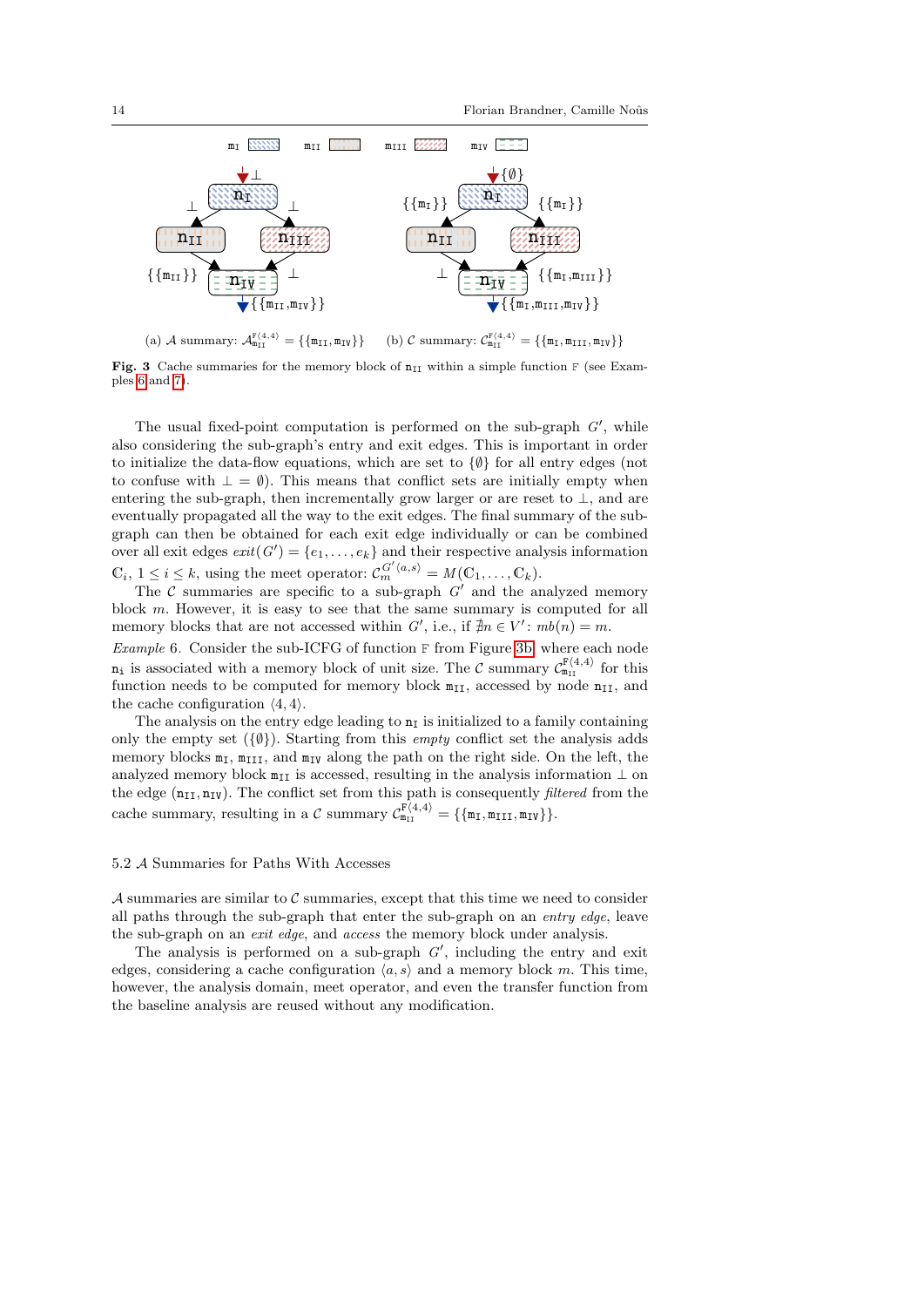<span id="page-13-3"></span>

<span id="page-13-4"></span><span id="page-13-2"></span>(a) A summary:  $A_{m_{II}}^{F(4,4)} = {\{\{m_{II}, m_{IV}\}\}}$ (b) C summary:  $C_{m_{II}}^{F(4,4)} = \{\{m_I, m_{III}, m_{IV}\}\}\$ 

Fig. 3 Cache summaries for the memory block of  $n_{II}$  within a simple function F (see Examples [6](#page-13-1) and [7\)](#page-14-2).

The usual fixed-point computation is performed on the sub-graph  $G'$ , while also considering the sub-graph's entry and exit edges. This is important in order to initialize the data-flow equations, which are set to {∅} for all entry edges (not to confuse with  $\perp = \emptyset$ . This means that conflict sets are initially empty when entering the sub-graph, then incrementally grow larger or are reset to  $\perp$ , and are eventually propagated all the way to the exit edges. The final summary of the subgraph can then be obtained for each exit edge individually or can be combined over all exit edges  $exit(G') = \{e_1, \ldots, e_k\}$  and their respective analysis information  $\mathbb{C}_i, 1 \leq i \leq k$ , using the meet operator:  $\mathcal{C}_{m}^{G'(a,s)} = M(\mathbb{C}_1, \ldots, \mathbb{C}_k)$ .

The C summaries are specific to a sub-graph  $G'$  and the analyzed memory block m. However, it is easy to see that the same summary is computed for all memory blocks that are not accessed within  $G'$ , i.e., if  $\nexists n \in V': mb(n) = m$ .

<span id="page-13-1"></span>Example 6. Consider the sub-ICFG of function F from Figure [3b,](#page-13-2) where each node  $n_i$  is associated with a memory block of unit size. The C summary  $C_{m_{II}}^{F(4,4)}$  for this function needs to be computed for memory block  $m_{II}$ , accessed by node  $n_{II}$ , and the cache configuration  $\langle 4, 4 \rangle$ .

The analysis on the entry edge leading to  $n<sub>I</sub>$  is initialized to a family containing only the empty set  $({\lbrace \emptyset \rbrace})$ . Starting from this *empty* conflict set the analysis adds memory blocks  $m<sub>I</sub>$ ,  $m<sub>III</sub>$ , and  $m<sub>IV</sub>$  along the path on the right side. On the left, the analyzed memory block  $m_{II}$  is accessed, resulting in the analysis information  $\perp$  on the edge  $(n_{II}, n_{IV})$ . The conflict set from this path is consequently *filtered* from the cache summary, resulting in a C summary  $C_{m_{II}}^{F(4,4)} = {\{\{m_I, m_{III}, m_{IV}\}\}}$ .

#### <span id="page-13-0"></span>5.2 A Summaries for Paths With Accesses

 $\mathcal A$  summaries are similar to  $\mathcal C$  summaries, except that this time we need to consider all paths through the sub-graph that enter the sub-graph on an entry edge, leave the sub-graph on an exit edge, and access the memory block under analysis.

The analysis is performed on a sub-graph  $G'$ , including the entry and exit edges, considering a cache configuration  $\langle a, s \rangle$  and a memory block m. This time, however, the analysis domain, meet operator, and even the transfer function from the baseline analysis are reused without any modification.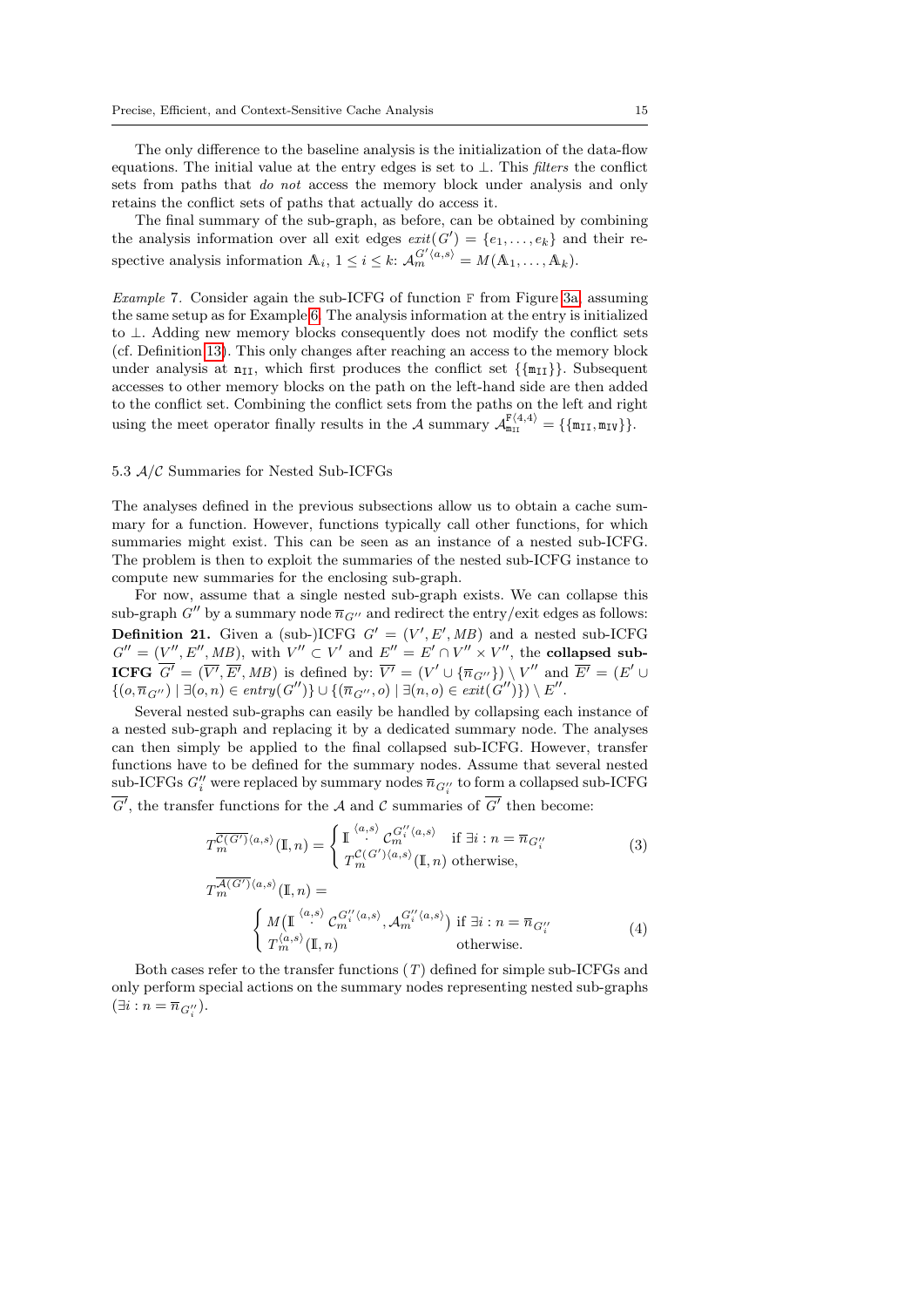The only difference to the baseline analysis is the initialization of the data-flow equations. The initial value at the entry edges is set to  $\bot$ . This *filters* the conflict sets from paths that *do not* access the memory block under analysis and only retains the conflict sets of paths that actually do access it.

The final summary of the sub-graph, as before, can be obtained by combining the analysis information over all exit edges  $exit(G') = \{e_1, \ldots, e_k\}$  and their respective analysis information  $\mathbb{A}_i$ ,  $1 \leq i \leq k$ :  $\mathcal{A}_{m}^{G'(a,s)} = M(\mathbb{A}_1, \ldots, \mathbb{A}_k)$ .

<span id="page-14-2"></span>Example 7. Consider again the sub-ICFG of function F from Figure [3a,](#page-13-3) assuming the same setup as for Example [6.](#page-13-1) The analysis information at the entry is initialized to ⊥. Adding new memory blocks consequently does not modify the conflict sets (cf. Definition [13\)](#page-6-3). This only changes after reaching an access to the memory block under analysis at  $n_{II}$ , which first produces the conflict set  $\{\{m_{II}\}\}\$ . Subsequent accesses to other memory blocks on the path on the left-hand side are then added to the conflict set. Combining the conflict sets from the paths on the left and right using the meet operator finally results in the A summary  $\mathcal{A}_{m_{II}}^{F\langle 4,4\rangle} = \{\{m_{II}, m_{IV}\}\}.$ 

### <span id="page-14-1"></span>5.3 A/C Summaries for Nested Sub-ICFGs

The analyses defined in the previous subsections allow us to obtain a cache summary for a function. However, functions typically call other functions, for which summaries might exist. This can be seen as an instance of a nested sub-ICFG. The problem is then to exploit the summaries of the nested sub-ICFG instance to compute new summaries for the enclosing sub-graph.

<span id="page-14-0"></span>For now, assume that a single nested sub-graph exists. We can collapse this sub-graph  $G''$  by a summary node  $\overline{n}_{G''}$  and redirect the entry/exit edges as follows: **Definition 21.** Given a (sub-)ICFG  $G' = (V', E', MB)$  and a nested sub-ICFG  $G'' = (V'', E'', MB)$ , with  $V'' \subset V'$  and  $E'' = E' \cap V'' \times V''$ , the collapsed sub-**ICFG**  $G' = (\overline{V'}, \overline{E'}, MB)$  is defined by:  $\overline{V'} = (V' \cup {\overline{n}_{G''}}) \setminus V''$  and  $\overline{E'} = (E' \cup$  $\{ (o, \overline{n}_{G''}) \mid \exists (o, n) \in entry(G'') \} \cup \{ (\overline{n}_{G''}, o) \mid \exists (n, o) \in exit(G'') \}) \setminus E''.$ 

Several nested sub-graphs can easily be handled by collapsing each instance of a nested sub-graph and replacing it by a dedicated summary node. The analyses can then simply be applied to the final collapsed sub-ICFG. However, transfer functions have to be defined for the summary nodes. Assume that several nested  $\mathrm{sub\text{-}ICFGs} \ G''_i$  were replaced by summary nodes  $\overline{n}_{G''_i}$  to form a collapsed sub-ICFG  $G'$ , the transfer functions for the A and C summaries of  $G'$  then become:

<span id="page-14-3"></span>
$$
T_m^{\overline{\mathcal{C}(G')}}(a,s)\left(\mathbb{I},n\right) = \begin{cases} \mathbb{I} \stackrel{\langle a,s \rangle}{\cdot} \mathcal{C}_m^{G''_i\langle a,s \rangle} & \text{if } \exists i : n = \overline{n}_{G''_i} \\ T_m^{\mathcal{C}(G')\langle a,s \rangle}(\mathbb{I},n) & \text{otherwise,} \end{cases}
$$
(3)

<span id="page-14-4"></span>
$$
T_m^{\mathcal{A}(G')\langle a,s\rangle}(\mathbb{I},n) =
$$
\n
$$
\begin{cases}\nM(\mathbb{I}^{\langle a,s\rangle} C_m^{G_i'\langle a,s\rangle}, \mathcal{A}_m^{G_i'\langle a,s\rangle}) & \text{if } \exists i : n = \overline{n}_{G_i''} \\
T_m^{\langle a,s\rangle}(\mathbb{I},n) & \text{otherwise.} \n\end{cases}
$$
\n(4)

Both cases refer to the transfer functions  $(T)$  defined for simple sub-ICFGs and only perform special actions on the summary nodes representing nested sub-graphs  $(\exists i : n = \overline{n}_{G_i^{\prime\prime}}).$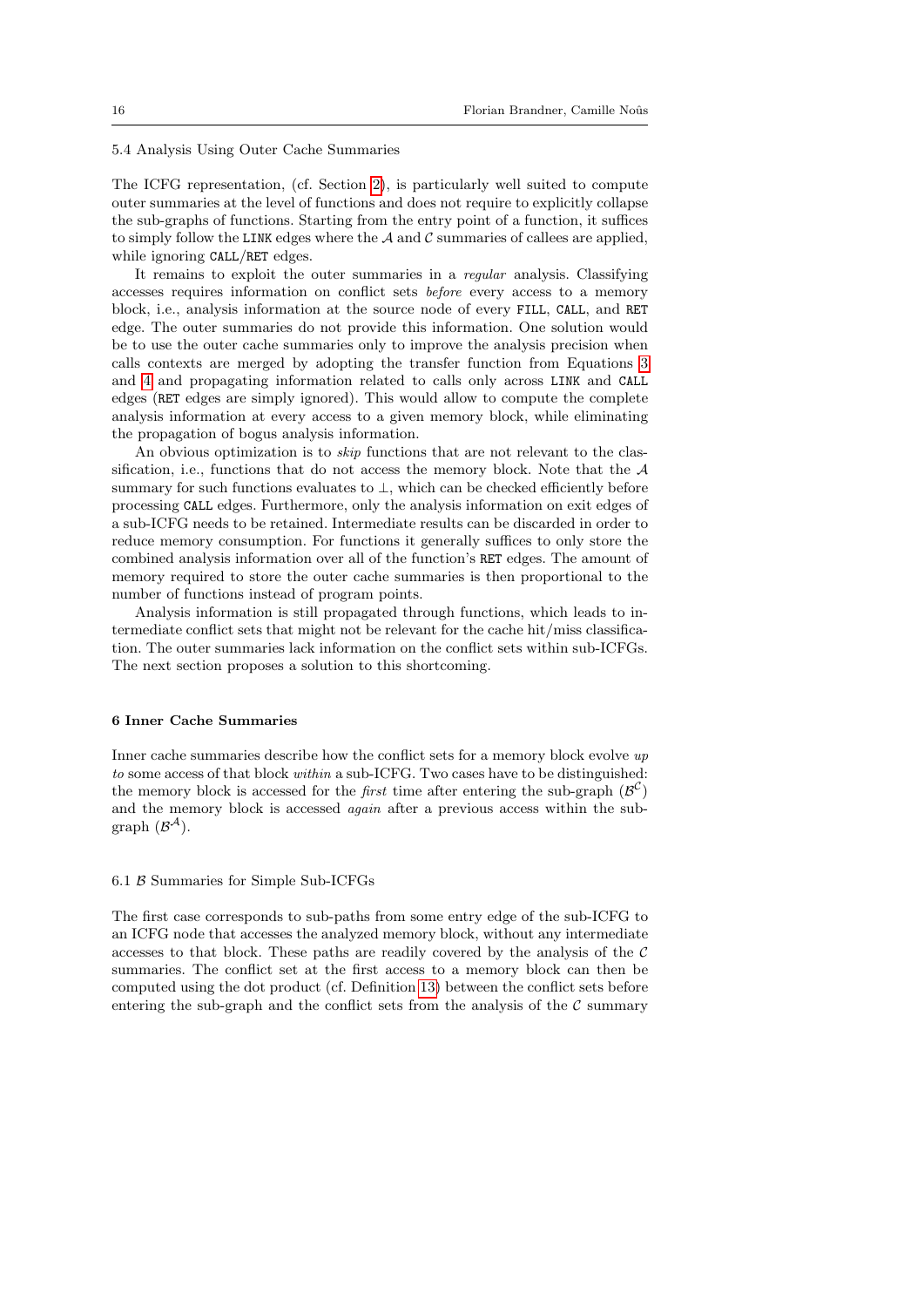<span id="page-15-1"></span>5.4 Analysis Using Outer Cache Summaries

The ICFG representation, (cf. Section [2\)](#page-3-0), is particularly well suited to compute outer summaries at the level of functions and does not require to explicitly collapse the sub-graphs of functions. Starting from the entry point of a function, it suffices to simply follow the LINK edges where the  $A$  and  $C$  summaries of callees are applied, while ignoring CALL/RET edges.

It remains to exploit the outer summaries in a regular analysis. Classifying accesses requires information on conflict sets before every access to a memory block, i.e., analysis information at the source node of every FILL, CALL, and RET edge. The outer summaries do not provide this information. One solution would be to use the outer cache summaries only to improve the analysis precision when calls contexts are merged by adopting the transfer function from Equations [3](#page-14-3) and [4](#page-14-4) and propagating information related to calls only across LINK and CALL edges (RET edges are simply ignored). This would allow to compute the complete analysis information at every access to a given memory block, while eliminating the propagation of bogus analysis information.

An obvious optimization is to skip functions that are not relevant to the classification, i.e., functions that do not access the memory block. Note that the  $A$ summary for such functions evaluates to ⊥, which can be checked efficiently before processing CALL edges. Furthermore, only the analysis information on exit edges of a sub-ICFG needs to be retained. Intermediate results can be discarded in order to reduce memory consumption. For functions it generally suffices to only store the combined analysis information over all of the function's RET edges. The amount of memory required to store the outer cache summaries is then proportional to the number of functions instead of program points.

Analysis information is still propagated through functions, which leads to intermediate conflict sets that might not be relevant for the cache hit/miss classification. The outer summaries lack information on the conflict sets within sub-ICFGs. The next section proposes a solution to this shortcoming.

### <span id="page-15-0"></span>6 Inner Cache Summaries

Inner cache summaries describe how the conflict sets for a memory block evolve  $up$ to some access of that block within a sub-ICFG. Two cases have to be distinguished: the memory block is accessed for the *first* time after entering the sub-graph  $(\mathcal{B}^C)$ and the memory block is accessed again after a previous access within the subgraph  $(\mathcal{B}^{\mathcal{A}})$ .

#### 6.1 B Summaries for Simple Sub-ICFGs

The first case corresponds to sub-paths from some entry edge of the sub-ICFG to an ICFG node that accesses the analyzed memory block, without any intermediate accesses to that block. These paths are readily covered by the analysis of the  $\mathcal C$ summaries. The conflict set at the first access to a memory block can then be computed using the dot product (cf. Definition [13\)](#page-6-3) between the conflict sets before entering the sub-graph and the conflict sets from the analysis of the  $\mathcal C$  summary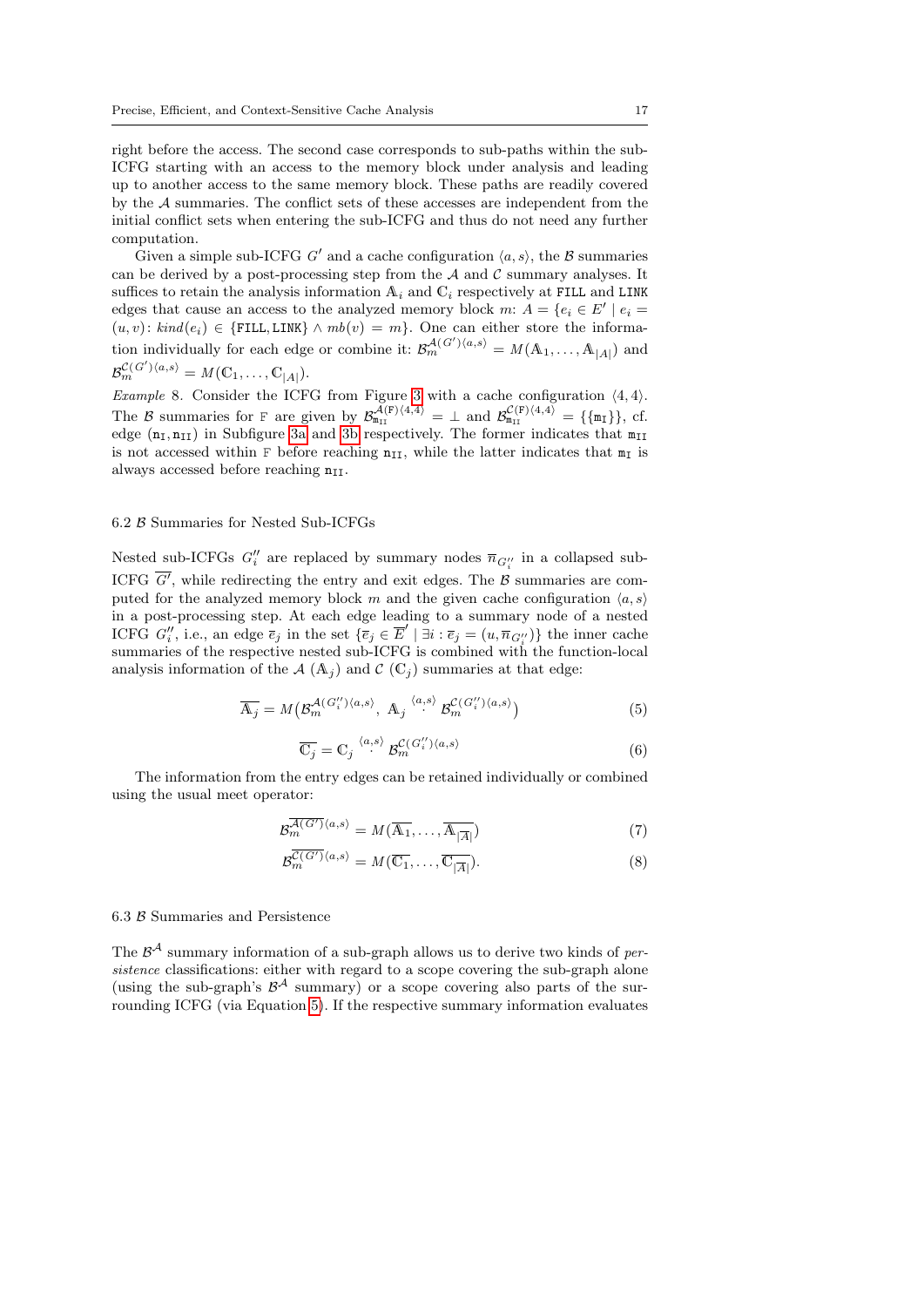right before the access. The second case corresponds to sub-paths within the sub-ICFG starting with an access to the memory block under analysis and leading up to another access to the same memory block. These paths are readily covered by the A summaries. The conflict sets of these accesses are independent from the initial conflict sets when entering the sub-ICFG and thus do not need any further computation.

Given a simple sub-ICFG G' and a cache configuration  $\langle a, s \rangle$ , the B summaries can be derived by a post-processing step from the  $A$  and  $C$  summary analyses. It suffices to retain the analysis information  $A_i$  and  $C_i$  respectively at FILL and LINK edges that cause an access to the analyzed memory block m:  $A = \{e_i \in E' \mid e_i =$  $(u, v):$  kind $(e_i) \in \{$ FILL, LINK $\} \wedge mb(v) = m$ . One can either store the information individually for each edge or combine it:  $\mathcal{B}_{m}^{\mathcal{A}(G')\langle a,s\rangle} = M(A_1, \ldots, A_{|A|})$  and  $\mathcal{B}_{m}^{\mathcal{C}(G')\langle a,s\rangle} = M(\mathbb{C}_1,\ldots,\mathbb{C}_{|A|}).$ 

<span id="page-16-2"></span>Example 8. Consider the ICFG from Figure [3](#page-13-4) with a cache configuration  $\langle 4, 4 \rangle$ . The B summaries for F are given by  $\mathcal{B}_{m_{II}}^{\mathcal{A}(F)\langle 4,4\rangle} = \perp$  and  $\mathcal{B}_{m_{II}}^{\mathcal{C}(F)\langle 4,4\rangle} = {\mathcal{A}_{m_{I}}},$  cf. edge  $(n_I, n_{II})$  in Subfigure [3a](#page-13-3) and [3b](#page-13-2) respectively. The former indicates that  $m_{II}$ is not accessed within F before reaching  $n_{II}$ , while the latter indicates that  $m_I$  is always accessed before reaching  $n_{\text{II}}$ .

### <span id="page-16-0"></span>6.2 B Summaries for Nested Sub-ICFGs

Nested sub-ICFGs  $G''_i$  are replaced by summary nodes  $\overline{n}_{G''_i}$  in a collapsed sub-ICFG  $G'$ , while redirecting the entry and exit edges. The  $\beta$  summaries are computed for the analyzed memory block m and the given cache configuration  $\langle a, s \rangle$ in a post-processing step. At each edge leading to a summary node of a nested ICFG  $G''_i$ , i.e., an edge  $\overline{e}_j$  in the set  $\{\overline{e}_j \in \overline{E}' \mid \exists i : \overline{e}_j = (u, \overline{n}_{G''_i})\}$  the inner cache summaries of the respective nested sub-ICFG is combined with the function-local analysis information of the  $A(A_i)$  and  $C(C_i)$  summaries at that edge:

<span id="page-16-1"></span>
$$
\overline{\mathcal{A}_j} = M\left(\mathcal{B}^{\mathcal{A}(G_i'')\langle a,s\rangle}_{m}, \ \mathcal{A}_j \right)^{\langle a,s\rangle} \mathcal{B}^{\mathcal{C}(G_i'')\langle a,s\rangle}_{m}\right) \tag{5}
$$

<span id="page-16-5"></span>
$$
\overline{\mathbb{C}_j} = \mathbb{C}_j \stackrel{\langle a,s \rangle}{\cdot} \mathcal{B}_m^{\mathcal{C}(G_i^{\prime\prime})\langle a,s \rangle} \tag{6}
$$

The information from the entry edges can be retained individually or combined using the usual meet operator:

$$
\mathcal{B}_{m}^{\overline{\mathcal{A}(G')}}\langle a,s\rangle = M(\overline{\mathcal{A}_{1}},\ldots,\overline{\mathcal{A}_{|\overline{A}|}}) \tag{7}
$$

<span id="page-16-4"></span><span id="page-16-3"></span>
$$
\mathcal{B}_{m}^{\overline{\mathcal{C}(G')}}\langle a,s\rangle = M(\overline{\mathbb{C}_{1}},\ldots,\overline{\mathbb{C}_{|\overline{A}|}}). \tag{8}
$$

#### <span id="page-16-6"></span>6.3 B Summaries and Persistence

The  $\mathcal{B}^{\mathcal{A}}$  summary information of a sub-graph allows us to derive two kinds of persistence classifications: either with regard to a scope covering the sub-graph alone (using the sub-graph's  $\mathcal{B}^{\mathcal{A}}$  summary) or a scope covering also parts of the surrounding ICFG (via Equation [5\)](#page-16-1). If the respective summary information evaluates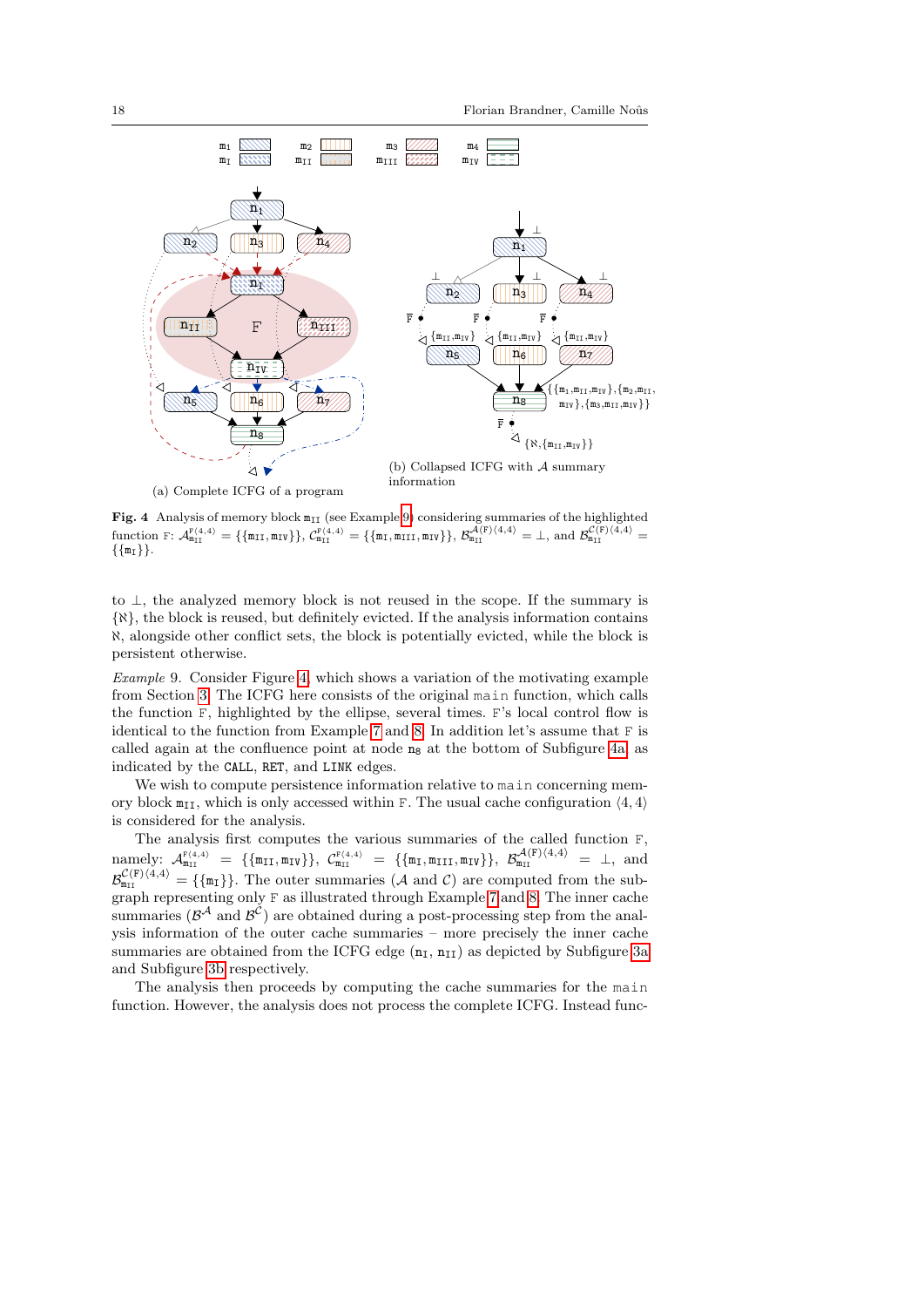<span id="page-17-3"></span><span id="page-17-2"></span>

<span id="page-17-1"></span>Fig. 4 Analysis of memory block  $m_{II}$  (see Example [9\)](#page-17-0) considering summaries of the highlighted  $\text{function } \mathbb{F} \colon \mathcal{A}_{\mathfrak{m}_{\text{II}}}^{\mathbb{F}(4,4)} = \{\{\mathfrak{m}_{\text{II}}, \mathfrak{m}_{\text{IV}}\}\}, \mathcal{C}_{\mathfrak{m}_{\text{II}}}^{\mathbb{F}(4,4)} = \{\{\mathfrak{m}_{\text{I}}, \mathfrak{m}_{\text{III}}, \mathfrak{m}_{\text{IV}}\}\}, \mathcal{B}_{\mathfrak{m}_{\text{II}}}^{\mathcal{A}(\mathbb{F})(4,4)} = \bot, \text{ and } \mathcal{B}_{\mathfrak{m}_{\text{II}}}^{\mathcal{C}(\mathbb{F})(4,$  $\{\{\mathfrak{m}_{\text{I}}\}\}.$ 

to ⊥, the analyzed memory block is not reused in the scope. If the summary is {ℵ}, the block is reused, but definitely evicted. If the analysis information contains ℵ, alongside other conflict sets, the block is potentially evicted, while the block is persistent otherwise.

<span id="page-17-0"></span>Example 9. Consider Figure [4,](#page-17-1) which shows a variation of the motivating example from Section [3.](#page-8-0) The ICFG here consists of the original main function, which calls the function F, highlighted by the ellipse, several times. F's local control flow is identical to the function from Example [7](#page-14-2) and [8.](#page-16-2) In addition let's assume that F is called again at the confluence point at node  $n_8$  at the bottom of Subfigure [4a,](#page-17-2) as indicated by the CALL, RET, and LINK edges.

We wish to compute persistence information relative to main concerning memory block  $m_{II}$ , which is only accessed within F. The usual cache configuration  $\langle 4, 4 \rangle$ is considered for the analysis.

The analysis first computes the various summaries of the called function F,  $\text{namely: } \mathcal{A}_{m_{\text{II}}}^{\text{F}(4,4)} = \{ \{ \text{m}_{\text{II}}, \text{m}_{\text{IV}} \} \}, \ \mathcal{C}_{m_{\text{II}}}^{\text{F}(4,4)} = \{ \{ \text{m}_{\text{I}}, \text{m}_{\text{III}}, \text{m}_{\text{IV}} \} \}, \ \mathcal{B}_{m_{\text{II}}}^{\mathcal{A}(\text{F})(4,4)} = \bot$ , and  $\mathcal{B}_{m_{\text{III}}}^{\mathcal{C}(F)\langle 4,4\rangle} = {\text{F}_{m_{\text{II}}}}.$  The outer summaries  $(\mathcal{A} \text{ and } \mathcal{C})$  are computed from the subgraph representing only F as illustrated through Example [7](#page-14-2) and [8.](#page-16-2) The inner cache summaries ( $\beta^A$  and  $\beta^C$ ) are obtained during a post-processing step from the analysis information of the outer cache summaries – more precisely the inner cache summaries are obtained from the ICFG edge  $(n_I, n_{II})$  as depicted by Subfigure [3a](#page-13-3) and Subfigure [3b](#page-13-2) respectively.

The analysis then proceeds by computing the cache summaries for the main function. However, the analysis does not process the complete ICFG. Instead func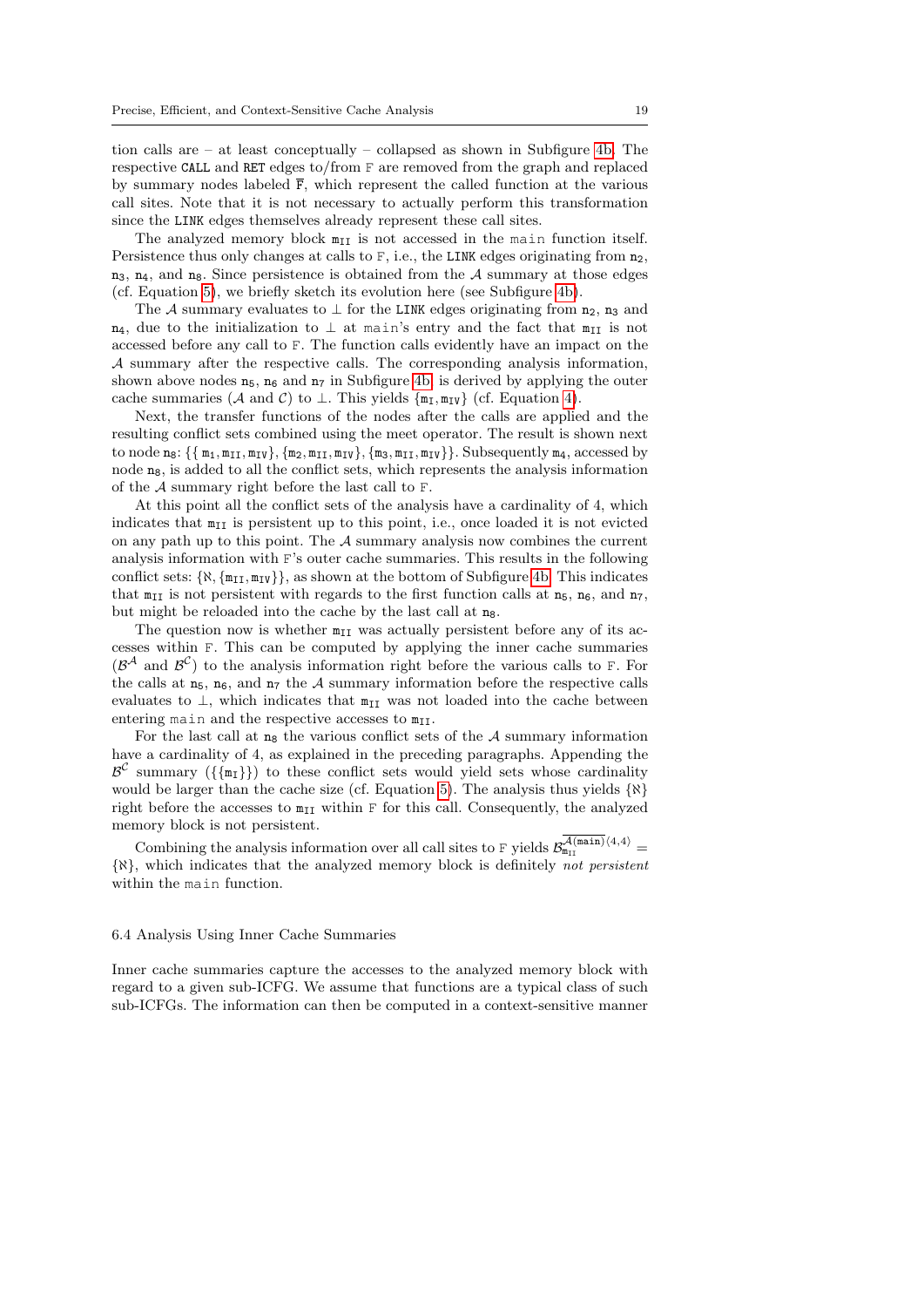tion calls are – at least conceptually – collapsed as shown in Subfigure [4b.](#page-17-3) The respective CALL and RET edges to/from F are removed from the graph and replaced by summary nodes labeled  $\bar{F}$ , which represent the called function at the various call sites. Note that it is not necessary to actually perform this transformation since the LINK edges themselves already represent these call sites.

The analyzed memory block  $m_{II}$  is not accessed in the main function itself. Persistence thus only changes at calls to  $F$ , i.e., the LINK edges originating from  $n_2$ ,  $n_3$ ,  $n_4$ , and  $n_8$ . Since persistence is obtained from the A summary at those edges (cf. Equation [5\)](#page-16-1), we briefly sketch its evolution here (see Subfigure [4b\)](#page-17-3).

The A summary evaluates to  $\perp$  for the LINK edges originating from n<sub>2</sub>, n<sub>3</sub> and  $n_4$ , due to the initialization to  $\perp$  at main's entry and the fact that  $m_{II}$  is not accessed before any call to F. The function calls evidently have an impact on the A summary after the respective calls. The corresponding analysis information, shown above nodes  $n_5$ ,  $n_6$  and  $n_7$  in Subfigure [4b,](#page-17-3) is derived by applying the outer cache summaries (A and C) to  $\perp$ . This yields  $\{\mathfrak{m}_{\mathcal{I}}, \mathfrak{m}_{\mathcal{IV}}\}$  (cf. Equation [4\)](#page-14-4).

Next, the transfer functions of the nodes after the calls are applied and the resulting conflict sets combined using the meet operator. The result is shown next to node  $n_8$ :  $\{\{m_1, m_{II}, m_{IV}\}, \{m_2, m_{II}, m_{IV}\}, \{m_3, m_{II}, m_{IV}\}\}\$ . Subsequently  $m_4$ , accessed by node  $n_8$ , is added to all the conflict sets, which represents the analysis information of the A summary right before the last call to F.

At this point all the conflict sets of the analysis have a cardinality of 4, which indicates that  $m_{\text{II}}$  is persistent up to this point, i.e., once loaded it is not evicted on any path up to this point. The  $A$  summary analysis now combines the current analysis information with F's outer cache summaries. This results in the following conflict sets:  $\{\aleph, \{m_{II}, m_{IV}\}\}\$ , as shown at the bottom of Subfigure [4b.](#page-17-3) This indicates that  $m_{II}$  is not persistent with regards to the first function calls at  $n_5$ ,  $n_6$ , and  $n_7$ , but might be reloaded into the cache by the last call at  $n_8$ .

The question now is whether  $m_{II}$  was actually persistent before any of its accesses within F. This can be computed by applying the inner cache summaries  $(\mathcal{B}^{\mathcal{A}})$  and  $\mathcal{B}^{\mathcal{C}})$  to the analysis information right before the various calls to F. For the calls at  $n_5$ ,  $n_6$ , and  $n_7$  the A summary information before the respective calls evaluates to  $\perp$ , which indicates that  $m_{\text{II}}$  was not loaded into the cache between entering main and the respective accesses to  $m_{II}$ .

For the last call at  $n_8$  the various conflict sets of the A summary information have a cardinality of 4, as explained in the preceding paragraphs. Appending the  $\mathcal{B}^{\mathcal{C}}$  summary  $(\{\{\texttt{m}_{\texttt{I}}\}\})$  to these conflict sets would yield sets whose cardinality would be larger than the cache size (cf. Equation [5\)](#page-16-1). The analysis thus yields  $\{N\}$ right before the accesses to  $m_{II}$  within F for this call. Consequently, the analyzed memory block is not persistent.

Combining the analysis information over all call sites to F yields  $\mathcal{B}_{m_{II}}^{\mathcal{A}(main)\langle4,4\rangle}$ {ℵ}, which indicates that the analyzed memory block is definitely not persistent within the main function.

#### <span id="page-18-0"></span>6.4 Analysis Using Inner Cache Summaries

Inner cache summaries capture the accesses to the analyzed memory block with regard to a given sub-ICFG. We assume that functions are a typical class of such sub-ICFGs. The information can then be computed in a context-sensitive manner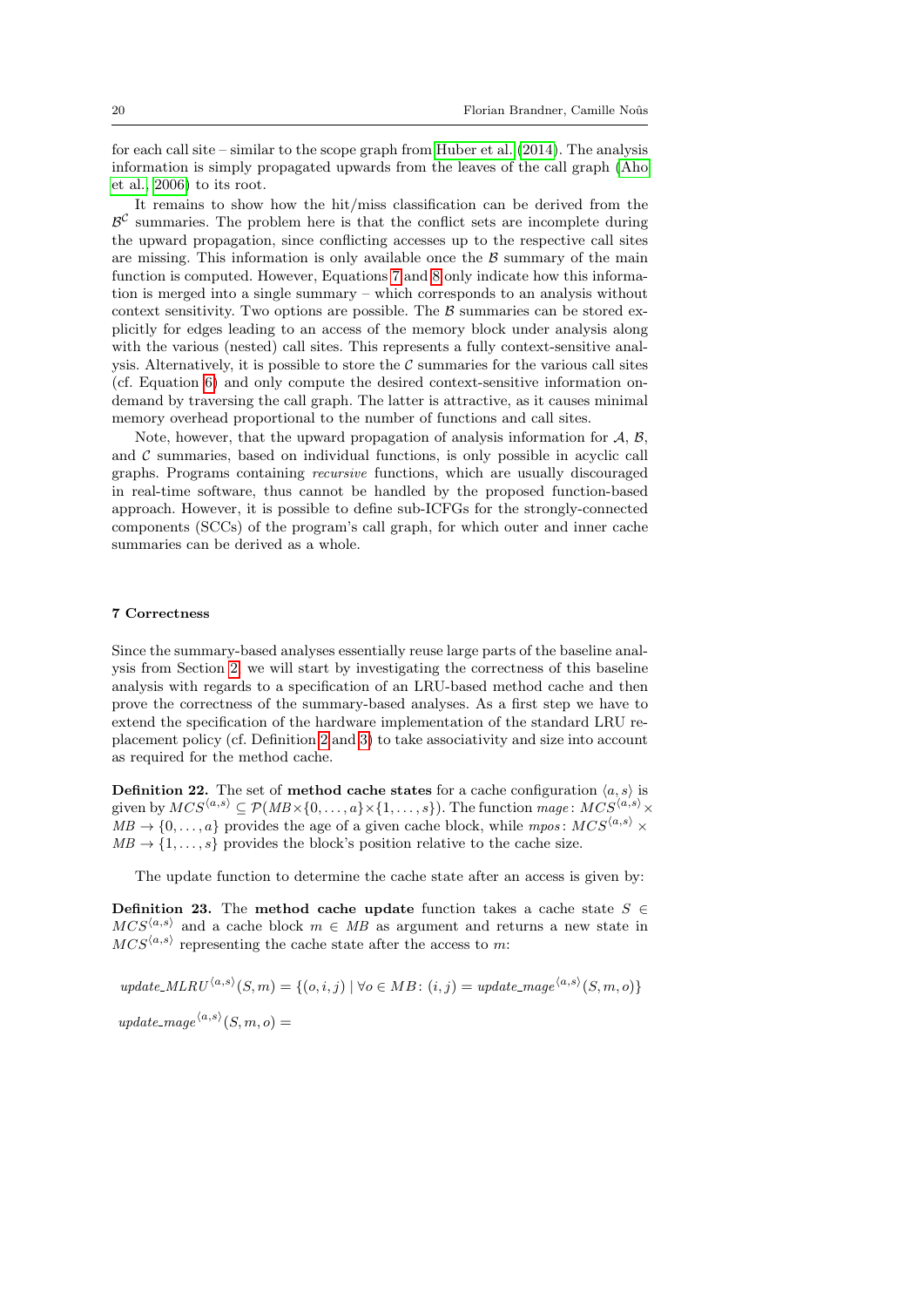for each call site – similar to the scope graph from [Huber et al.](#page-44-4) [\(2014\)](#page-44-4). The analysis information is simply propagated upwards from the leaves of the call graph [\(Aho](#page-43-7) [et al., 2006\)](#page-43-7) to its root.

It remains to show how the hit/miss classification can be derived from the  $\beta^{\mathcal{C}}$  summaries. The problem here is that the conflict sets are incomplete during the upward propagation, since conflicting accesses up to the respective call sites are missing. This information is only available once the  $\beta$  summary of the main function is computed. However, Equations [7](#page-16-3) and [8](#page-16-4) only indicate how this information is merged into a single summary – which corresponds to an analysis without context sensitivity. Two options are possible. The  $\beta$  summaries can be stored explicitly for edges leading to an access of the memory block under analysis along with the various (nested) call sites. This represents a fully context-sensitive analysis. Alternatively, it is possible to store the  $C$  summaries for the various call sites (cf. Equation [6\)](#page-16-5) and only compute the desired context-sensitive information ondemand by traversing the call graph. The latter is attractive, as it causes minimal memory overhead proportional to the number of functions and call sites.

Note, however, that the upward propagation of analysis information for  $A, B$ , and  $\mathcal C$  summaries, based on individual functions, is only possible in acyclic call graphs. Programs containing recursive functions, which are usually discouraged in real-time software, thus cannot be handled by the proposed function-based approach. However, it is possible to define sub-ICFGs for the strongly-connected components (SCCs) of the program's call graph, for which outer and inner cache summaries can be derived as a whole.

#### <span id="page-19-0"></span>7 Correctness

Since the summary-based analyses essentially reuse large parts of the baseline analysis from Section [2,](#page-3-0) we will start by investigating the correctness of this baseline analysis with regards to a specification of an LRU-based method cache and then prove the correctness of the summary-based analyses. As a first step we have to extend the specification of the hardware implementation of the standard LRU replacement policy (cf. Definition [2](#page-3-2) and [3\)](#page-4-1) to take associativity and size into account as required for the method cache.

**Definition 22.** The set of method cache states for a cache configuration  $\langle a, s \rangle$  is given by  $MCS^{\langle a,s\rangle} \subset \mathcal{P}(MB \times \{0,\ldots,a\} \times \{1,\ldots,s\})$ . The function mage:  $MCS^{\langle a,s\rangle} \times$  $MB \to \{0, \ldots, a\}$  provides the age of a given cache block, while mpos:  $MCS^{\langle a,s \rangle} \times$  $MB \to \{1, \ldots, s\}$  provides the block's position relative to the cache size.

The update function to determine the cache state after an access is given by:

<span id="page-19-1"></span>Definition 23. The method cache update function takes a cache state  $S \in$  $MCS^{\langle a,s\rangle}$  and a cache block  $m \in MB$  as argument and returns a new state in  $MCS^{\langle a,s\rangle}$  representing the cache state after the access to m:

update.MLRU<sup>(a,s)</sup>(S, m) = {
$$
(o,i,j)
$$
 |  $\forall o \in MB$ :  $(i,j)$  = update\_mage<sup>(a,s)</sup>(S, m, o)}  
update\_mage<sup>(a,s)</sup>(S, m, o) =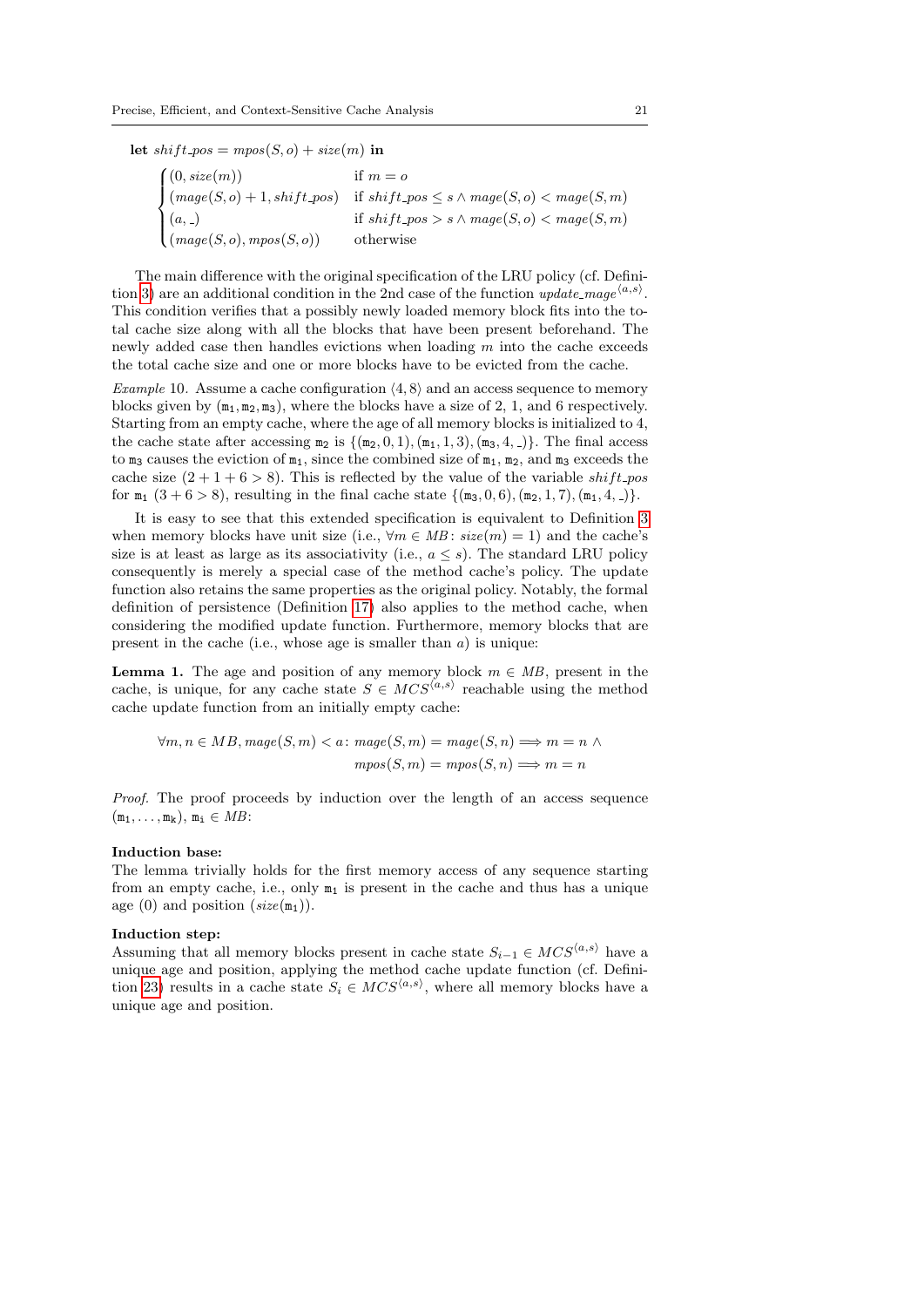let  $shift\_pos = mpos(S, o) + size(m)$  in

 $\sqrt{ }$  $\int$  $\overline{\mathcal{L}}$  $(0, size(m))$  if  $m = o$  $(mage(S, o) + 1, shift\_pos)$  if  $shift\_pos \leq s \land mage(S, o) < mage(S, m)$  $(a, )$  if  $shift\_pos > s \land mage(S, o) < mage(S, m)$  $(mage(S, o), mpos(S, o))$  otherwise

The main difference with the original specification of the LRU policy (cf. Defini-tion [3\)](#page-4-1) are an additional condition in the 2nd case of the function  $update\_mage^{\langle a,s \rangle}$ . This condition verifies that a possibly newly loaded memory block fits into the total cache size along with all the blocks that have been present beforehand. The newly added case then handles evictions when loading m into the cache exceeds the total cache size and one or more blocks have to be evicted from the cache.

Example 10. Assume a cache configuration  $(4, 8)$  and an access sequence to memory blocks given by  $(m_1, m_2, m_3)$ , where the blocks have a size of 2, 1, and 6 respectively. Starting from an empty cache, where the age of all memory blocks is initialized to 4, the cache state after accessing  $m_2$  is  $\{ (m_2, 0, 1), (m_1, 1, 3), (m_3, 4, ...) \}$ . The final access to  $m_3$  causes the eviction of  $m_1$ , since the combined size of  $m_1$ ,  $m_2$ , and  $m_3$  exceeds the cache size  $(2+1+6>8)$ . This is reflected by the value of the variable shift pos for  $m_1$   $(3 + 6 > 8)$ , resulting in the final cache state  $\{(m_3, 0, 6), (m_2, 1, 7), (m_1, 4, )\}.$ 

It is easy to see that this extended specification is equivalent to Definition [3](#page-4-1) when memory blocks have unit size (i.e.,  $\forall m \in MB$ :  $size(m) = 1$ ) and the cache's size is at least as large as its associativity (i.e.,  $a \leq s$ ). The standard LRU policy consequently is merely a special case of the method cache's policy. The update function also retains the same properties as the original policy. Notably, the formal definition of persistence (Definition [17\)](#page-8-2) also applies to the method cache, when considering the modified update function. Furthermore, memory blocks that are present in the cache (i.e., whose age is smaller than  $a$ ) is unique:

<span id="page-20-0"></span>**Lemma 1.** The age and position of any memory block  $m \in MB$ , present in the cache, is unique, for any cache state  $S \in MCS^{\langle a,s \rangle}$  reachable using the method cache update function from an initially empty cache:

$$
\forall m, n \in MB, \text{mage}(S, m) < a: \text{mage}(S, m) = \text{mage}(S, n) \Longrightarrow m = n \land \text{meas}(S, m) = \text{meas}(S, m) \Longrightarrow m = n
$$

Proof. The proof proceeds by induction over the length of an access sequence  $(m_1, \ldots, m_k), m_i \in MB$ :

#### Induction base:

The lemma trivially holds for the first memory access of any sequence starting from an empty cache, i.e., only  $m_1$  is present in the cache and thus has a unique age (0) and position  $(size(m_1))$ .

#### Induction step:

Assuming that all memory blocks present in cache state  $S_{i-1} \in MCS^{\langle a,s \rangle}$  have a unique age and position, applying the method cache update function (cf. Defini-tion [23\)](#page-19-1) results in a cache state  $S_i \in MCS^{\langle a,s \rangle}$ , where all memory blocks have a unique age and position.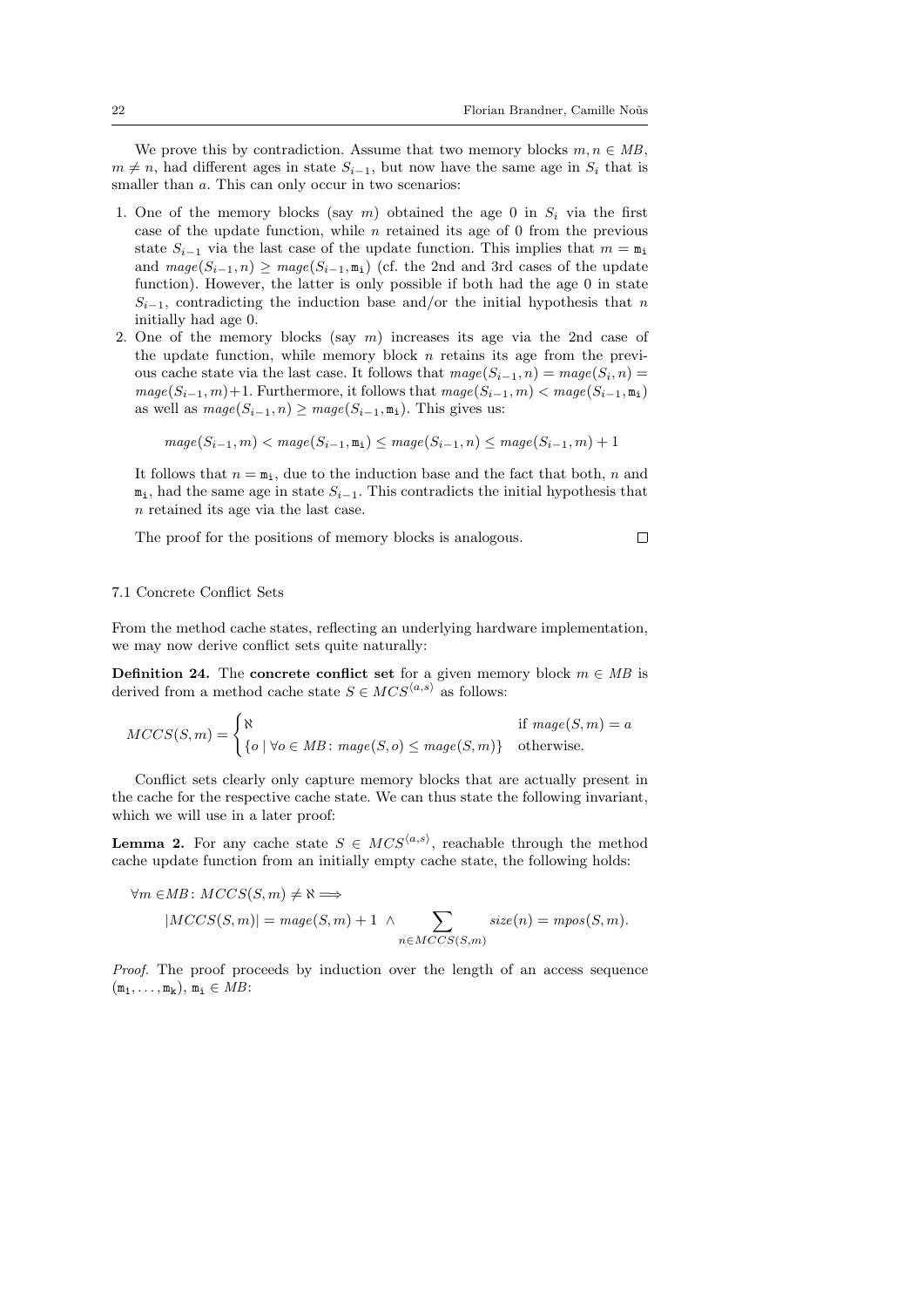$\Box$ 

We prove this by contradiction. Assume that two memory blocks  $m, n \in MB$ ,  $m \neq n$ , had different ages in state  $S_{i-1}$ , but now have the same age in  $S_i$  that is smaller than  $a$ . This can only occur in two scenarios:

- 1. One of the memory blocks (say m) obtained the age 0 in  $S_i$  via the first case of the update function, while  $n$  retained its age of 0 from the previous state  $S_{i-1}$  via the last case of the update function. This implies that  $m = \mathbf{m}_i$ and  $\text{mag}(S_{i-1}, n) \geq \text{mag}(S_{i-1}, m_i)$  (cf. the 2nd and 3rd cases of the update function). However, the latter is only possible if both had the age 0 in state  $S_{i-1}$ , contradicting the induction base and/or the initial hypothesis that n initially had age 0.
- 2. One of the memory blocks (say  $m$ ) increases its age via the 2nd case of the update function, while memory block  $n$  retains its age from the previous cache state via the last case. It follows that  $\text{image}(S_{i-1}, n) = \text{image}(S_i, n) =$  $mage(S_{i-1}, m)+1$ . Furthermore, it follows that  $mage(S_{i-1}, m) < mage(S_{i-1}, m_1)$ as well as  $maqe(S_{i-1}, n) > maqe(S_{i-1}, m_i)$ . This gives us:

$$
mage(S_{i-1}, m) < magic(S_{i-1}, \mathtt{m}_i) \leq magic(S_{i-1}, n) \leq magic(S_{i-1}, m) + 1
$$

It follows that  $n = m<sub>i</sub>$ , due to the induction base and the fact that both, n and  $m_i$ , had the same age in state  $S_{i-1}$ . This contradicts the initial hypothesis that n retained its age via the last case.

The proof for the positions of memory blocks is analogous.

### 7.1 Concrete Conflict Sets

From the method cache states, reflecting an underlying hardware implementation, we may now derive conflict sets quite naturally:

<span id="page-21-0"></span>**Definition 24.** The concrete conflict set for a given memory block  $m \in MB$  is derived from a method cache state  $S \in MCS^{\langle a,s \rangle}$  as follows:

$$
MCCS(S,m) = \begin{cases} \aleph & \text{if } mage(S,m) = a \\ \{o \mid \forall o \in MB : mage(S,o) \leq mage(S,m)\} & \text{otherwise.} \end{cases}
$$

Conflict sets clearly only capture memory blocks that are actually present in the cache for the respective cache state. We can thus state the following invariant, which we will use in a later proof:

<span id="page-21-1"></span>**Lemma 2.** For any cache state  $S \in MCS^{\langle a,s \rangle}$ , reachable through the method cache update function from an initially empty cache state, the following holds:

$$
\forall m \in MB : MCCS(S, m) \neq \aleph \Longrightarrow
$$
  
\n
$$
|MCCS(S, m)| = mage(S, m) + 1 \wedge \sum_{n \in MCCS(S, m)} size(n) = mpos(S, m).
$$

Proof. The proof proceeds by induction over the length of an access sequence  $(m_1, \ldots, m_k), m_i \in MB$ :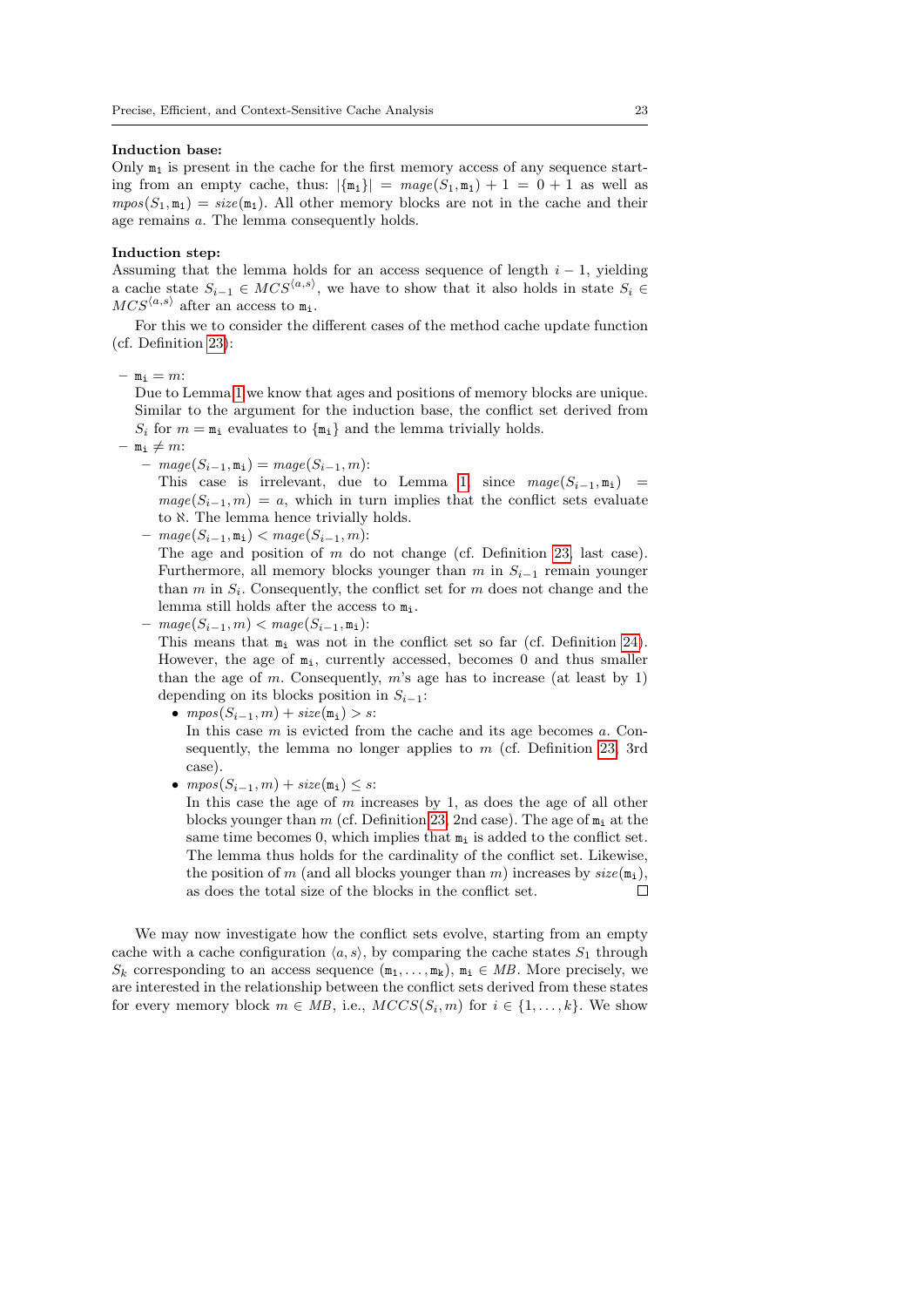#### Induction base:

Only  $m_1$  is present in the cache for the first memory access of any sequence starting from an empty cache, thus:  $|\{\mathbf{m}_1\}| = mage(S_1, \mathbf{m}_1) + 1 = 0 + 1$  as well as  $mpos(S_1, m_1) = size(m_1)$ . All other memory blocks are not in the cache and their age remains a. The lemma consequently holds.

#### Induction step:

Assuming that the lemma holds for an access sequence of length  $i - 1$ , yielding a cache state  $S_{i-1} \in MCS^{\langle a,s \rangle}$ , we have to show that it also holds in state  $S_i \in$  $MCS^{\langle a,s\rangle}$  after an access to  $m_i$ .

For this we to consider the different cases of the method cache update function (cf. Definition [23\)](#page-19-1):

 $-$  m<sub>i</sub> = m:

Due to Lemma [1](#page-20-0) we know that ages and positions of memory blocks are unique. Similar to the argument for the induction base, the conflict set derived from  $S_i$  for  $m = \mathbf{m}_i$  evaluates to  $\{\mathbf{m}_i\}$  and the lemma trivially holds.

- $-$  m<sub>i</sub>  $\neq$  m:
	- $mage(S_{i-1}, \mathbf{m_i}) = mage(S_{i-1}, m)$ :

This case is irrelevant, due to Lemma [1,](#page-20-0) since  $\text{mag}_e(S_{i-1}, m_i)$  =  $\text{mag}(S_{i-1}, m) = a$ , which in turn implies that the conflict sets evaluate to  $\aleph$ . The lemma hence trivially holds.

 $- mage(S_{i-1}, m_i) < mage(S_{i-1}, m)$ :

The age and position of  $m$  do not change (cf. Definition [23,](#page-19-1) last case). Furthermore, all memory blocks younger than m in  $S_{i-1}$  remain younger than  $m$  in  $S_i$ . Consequently, the conflict set for  $m$  does not change and the lemma still holds after the access to  $m_i$ .

 $maqe(S_{i-1}, m) < maqe(S_{i-1}, m_i):$ 

This means that  $m_i$  was not in the conflict set so far (cf. Definition [24\)](#page-21-0). However, the age of  $m_i$ , currently accessed, becomes 0 and thus smaller than the age of m. Consequently,  $m$ 's age has to increase (at least by 1) depending on its blocks position in  $S_{i-1}$ :

- $mpos(S_{i-1}, m) + size(m_i) > s$ : In this case  $m$  is evicted from the cache and its age becomes  $a$ . Consequently, the lemma no longer applies to  $m$  (cf. Definition [23,](#page-19-1) 3rd case).
- $mpos(S_{i-1}, m) + size(m_i) \leq s$ :

In this case the age of  $m$  increases by 1, as does the age of all other blocks younger than m (cf. Definition [23,](#page-19-1) 2nd case). The age of  $m_i$  at the same time becomes 0, which implies that  $m_i$  is added to the conflict set. The lemma thus holds for the cardinality of the conflict set. Likewise, the position of m (and all blocks younger than m) increases by  $size(\mathbf{m_i})$ , as does the total size of the blocks in the conflict set.  $\Box$ 

We may now investigate how the conflict sets evolve, starting from an empty cache with a cache configuration  $\langle a, s \rangle$ , by comparing the cache states  $S_1$  through  $S_k$  corresponding to an access sequence  $(\mathbf{m}_1, \dots, \mathbf{m}_k), \mathbf{m}_i \in MB$ . More precisely, we are interested in the relationship between the conflict sets derived from these states for every memory block  $m \in MB$ , i.e.,  $MCCS(S_i, m)$  for  $i \in \{1, ..., k\}$ . We show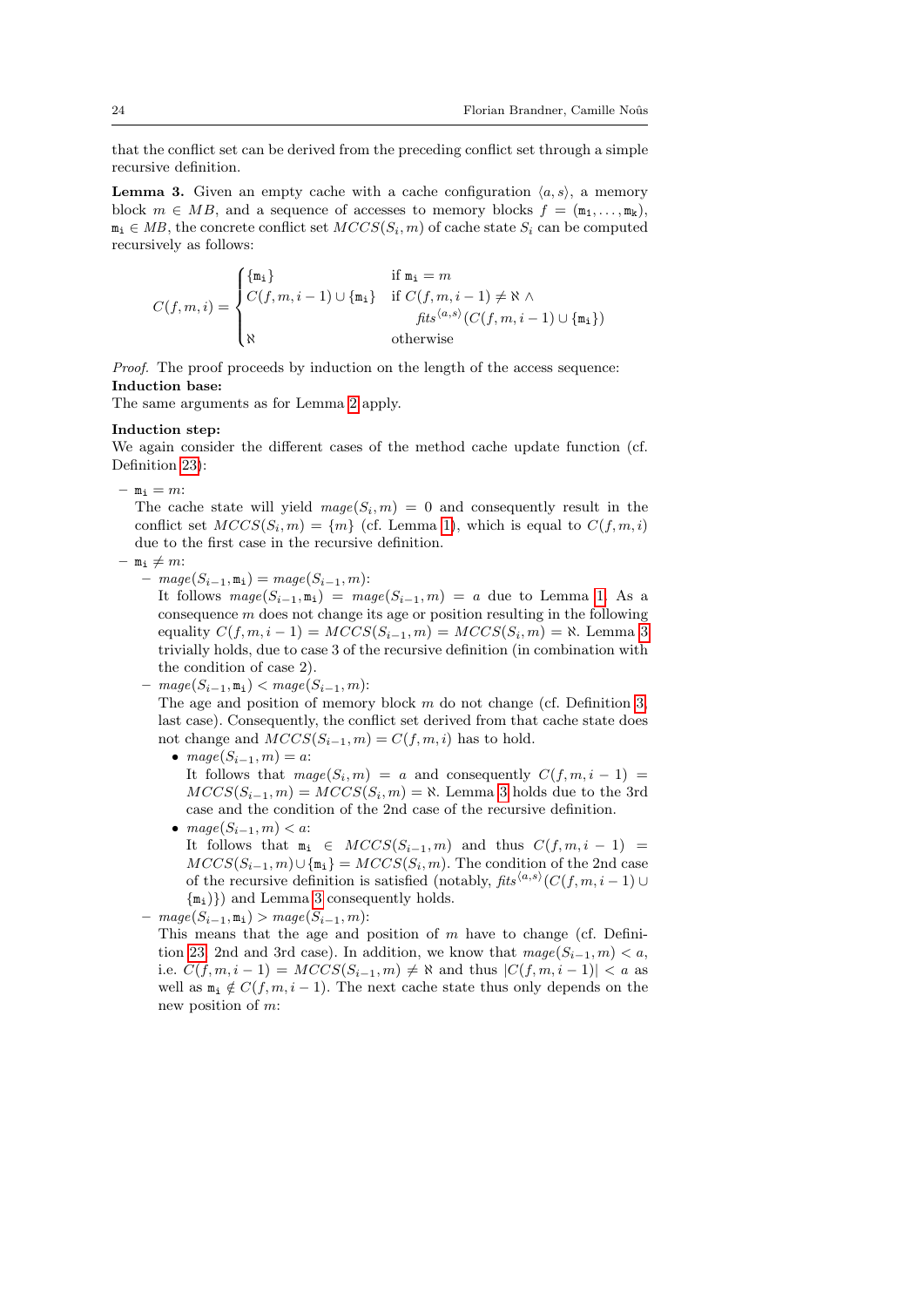that the conflict set can be derived from the preceding conflict set through a simple recursive definition.

<span id="page-23-0"></span>**Lemma 3.** Given an empty cache with a cache configuration  $\langle a, s \rangle$ , a memory block  $m \in MB$ , and a sequence of accesses to memory blocks  $f = (\mathbf{m}_1, \dots, \mathbf{m}_k)$ ,  $m_i \in MB$ , the concrete conflict set  $MCCS(S_i, m)$  of cache state  $S_i$  can be computed recursively as follows:

$$
C(f,m,i) = \begin{cases} \{\mathfrak{m}_i\} & \text{if } \mathfrak{m}_i = m \\ C(f,m,i-1) \cup \{\mathfrak{m}_i\} & \text{if } C(f,m,i-1) \neq \aleph \land \\ & \text{if } \mathfrak{sl}^{(d,s)}(C(f,m,i-1) \cup \{\mathfrak{m}_i\}) \\ \aleph & \text{otherwise} \end{cases}
$$

Proof. The proof proceeds by induction on the length of the access sequence: Induction base:

The same arguments as for Lemma [2](#page-21-1) apply.

### Induction step:

We again consider the different cases of the method cache update function (cf. Definition [23\)](#page-19-1):

 $-$  m<sub>i</sub> = m:

The cache state will yield  $\text{mag}(S_i, m) = 0$  and consequently result in the conflict set  $MCCS(S_i, m) = \{m\}$  (cf. Lemma [1\)](#page-20-0), which is equal to  $C(f, m, i)$ due to the first case in the recursive definition.

- $-$  m<sub>i</sub>  $\neq$  m:
	- $mage(S_{i-1}, \mathbf{m}_i) = mage(S_{i-1}, m)$ :

It follows  $\text{mag}(S_{i-1}, \mathbf{m}_i) = \text{mag}(S_{i-1}, m) = a$  due to Lemma [1.](#page-20-0) As a consequence  $m$  does not change its age or position resulting in the following equality  $C(f, m, i - 1) = MCCS(S_{i-1}, m) = MCCS(S_i, m) = \aleph$ . Lemma [3](#page-23-0) trivially holds, due to case 3 of the recursive definition (in combination with the condition of case 2).

 $- mage(S_{i-1}, m_i) < mage(S_{i-1}, m)$ :

The age and position of memory block  $m$  do not change (cf. Definition [3,](#page-4-1) last case). Consequently, the conflict set derived from that cache state does not change and  $MCCS(S_{i-1}, m) = C(f, m, i)$  has to hold.

•  $mage(S_{i-1}, m) = a$ :

It follows that  $\text{mag}(S_i, m) = a$  and consequently  $C(f, m, i - 1) =$  $MCCS(S_{i-1}, m) = MCCS(S_i, m) = \aleph$ . Lemma [3](#page-23-0) holds due to the 3rd case and the condition of the 2nd case of the recursive definition.

• mage $(S_{i-1}, m) < a$ :

It follows that  $m_i \in MCCS(S_{i-1}, m)$  and thus  $C(f, m, i - 1)$  $MCCS(S_{i-1}, m) \cup \{\mathfrak{m}_i\} = MCCS(S_i, m)$ . The condition of the 2nd case of the recursive definition is satisfied (notably,  $\mathit{fits}^{\langle a,s \rangle}(C(f,m,i-1) \cup$  $\{m_i\}$ ) and Lemma [3](#page-23-0) consequently holds.

 $- mage(S_{i-1}, m_i) > mage(S_{i-1}, m)$ :

This means that the age and position of  $m$  have to change (cf. Defini-tion [23,](#page-19-1) 2nd and 3rd case). In addition, we know that  $\text{mag}_e(S_{i-1}, m) < a$ , i.e.  $C(f, m, i - 1) = MCCS(S_{i-1}, m) \neq \aleph$  and thus  $|C(f, m, i - 1)| < a$  as well as  $m_i \notin C(f, m, i - 1)$ . The next cache state thus only depends on the new position of m: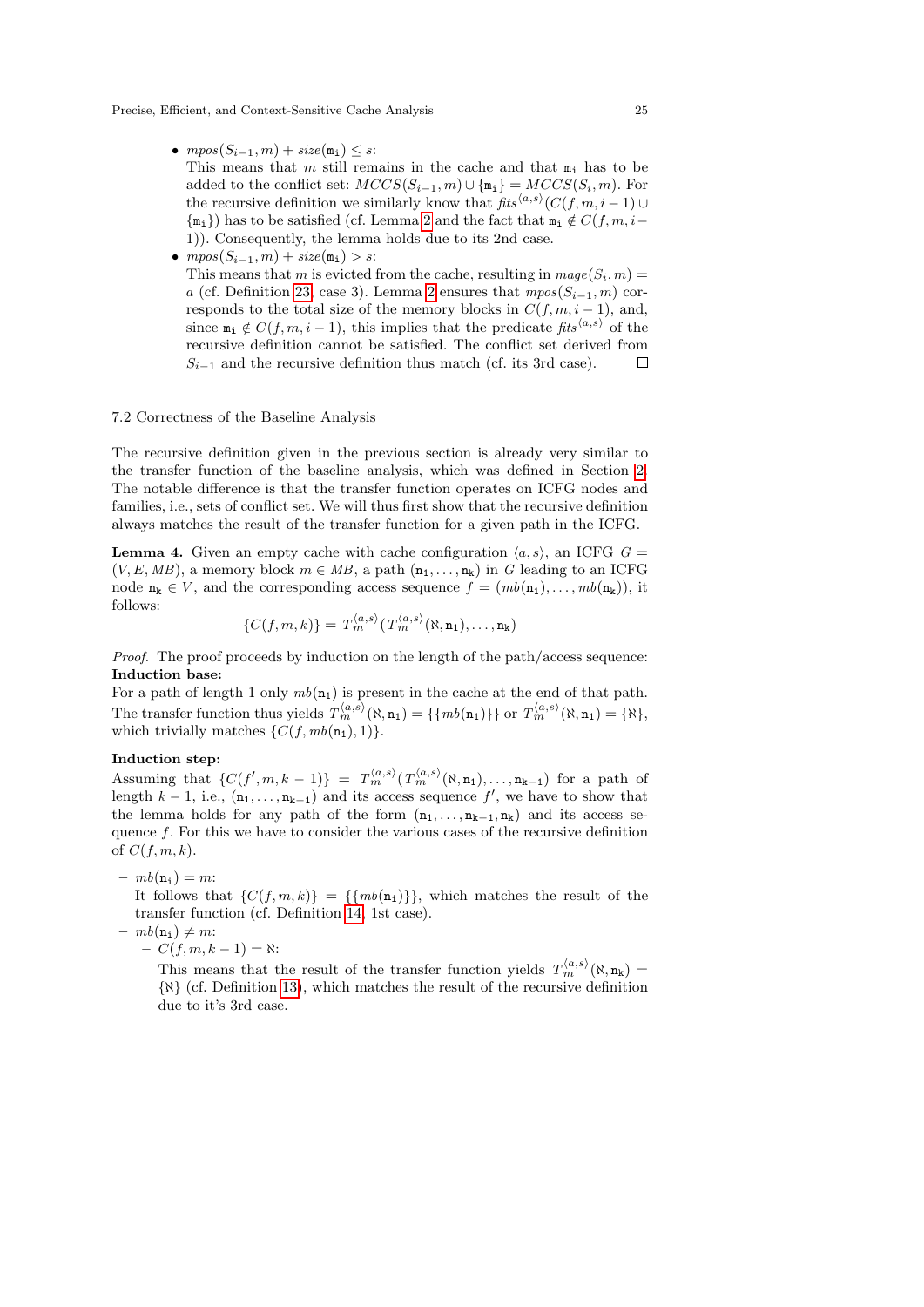•  $mpos(S_{i-1}, m) + size(m_i) \leq s$ :

This means that m still remains in the cache and that  $m_i$  has to be added to the conflict set:  $MCCS(S_{i-1}, m) \cup \{\mathbf{m}_i\} = MCCS(S_i, m)$ . For the recursive definition we similarly know that  $\mathit{fits}^{\langle a,s \rangle}(C(f,m,i-1) \cup$  ${m_i}$ ) has to be satisfied (cf. Lemma [2](#page-21-1) and the fact that  $m_i \notin C(f, m, i-\$ 1)). Consequently, the lemma holds due to its 2nd case.

•  $mpos(S_{i-1}, m) + size(m_i) > s$ : This means that m is evicted from the cache, resulting in  $\text{mag}_e(S_i, m) =$ a (cf. Definition [23,](#page-19-1) case 3). Lemma [2](#page-21-1) ensures that  $mpos(S_{i-1}, m)$  corresponds to the total size of the memory blocks in  $C(f, m, i - 1)$ , and, since  $m_i \notin C(f, m, i - 1)$ , this implies that the predicate fits<sup> $\langle a, s \rangle$ </sup> of the recursive definition cannot be satisfied. The conflict set derived from  $S_{i-1}$  and the recursive definition thus match (cf. its 3rd case).  $\Box$ 

### 7.2 Correctness of the Baseline Analysis

The recursive definition given in the previous section is already very similar to the transfer function of the baseline analysis, which was defined in Section [2.](#page-3-0) The notable difference is that the transfer function operates on ICFG nodes and families, i.e., sets of conflict set. We will thus first show that the recursive definition always matches the result of the transfer function for a given path in the ICFG.

<span id="page-24-0"></span>**Lemma 4.** Given an empty cache with cache configuration  $\langle a, s \rangle$ , an ICFG  $G =$  $(V, E, MB)$ , a memory block  $m \in MB$ , a path  $(n_1, \ldots, n_k)$  in G leading to an ICFG node  $\mathbf{n_k} \in V$ , and the corresponding access sequence  $f = (mb(\mathbf{n_1}), \dots, mb(\mathbf{n_k}))$ , it follows:

$$
\{C(f,m,k)\} = T_m^{\langle a,s\rangle} \bigl(T_m^{\langle a,s\rangle}(\aleph, \mathbf{n}_1),\ldots, \mathbf{n}_k\bigr)
$$

Proof. The proof proceeds by induction on the length of the path/access sequence: Induction base:

For a path of length 1 only  $mb(n_1)$  is present in the cache at the end of that path. The transfer function thus yields  $T_m^{\langle a,s\rangle}(\aleph, \mathbf{n}_1) = \{\{mb(n_1)\}\}\$  or  $T_m^{\langle a,s\rangle}(\aleph, \mathbf{n}_1) = \{\aleph\}$ , which trivially matches  $\{C(f, mb(n_1), 1)\}.$ 

### Induction step:

Assuming that  $\{C(f',m,k-1)\} = T_m^{\langle a,s\rangle} (T_m^{\langle a,s\rangle}(\aleph,n_1),\ldots,n_{k-1})$  for a path of length  $k-1$ , i.e.,  $(\mathbf{n}_1, \ldots, \mathbf{n}_{k-1})$  and its access sequence  $f'$ , we have to show that the lemma holds for any path of the form  $(n_1, \ldots, n_{k-1}, n_k)$  and its access sequence  $f$ . For this we have to consider the various cases of the recursive definition of  $C(f, m, k)$ .

# $- mb(n_i) = m$ :

It follows that  $\{C(f, m, k)\} = \{\{mb(n_i)\}\}\$ , which matches the result of the transfer function (cf. Definition [14,](#page-6-4) 1st case).

 $- mb(n_i) \neq m$ :

 $- C(f, m, k - 1) = \aleph$ :

This means that the result of the transfer function yields  $T_m^{\langle a,s\rangle}(\aleph,n_k)$ {ℵ} (cf. Definition [13\)](#page-6-3), which matches the result of the recursive definition due to it's 3rd case.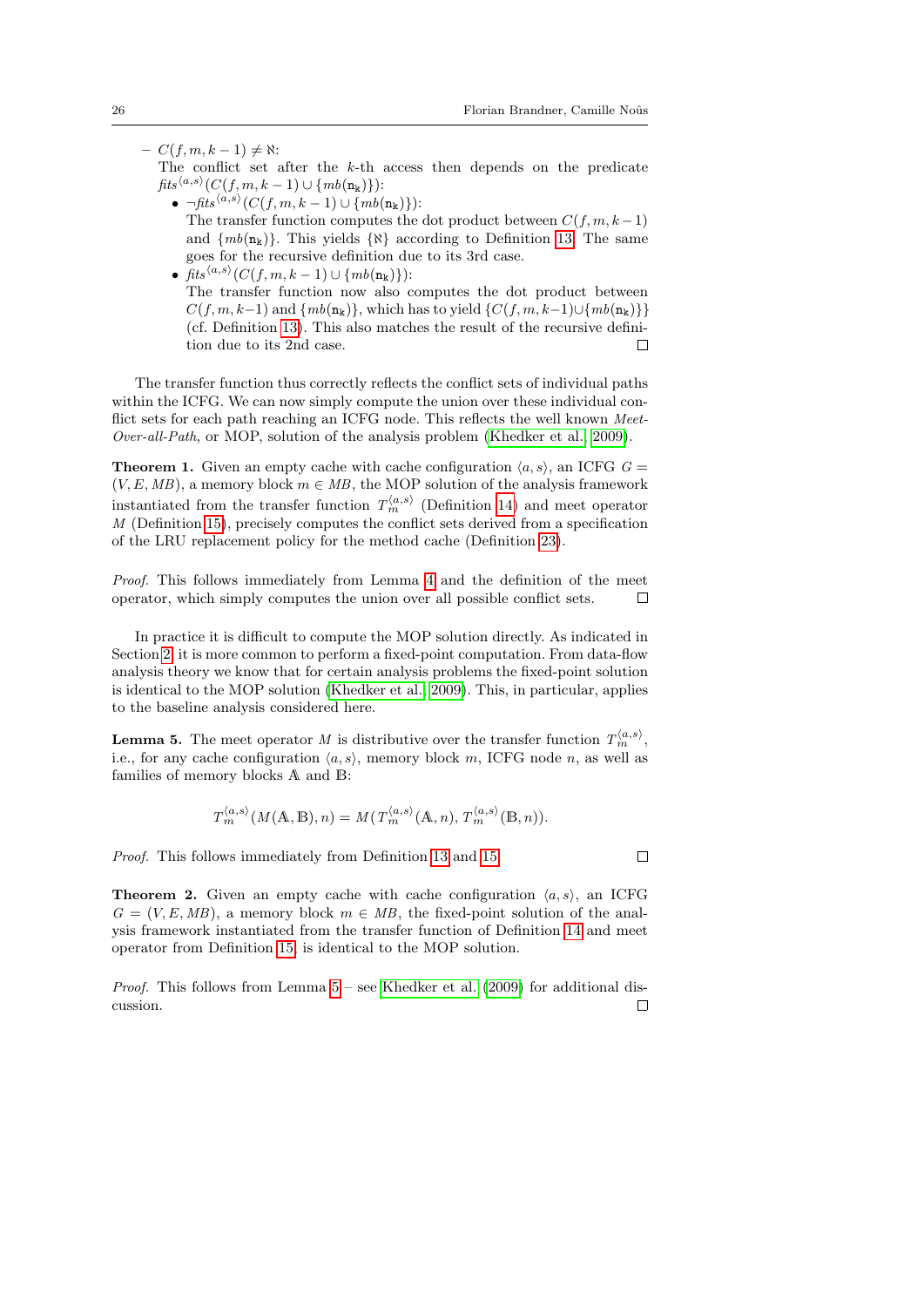$\Box$ 

 $- C(f, m, k - 1) \neq \aleph$ :

The conflict set after the  $k$ -th access then depends on the predicate  $\mathit{fits}^{\langle a,s\rangle}(C(f,m,k-1)\cup\{\mathit{mb}({\tt n_k})\})$  :

- $\bullet$   $\neg\mathit{fits}^{\langle a,s\rangle}(C(f,m,k-1)\cup\{\mathit{mb}(n_k)\})$ : The transfer function computes the dot product between  $C(f, m, k-1)$ and  $\{mb(n_k)\}\$ . This yields  $\{\aleph\}$  according to Definition [13.](#page-6-3) The same goes for the recursive definition due to its 3rd case.
- fits<sup> $\langle a,s \rangle$ </sup> $(C(f,m,k-1) \cup \{mb(n_k)\})$ : The transfer function now also computes the dot product between  $C(f, m, k-1)$  and  $\{mb(n_k)\}\$ , which has to yield  $\{C(f, m, k-1) \cup \{mb(n_k)\}\}\$ (cf. Definition [13\)](#page-6-3). This also matches the result of the recursive definition due to its 2nd case.  $\Box$

The transfer function thus correctly reflects the conflict sets of individual paths within the ICFG. We can now simply compute the union over these individual conflict sets for each path reaching an ICFG node. This reflects the well known Meet-Over-all-Path, or MOP, solution of the analysis problem [\(Khedker et al., 2009\)](#page-44-12).

**Theorem 1.** Given an empty cache with cache configuration  $\langle a, s \rangle$ , an ICFG  $G =$  $(V, E, MB)$ , a memory block  $m \in MB$ , the MOP solution of the analysis framework instantiated from the transfer function  $T_m^{\langle a,s \rangle}$  (Definition [14\)](#page-6-4) and meet operator M (Definition [15\)](#page-7-0), precisely computes the conflict sets derived from a specification of the LRU replacement policy for the method cache (Definition [23\)](#page-19-1).

Proof. This follows immediately from Lemma [4](#page-24-0) and the definition of the meet operator, which simply computes the union over all possible conflict sets.  $\Box$ 

In practice it is difficult to compute the MOP solution directly. As indicated in Section [2,](#page-3-0) it is more common to perform a fixed-point computation. From data-flow analysis theory we know that for certain analysis problems the fixed-point solution is identical to the MOP solution [\(Khedker et al., 2009\)](#page-44-12). This, in particular, applies to the baseline analysis considered here.

<span id="page-25-0"></span>**Lemma 5.** The meet operator M is distributive over the transfer function  $T_m^{\langle a,s \rangle}$ , i.e., for any cache configuration  $(a, s)$ , memory block m, ICFG node n, as well as families of memory blocks A and B:

$$
T_m^{\langle a,s \rangle}(M(\mathbb{A}, \mathbb{B}), n) = M(T_m^{\langle a,s \rangle}(\mathbb{A}, n), T_m^{\langle a,s \rangle}(\mathbb{B}, n)).
$$

Proof. This follows immediately from Definition [13](#page-6-3) and [15.](#page-7-0)

**Theorem 2.** Given an empty cache with cache configuration  $\langle a, s \rangle$ , an ICFG  $G = (V, E, MB)$ , a memory block  $m \in MB$ , the fixed-point solution of the analysis framework instantiated from the transfer function of Definition [14](#page-6-4) and meet operator from Definition [15,](#page-7-0) is identical to the MOP solution.

*Proof.* This follows from Lemma  $5$  – see [Khedker et al.](#page-44-12) [\(2009\)](#page-44-12) for additional discussion. $\Box$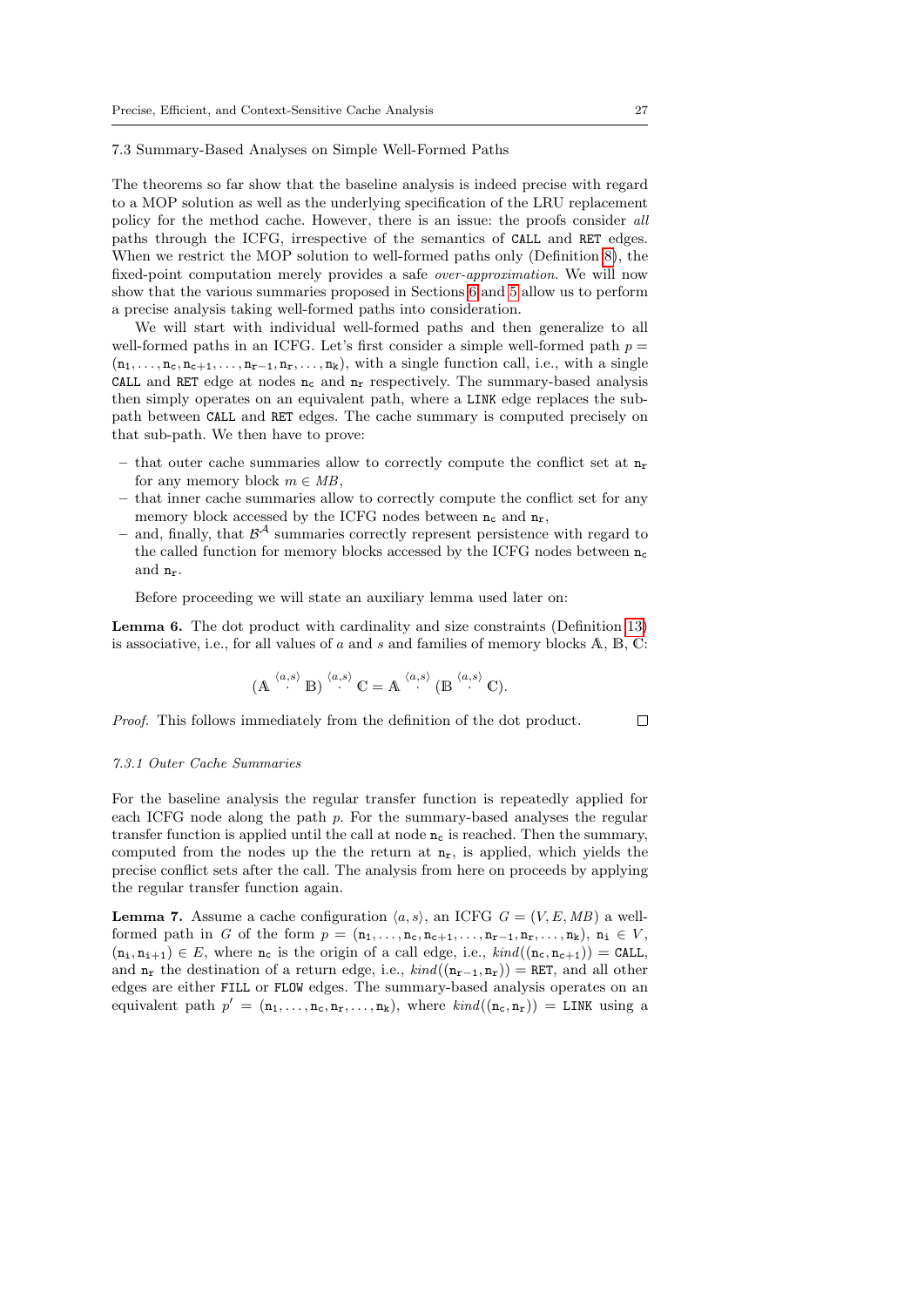#### 7.3 Summary-Based Analyses on Simple Well-Formed Paths

The theorems so far show that the baseline analysis is indeed precise with regard to a MOP solution as well as the underlying specification of the LRU replacement policy for the method cache. However, there is an issue: the proofs consider all paths through the ICFG, irrespective of the semantics of CALL and RET edges. When we restrict the MOP solution to well-formed paths only (Definition [8\)](#page-5-1), the fixed-point computation merely provides a safe over-approximation. We will now show that the various summaries proposed in Sections [6](#page-15-0) and [5](#page-11-0) allow us to perform a precise analysis taking well-formed paths into consideration.

We will start with individual well-formed paths and then generalize to all well-formed paths in an ICFG. Let's first consider a simple well-formed path  $p =$  $(n_1, \ldots, n_c, n_{c+1}, \ldots, n_{r-1}, n_r, \ldots, n_k)$ , with a single function call, i.e., with a single CALL and RET edge at nodes  $n_c$  and  $n_r$  respectively. The summary-based analysis then simply operates on an equivalent path, where a LINK edge replaces the subpath between CALL and RET edges. The cache summary is computed precisely on that sub-path. We then have to prove:

- that outer cache summaries allow to correctly compute the conflict set at  $n_r$ for any memory block  $m \in MB$ ,
- that inner cache summaries allow to correctly compute the conflict set for any memory block accessed by the ICFG nodes between  $n_c$  and  $n_r$ ,
- $-$  and, finally, that  $\mathcal{B}^{\mathcal{A}}$  summaries correctly represent persistence with regard to the called function for memory blocks accessed by the ICFG nodes between  $n_c$ and nr.

Before proceeding we will state an auxiliary lemma used later on:

<span id="page-26-0"></span>Lemma 6. The dot product with cardinality and size constraints (Definition [13\)](#page-6-3) is associative, i.e., for all values of  $a$  and  $s$  and families of memory blocks  $A, B, C$ :

$$
(\mathbb{A} \xrightarrow{\langle a,s\rangle} \mathbb{B}) \xrightarrow{\langle a,s\rangle} \mathbb{C} = \mathbb{A} \xrightarrow{\langle a,s\rangle} (\mathbb{B} \xrightarrow{\langle a,s\rangle} \mathbb{C}).
$$

Proof. This follows immediately from the definition of the dot product.

### 7.3.1 Outer Cache Summaries

For the baseline analysis the regular transfer function is repeatedly applied for each ICFG node along the path  $p$ . For the summary-based analyses the regular transfer function is applied until the call at node  $n_c$  is reached. Then the summary, computed from the nodes up the the return at  $n_r$ , is applied, which yields the precise conflict sets after the call. The analysis from here on proceeds by applying the regular transfer function again.

<span id="page-26-1"></span>**Lemma 7.** Assume a cache configuration  $\langle a, s \rangle$ , an ICFG  $G = (V, E, MB)$  a wellformed path in G of the form  $p = (\mathbf{n}_1, \ldots, \mathbf{n}_c, \mathbf{n}_{c+1}, \ldots, \mathbf{n}_{r-1}, \mathbf{n}_r, \ldots, \mathbf{n}_k), \mathbf{n}_i \in V$ ,  $(n_i, n_{i+1}) \in E$ , where  $n_c$  is the origin of a call edge, i.e.,  $\text{kind}((n_c, n_{c+1})) = \text{CALL}$ , and  $n_r$  the destination of a return edge, i.e.,  $\text{kind}((n_{r-1}, n_r)) = \text{RET}$ , and all other edges are either FILL or FLOW edges. The summary-based analysis operates on an equivalent path  $p' = (\mathbf{n}_1, \dots, \mathbf{n}_c, \mathbf{n}_r, \dots, \mathbf{n}_k)$ , where  $\text{kind}((\mathbf{n}_c, \mathbf{n}_r)) = \text{LINK using a}$ 

 $\Box$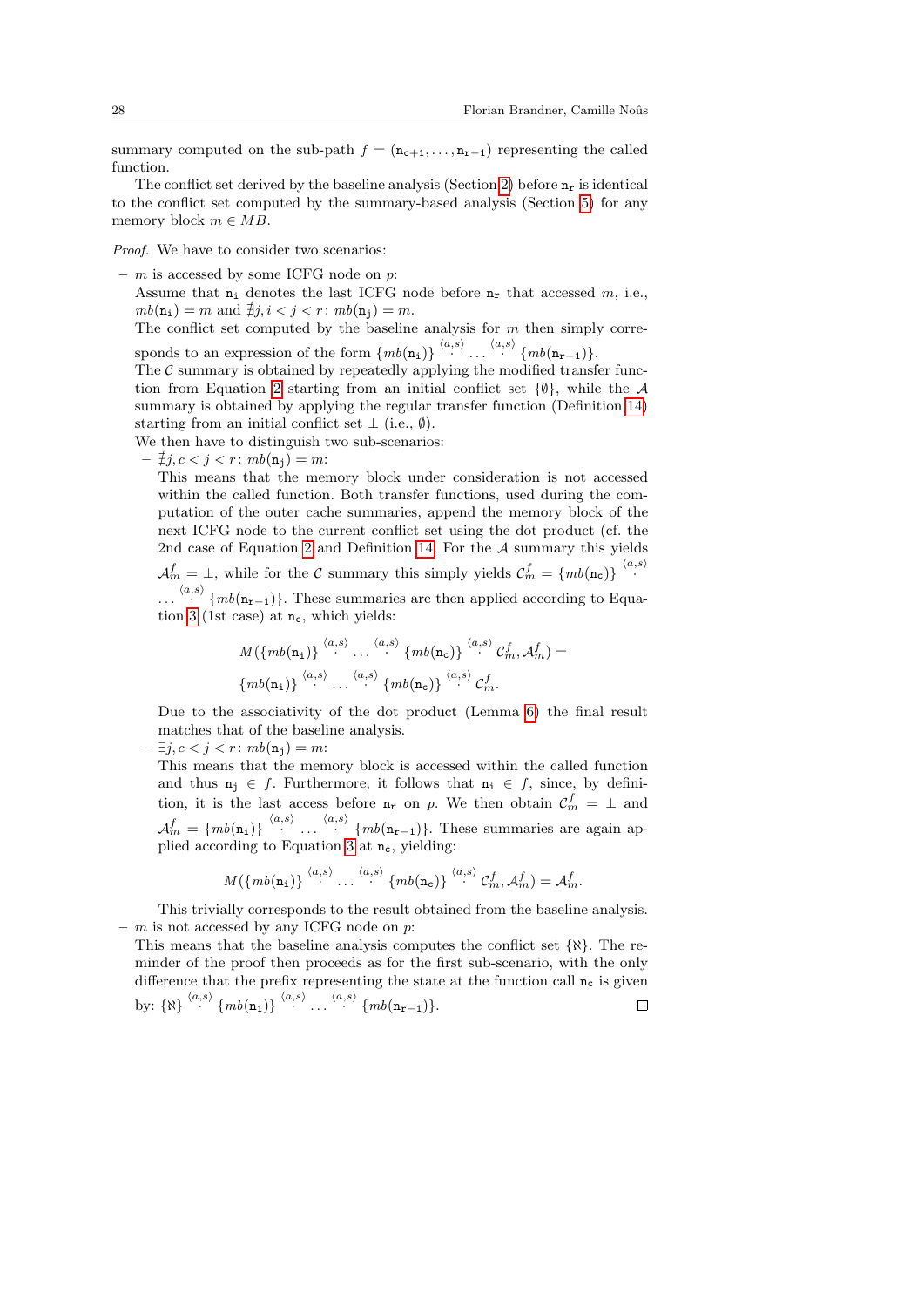summary computed on the sub-path  $f = (\mathbf{n}_{c+1}, \ldots, \mathbf{n}_{r-1})$  representing the called function.

The conflict set derived by the baseline analysis (Section [2\)](#page-3-0) before  $n_r$  is identical to the conflict set computed by the summary-based analysis (Section [5\)](#page-11-0) for any memory block  $m \in MB$ .

Proof. We have to consider two scenarios:

- $m$  is accessed by some ICFG node on p:
	- Assume that  $n_i$  denotes the last ICFG node before  $n_r$  that accessed  $m$ , i.e.,  $mb(n_i) = m$  and  $\nexists j, i < j < r$ :  $mb(n_j) = m$ .

The conflict set computed by the baseline analysis for  $m$  then simply corresponds to an expression of the form  $\{mb(n_1)\}\overset{\langle a,s\rangle}{\cdots}\cdots \overset{\langle a,s\rangle}{\cdots}\{mb(n_{r-1})\}.$ 

The  $\mathcal C$  summary is obtained by repeatedly applying the modified transfer func-tion from Equation [2](#page-12-4) starting from an initial conflict set  $\{\emptyset\}$ , while the A summary is obtained by applying the regular transfer function (Definition [14\)](#page-6-4) starting from an initial conflict set  $\perp$  (i.e.,  $\emptyset$ ).

We then have to distinguish two sub-scenarios:

 $- \nexists j, c < j < r : mb(n_i) = m$ :

This means that the memory block under consideration is not accessed within the called function. Both transfer functions, used during the computation of the outer cache summaries, append the memory block of the next ICFG node to the current conflict set using the dot product (cf. the 2nd case of Equation [2](#page-12-4) and Definition [14.](#page-6-4) For the A summary this yields  $\mathcal{A}_m^f = \bot$ , while for the C summary this simply yields  $\mathcal{C}_m^f = \{mb(\mathbf{n_c})\} \stackrel{\langle a,s \rangle}{\cdot}$ 

...  $\langle a,s \rangle$  {mb(n<sub>r−1</sub>)}. These summaries are then applied according to Equa-tion [3](#page-14-3) (1st case) at  $n_c$ , which yields:

$$
M(\lbrace mb(\mathbf{n_1}) \rbrace \stackrel{\langle a,s \rangle}{\cdot} \dots \stackrel{\langle a,s \rangle}{\cdot} \lbrace mb(\mathbf{n_c}) \rbrace \stackrel{\langle a,s \rangle}{\cdot} \mathcal{C}_m^f, \mathcal{A}_m^f) =
$$

$$
\lbrace mb(\mathbf{n_1}) \rbrace \stackrel{\langle a,s \rangle}{\cdot} \dots \stackrel{\langle a,s \rangle}{\cdot} \lbrace mb(\mathbf{n_c}) \rbrace \stackrel{\langle a,s \rangle}{\cdot} \mathcal{C}_m^f.
$$

Due to the associativity of the dot product (Lemma [6\)](#page-26-0) the final result matches that of the baseline analysis.

 $\exists j, c < j < r : mb(\mathbf{n}_i) = m$ :

This means that the memory block is accessed within the called function and thus  $n_i \in f$ . Furthermore, it follows that  $n_i \in f$ , since, by definition, it is the last access before  $n_r$  on p. We then obtain  $\mathcal{C}_m^f = \perp$  and  $\mathcal{A}_m^f = \{mb(n_i)\}\stackrel{\langle a,s\rangle}{\cdots} \cdots \stackrel{\langle a,s\rangle}{\cdots} \{mb(n_{r-1})\}.$  These summaries are again ap-plied according to Equation [3](#page-14-3) at  $n_c$ , yielding:

$$
M(\lbrace mb(\mathbf{n_1}) \rbrace \stackrel{\langle a,s \rangle}{\cdots} \ldots \stackrel{\langle a,s \rangle}{\cdots} \lbrace mb(\mathbf{n_c}) \rbrace \stackrel{\langle a,s \rangle}{\cdots} \mathcal{C}_m^f, \mathcal{A}_m^f) = \mathcal{A}_m^f.
$$

This trivially corresponds to the result obtained from the baseline analysis.  $- m$  is not accessed by any ICFG node on p:

This means that the baseline analysis computes the conflict set  $\{X\}$ . The reminder of the proof then proceeds as for the first sub-scenario, with the only difference that the prefix representing the state at the function call  $n_c$  is given by:  $\{ \aleph \}$   $\langle a,s \rangle$   $\{ mb(n_1) \}$   $\langle a,s \rangle$  ...  $\langle a,s \rangle$   $\{ mb(n_{r-1}) \}.$  $\Box$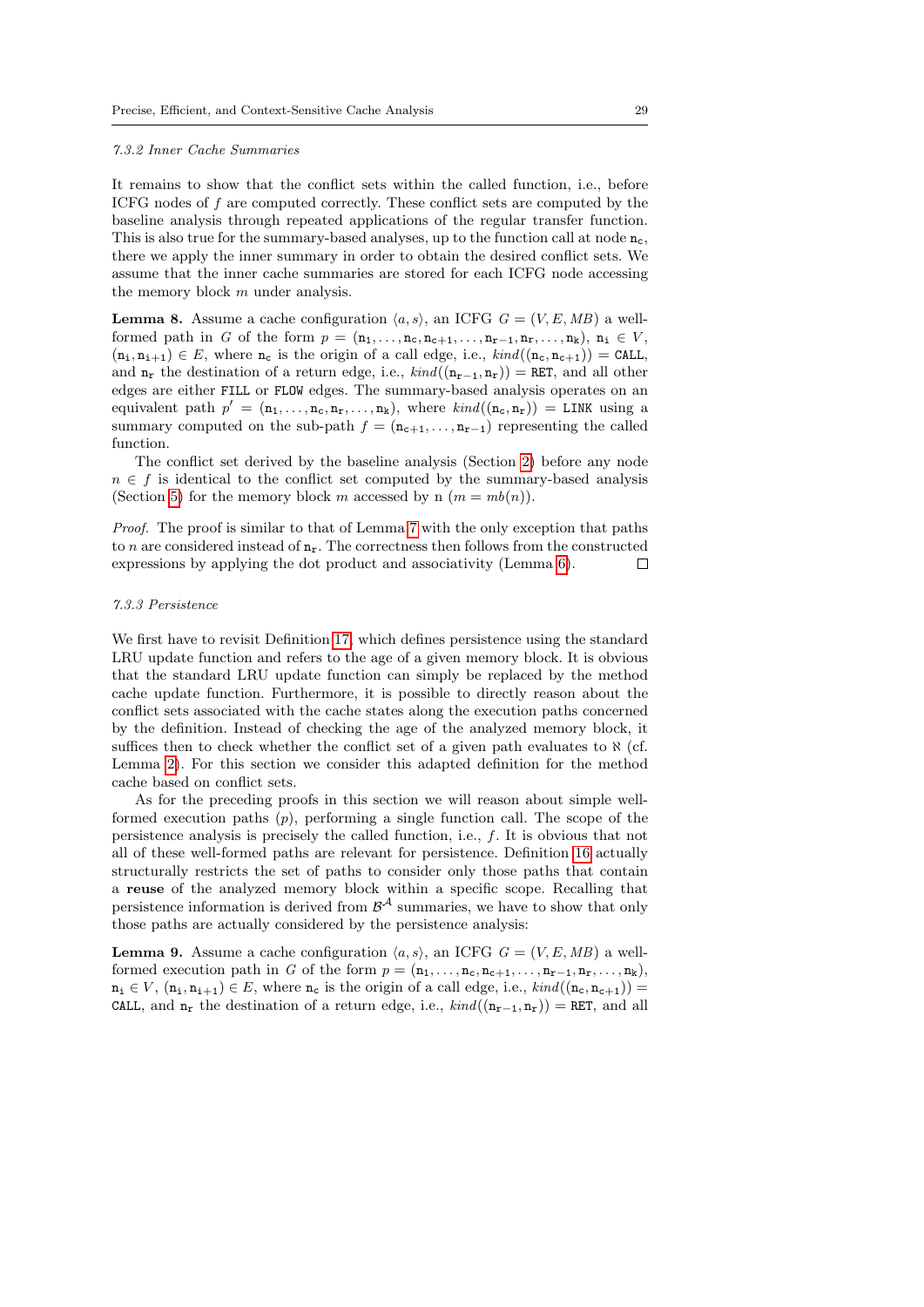#### 7.3.2 Inner Cache Summaries

It remains to show that the conflict sets within the called function, i.e., before ICFG nodes of f are computed correctly. These conflict sets are computed by the baseline analysis through repeated applications of the regular transfer function. This is also true for the summary-based analyses, up to the function call at node  $n_c$ , there we apply the inner summary in order to obtain the desired conflict sets. We assume that the inner cache summaries are stored for each ICFG node accessing the memory block m under analysis.

<span id="page-28-0"></span>**Lemma 8.** Assume a cache configuration  $\langle a, s \rangle$ , an ICFG  $G = (V, E, MB)$  a wellformed path in G of the form  $p = (\mathbf{n}_1, \ldots, \mathbf{n}_c, \mathbf{n}_{c+1}, \ldots, \mathbf{n}_{r-1}, \mathbf{n}_r, \ldots, \mathbf{n}_k), \mathbf{n}_i \in V$ ,  $(n_i, n_{i+1}) \in E$ , where  $n_c$  is the origin of a call edge, i.e.,  $\text{kind}((n_c, n_{c+1})) = \text{CALL}$ , and  $n_r$  the destination of a return edge, i.e.,  $kind((n_{r-1}, n_r)) =$  RET, and all other edges are either FILL or FLOW edges. The summary-based analysis operates on an equivalent path  $p' = (\mathbf{n}_1, \ldots, \mathbf{n}_c, \mathbf{n}_r, \ldots, \mathbf{n}_k)$ , where  $\text{kind}((\mathbf{n}_c, \mathbf{n}_r)) = \text{LINK using a}$ summary computed on the sub-path  $f = (\mathbf{n}_{c+1}, \ldots, \mathbf{n}_{r-1})$  representing the called function.

The conflict set derived by the baseline analysis (Section [2\)](#page-3-0) before any node  $n \in f$  is identical to the conflict set computed by the summary-based analysis (Section [5\)](#page-11-0) for the memory block m accessed by n  $(m = mb(n))$ .

Proof. The proof is similar to that of Lemma [7](#page-26-1) with the only exception that paths to n are considered instead of  $n_r$ . The correctness then follows from the constructed expressions by applying the dot product and associativity (Lemma [6\)](#page-26-0).  $\Box$ 

### 7.3.3 Persistence

We first have to revisit Definition [17,](#page-8-2) which defines persistence using the standard LRU update function and refers to the age of a given memory block. It is obvious that the standard LRU update function can simply be replaced by the method cache update function. Furthermore, it is possible to directly reason about the conflict sets associated with the cache states along the execution paths concerned by the definition. Instead of checking the age of the analyzed memory block, it suffices then to check whether the conflict set of a given path evaluates to  $\aleph$  (cf. Lemma [2\)](#page-21-1). For this section we consider this adapted definition for the method cache based on conflict sets.

As for the preceding proofs in this section we will reason about simple wellformed execution paths  $(p)$ , performing a single function call. The scope of the persistence analysis is precisely the called function, i.e., f. It is obvious that not all of these well-formed paths are relevant for persistence. Definition [16](#page-8-3) actually structurally restricts the set of paths to consider only those paths that contain a reuse of the analyzed memory block within a specific scope. Recalling that persistence information is derived from  $\mathcal{B}^{\mathcal{A}}$  summaries, we have to show that only those paths are actually considered by the persistence analysis:

<span id="page-28-1"></span>**Lemma 9.** Assume a cache configuration  $\langle a, s \rangle$ , an ICFG  $G = (V, E, MB)$  a wellformed execution path in G of the form  $p = (\mathbf{n}_1, \ldots, \mathbf{n}_c, \mathbf{n}_{c+1}, \ldots, \mathbf{n}_{r-1}, \mathbf{n}_r, \ldots, \mathbf{n}_k)$ ,  $n_i \in V$ ,  $(n_i, n_{i+1}) \in E$ , where  $n_c$  is the origin of a call edge, i.e.,  $\text{kind}((n_c, n_{c+1}))$  = CALL, and  $n_r$  the destination of a return edge, i.e.,  $kind((n_{r-1}, n_r)) = RET$ , and all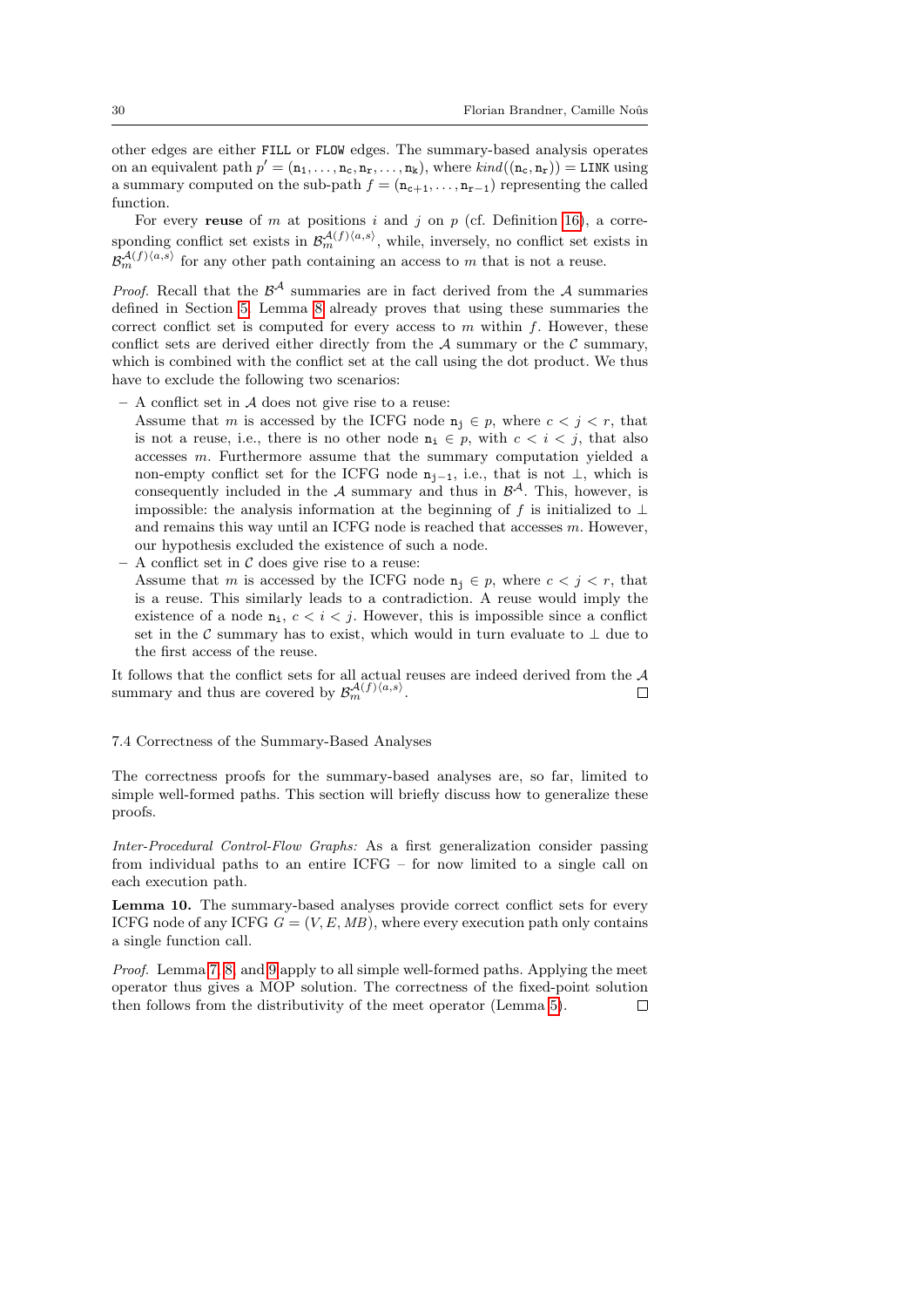other edges are either FILL or FLOW edges. The summary-based analysis operates on an equivalent path  $p' = (\mathbf{n}_1, \dots, \mathbf{n}_c, \mathbf{n}_r, \dots, \mathbf{n}_k)$ , where  $\text{kind}((\mathbf{n}_c, \mathbf{n}_r)) = \text{LINK using}$ a summary computed on the sub-path  $f = (\mathbf{n}_{c+1}, \ldots, \mathbf{n}_{r-1})$  representing the called function.

For every reuse of m at positions i and j on  $p$  (cf. Definition [16\)](#page-8-3), a corresponding conflict set exists in  $\mathcal{B}_{m}^{\mathcal{A}(f)(a,s)}$ , while, inversely, no conflict set exists in  $\mathcal{B}_{m}^{\mathcal{A}(f)(a,s)}$  for any other path containing an access to m that is not a reuse.

*Proof.* Recall that the  $\mathcal{B}^{\mathcal{A}}$  summaries are in fact derived from the  $\mathcal{A}$  summaries defined in Section [5.](#page-11-0) Lemma [8](#page-28-0) already proves that using these summaries the correct conflict set is computed for every access to  $m$  within  $f$ . However, these conflict sets are derived either directly from the  $A$  summary or the  $C$  summary, which is combined with the conflict set at the call using the dot product. We thus have to exclude the following two scenarios:

 $- A$  conflict set in  $A$  does not give rise to a reuse:

Assume that m is accessed by the ICFG node  $\mathbf{n}_i \in p$ , where  $c < j < r$ , that is not a reuse, i.e., there is no other node  $n_i \in p$ , with  $c < i < j$ , that also accesses m. Furthermore assume that the summary computation yielded a non-empty conflict set for the ICFG node  $n_{i-1}$ , i.e., that is not  $\perp$ , which is consequently included in the A summary and thus in  $\mathcal{B}^{\mathcal{A}}$ . This, however, is impossible: the analysis information at the beginning of f is initialized to  $\perp$ and remains this way until an ICFG node is reached that accesses  $m$ . However, our hypothesis excluded the existence of such a node.

- A conflict set in  $C$  does give rise to a reuse:
	- Assume that m is accessed by the ICFG node  $n_i \in p$ , where  $c < j < r$ , that is a reuse. This similarly leads to a contradiction. A reuse would imply the existence of a node  $n_i$ ,  $c < i < j$ . However, this is impossible since a conflict set in the  $\mathcal C$  summary has to exist, which would in turn evaluate to  $\perp$  due to the first access of the reuse.

It follows that the conflict sets for all actual reuses are indeed derived from the A summary and thus are covered by  $\mathcal{B}_{m}^{\mathcal{A}(f)(a,s)}$ .  $\Box$ 

### 7.4 Correctness of the Summary-Based Analyses

The correctness proofs for the summary-based analyses are, so far, limited to simple well-formed paths. This section will briefly discuss how to generalize these proofs.

Inter-Procedural Control-Flow Graphs: As a first generalization consider passing from individual paths to an entire ICFG – for now limited to a single call on each execution path.

<span id="page-29-0"></span>Lemma 10. The summary-based analyses provide correct conflict sets for every ICFG node of any ICFG  $G = (V, E, MB)$ , where every execution path only contains a single function call.

Proof. Lemma [7,](#page-26-1) [8,](#page-28-0) and [9](#page-28-1) apply to all simple well-formed paths. Applying the meet operator thus gives a MOP solution. The correctness of the fixed-point solution then follows from the distributivity of the meet operator (Lemma [5\)](#page-25-0). $\Box$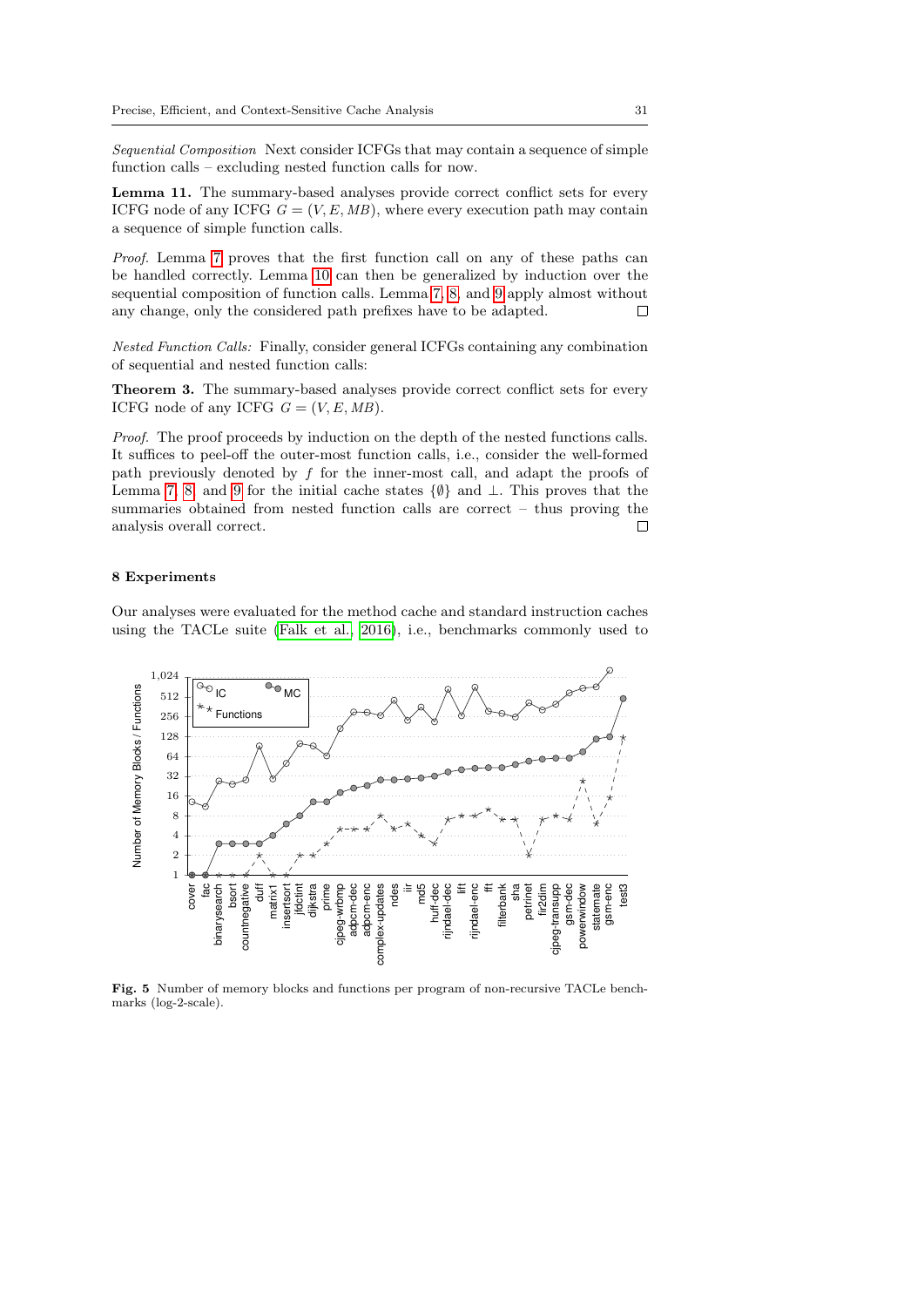Sequential Composition Next consider ICFGs that may contain a sequence of simple function calls – excluding nested function calls for now.

Lemma 11. The summary-based analyses provide correct conflict sets for every ICFG node of any ICFG  $G = (V, E, MB)$ , where every execution path may contain a sequence of simple function calls.

Proof. Lemma [7](#page-26-1) proves that the first function call on any of these paths can be handled correctly. Lemma [10](#page-29-0) can then be generalized by induction over the sequential composition of function calls. Lemma [7,](#page-26-1) [8,](#page-28-0) and [9](#page-28-1) apply almost without any change, only the considered path prefixes have to be adapted.  $\Box$ 

Nested Function Calls: Finally, consider general ICFGs containing any combination of sequential and nested function calls:

Theorem 3. The summary-based analyses provide correct conflict sets for every ICFG node of any ICFG  $G = (V, E, MB)$ .

Proof. The proof proceeds by induction on the depth of the nested functions calls. It suffices to peel-off the outer-most function calls, i.e., consider the well-formed path previously denoted by f for the inner-most call, and adapt the proofs of Lemma [7,](#page-26-1) [8,](#page-28-0) and [9](#page-28-1) for the initial cache states {∅} and ⊥. This proves that the summaries obtained from nested function calls are correct – thus proving the analysis overall correct. П

#### <span id="page-30-0"></span>8 Experiments

Our analyses were evaluated for the method cache and standard instruction caches using the TACLe suite [\(Falk et al., 2016\)](#page-43-4), i.e., benchmarks commonly used to



<span id="page-30-1"></span>Fig. 5 Number of memory blocks and functions per program of non-recursive TACLe benchmarks (log-2-scale).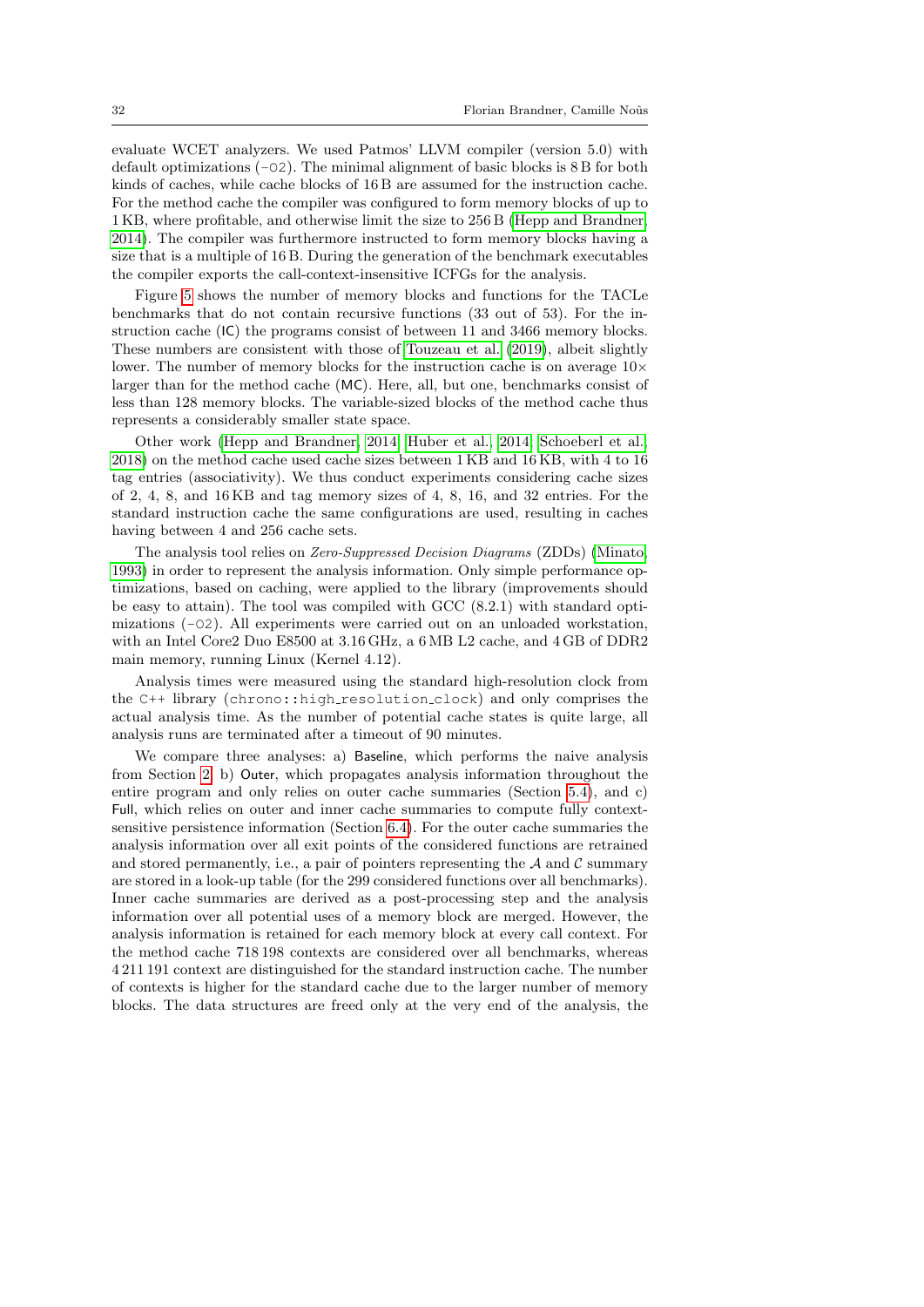evaluate WCET analyzers. We used Patmos' LLVM compiler (version 5.0) with default optimizations  $(-02)$ . The minimal alignment of basic blocks is  $8B$  for both kinds of caches, while cache blocks of 16 B are assumed for the instruction cache. For the method cache the compiler was configured to form memory blocks of up to 1 KB, where profitable, and otherwise limit the size to 256 B [\(Hepp and Brandner,](#page-44-8) [2014\)](#page-44-8). The compiler was furthermore instructed to form memory blocks having a size that is a multiple of 16 B. During the generation of the benchmark executables the compiler exports the call-context-insensitive ICFGs for the analysis.

Figure [5](#page-30-1) shows the number of memory blocks and functions for the TACLe benchmarks that do not contain recursive functions (33 out of 53). For the instruction cache (IC) the programs consist of between 11 and 3466 memory blocks. These numbers are consistent with those of [Touzeau et al.](#page-45-4) [\(2019\)](#page-45-4), albeit slightly lower. The number of memory blocks for the instruction cache is on average  $10\times$ larger than for the method cache (MC). Here, all, but one, benchmarks consist of less than 128 memory blocks. The variable-sized blocks of the method cache thus represents a considerably smaller state space.

Other work [\(Hepp and Brandner, 2014;](#page-44-8) [Huber et al., 2014;](#page-44-4) [Schoeberl et al.,](#page-45-9) [2018\)](#page-45-9) on the method cache used cache sizes between 1 KB and 16 KB, with 4 to 16 tag entries (associativity). We thus conduct experiments considering cache sizes of 2, 4, 8, and 16 KB and tag memory sizes of 4, 8, 16, and 32 entries. For the standard instruction cache the same configurations are used, resulting in caches having between 4 and 256 cache sets.

The analysis tool relies on Zero-Suppressed Decision Diagrams (ZDDs) [\(Minato,](#page-44-5) [1993\)](#page-44-5) in order to represent the analysis information. Only simple performance optimizations, based on caching, were applied to the library (improvements should be easy to attain). The tool was compiled with GCC (8.2.1) with standard optimizations  $(-02)$ . All experiments were carried out on an unloaded workstation, with an Intel Core2 Duo E8500 at 3.16 GHz, a 6 MB L2 cache, and 4 GB of DDR2 main memory, running Linux (Kernel 4.12).

Analysis times were measured using the standard high-resolution clock from the C++ library (chrono::high resolution clock) and only comprises the actual analysis time. As the number of potential cache states is quite large, all analysis runs are terminated after a timeout of 90 minutes.

We compare three analyses: a) Baseline, which performs the naive analysis from Section [2,](#page-3-0) b) Outer, which propagates analysis information throughout the entire program and only relies on outer cache summaries (Section [5.4\)](#page-15-1), and c) Full, which relies on outer and inner cache summaries to compute fully contextsensitive persistence information (Section [6.4\)](#page-18-0). For the outer cache summaries the analysis information over all exit points of the considered functions are retrained and stored permanently, i.e., a pair of pointers representing the  $A$  and  $C$  summary are stored in a look-up table (for the 299 considered functions over all benchmarks). Inner cache summaries are derived as a post-processing step and the analysis information over all potential uses of a memory block are merged. However, the analysis information is retained for each memory block at every call context. For the method cache 718 198 contexts are considered over all benchmarks, whereas 4 211 191 context are distinguished for the standard instruction cache. The number of contexts is higher for the standard cache due to the larger number of memory blocks. The data structures are freed only at the very end of the analysis, the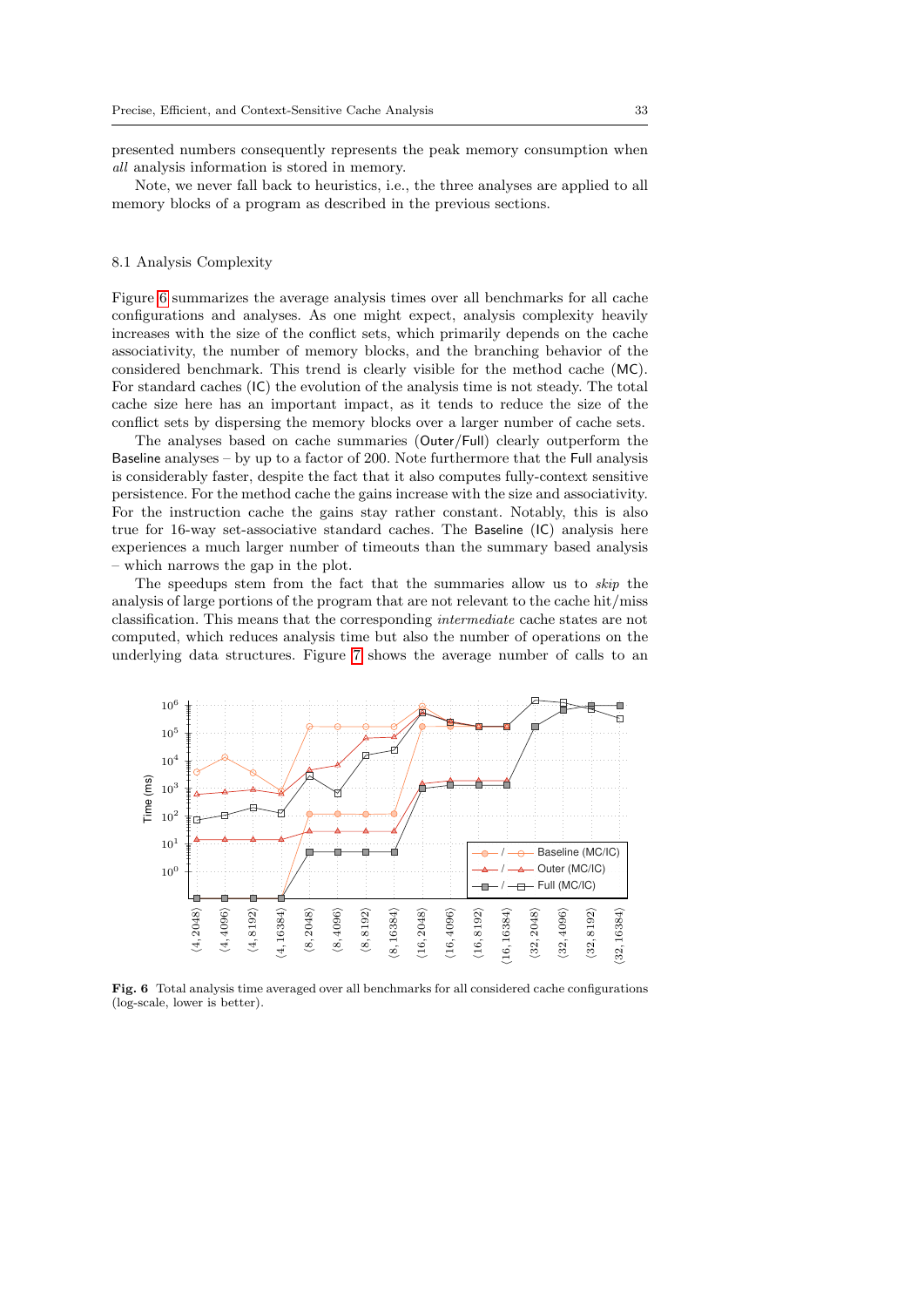presented numbers consequently represents the peak memory consumption when all analysis information is stored in memory.

Note, we never fall back to heuristics, i.e., the three analyses are applied to all memory blocks of a program as described in the previous sections.

# 8.1 Analysis Complexity

Figure [6](#page-32-0) summarizes the average analysis times over all benchmarks for all cache configurations and analyses. As one might expect, analysis complexity heavily increases with the size of the conflict sets, which primarily depends on the cache associativity, the number of memory blocks, and the branching behavior of the considered benchmark. This trend is clearly visible for the method cache (MC). For standard caches (IC) the evolution of the analysis time is not steady. The total cache size here has an important impact, as it tends to reduce the size of the conflict sets by dispersing the memory blocks over a larger number of cache sets.

The analyses based on cache summaries (Outer/Full) clearly outperform the Baseline analyses – by up to a factor of 200. Note furthermore that the Full analysis is considerably faster, despite the fact that it also computes fully-context sensitive persistence. For the method cache the gains increase with the size and associativity. For the instruction cache the gains stay rather constant. Notably, this is also true for 16-way set-associative standard caches. The Baseline (IC) analysis here experiences a much larger number of timeouts than the summary based analysis – which narrows the gap in the plot.

The speedups stem from the fact that the summaries allow us to skip the analysis of large portions of the program that are not relevant to the cache hit/miss classification. This means that the corresponding intermediate cache states are not computed, which reduces analysis time but also the number of operations on the underlying data structures. Figure [7](#page-33-0) shows the average number of calls to an



<span id="page-32-0"></span>Fig. 6 Total analysis time averaged over all benchmarks for all considered cache configurations (log-scale, lower is better).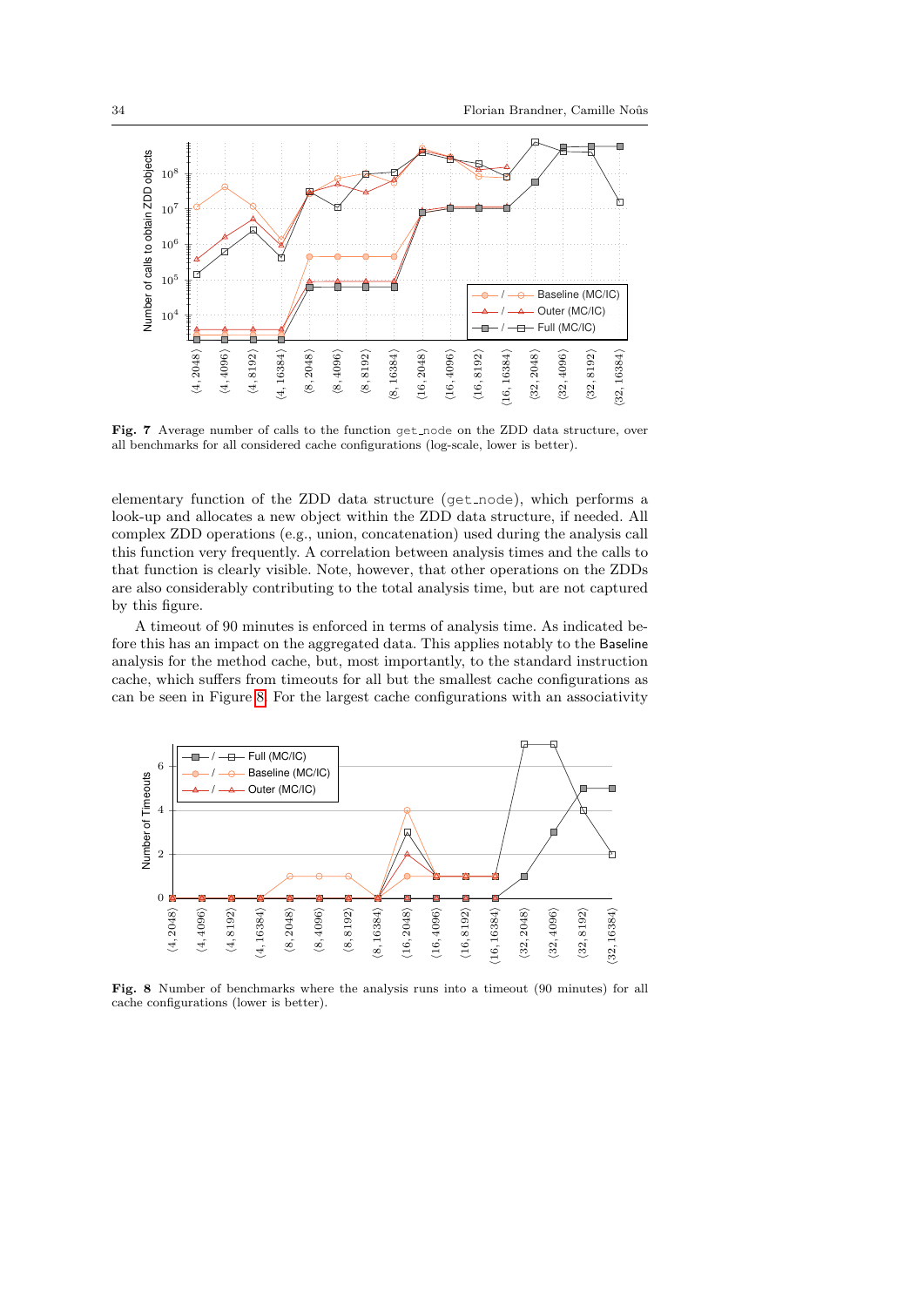

<span id="page-33-0"></span>Fig. 7 Average number of calls to the function get node on the ZDD data structure, over all benchmarks for all considered cache configurations (log-scale, lower is better).

elementary function of the ZDD data structure (get node), which performs a look-up and allocates a new object within the ZDD data structure, if needed. All complex ZDD operations (e.g., union, concatenation) used during the analysis call this function very frequently. A correlation between analysis times and the calls to that function is clearly visible. Note, however, that other operations on the ZDDs are also considerably contributing to the total analysis time, but are not captured by this figure.

A timeout of 90 minutes is enforced in terms of analysis time. As indicated before this has an impact on the aggregated data. This applies notably to the Baseline analysis for the method cache, but, most importantly, to the standard instruction cache, which suffers from timeouts for all but the smallest cache configurations as can be seen in Figure [8.](#page-33-1) For the largest cache configurations with an associativity



<span id="page-33-1"></span>Fig. 8 Number of benchmarks where the analysis runs into a timeout (90 minutes) for all cache configurations (lower is better).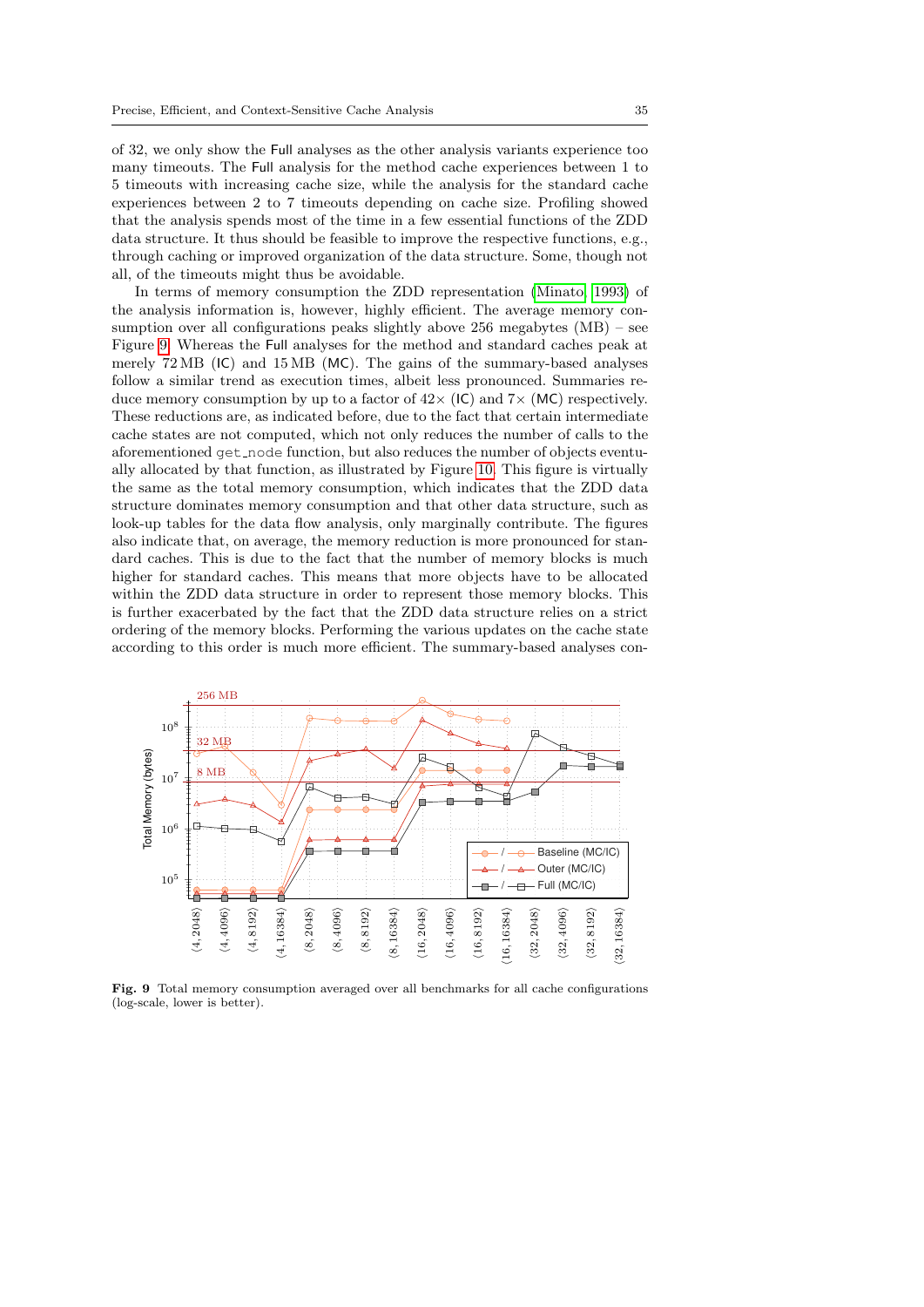of 32, we only show the Full analyses as the other analysis variants experience too many timeouts. The Full analysis for the method cache experiences between 1 to 5 timeouts with increasing cache size, while the analysis for the standard cache experiences between 2 to 7 timeouts depending on cache size. Profiling showed that the analysis spends most of the time in a few essential functions of the ZDD data structure. It thus should be feasible to improve the respective functions, e.g., through caching or improved organization of the data structure. Some, though not all, of the timeouts might thus be avoidable.

In terms of memory consumption the ZDD representation [\(Minato, 1993\)](#page-44-5) of the analysis information is, however, highly efficient. The average memory consumption over all configurations peaks slightly above 256 megabytes (MB) – see Figure [9.](#page-34-0) Whereas the Full analyses for the method and standard caches peak at merely 72 MB (IC) and 15 MB (MC). The gains of the summary-based analyses follow a similar trend as execution times, albeit less pronounced. Summaries reduce memory consumption by up to a factor of  $42 \times (IC)$  and  $7 \times (MC)$  respectively. These reductions are, as indicated before, due to the fact that certain intermediate cache states are not computed, which not only reduces the number of calls to the aforementioned get node function, but also reduces the number of objects eventually allocated by that function, as illustrated by Figure [10.](#page-35-0) This figure is virtually the same as the total memory consumption, which indicates that the ZDD data structure dominates memory consumption and that other data structure, such as look-up tables for the data flow analysis, only marginally contribute. The figures also indicate that, on average, the memory reduction is more pronounced for standard caches. This is due to the fact that the number of memory blocks is much higher for standard caches. This means that more objects have to be allocated within the ZDD data structure in order to represent those memory blocks. This is further exacerbated by the fact that the ZDD data structure relies on a strict ordering of the memory blocks. Performing the various updates on the cache state according to this order is much more efficient. The summary-based analyses con-



<span id="page-34-0"></span>Fig. 9 Total memory consumption averaged over all benchmarks for all cache configurations (log-scale, lower is better).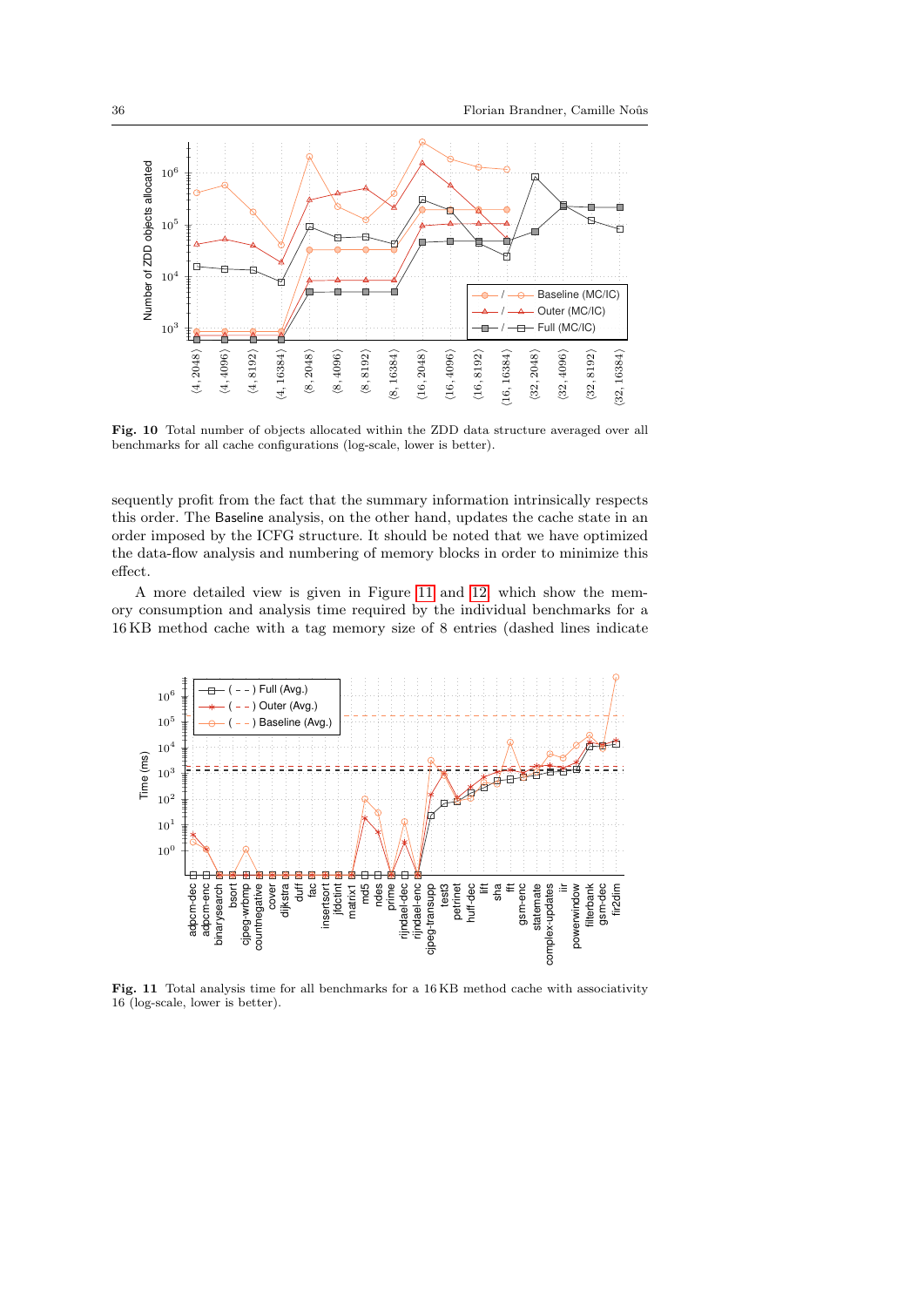

<span id="page-35-0"></span>Fig. 10 Total number of objects allocated within the ZDD data structure averaged over all benchmarks for all cache configurations (log-scale, lower is better).

sequently profit from the fact that the summary information intrinsically respects this order. The Baseline analysis, on the other hand, updates the cache state in an order imposed by the ICFG structure. It should be noted that we have optimized the data-flow analysis and numbering of memory blocks in order to minimize this effect.

A more detailed view is given in Figure [11](#page-35-1) and [12,](#page-36-0) which show the memory consumption and analysis time required by the individual benchmarks for a 16 KB method cache with a tag memory size of 8 entries (dashed lines indicate



<span id="page-35-1"></span>Fig. 11 Total analysis time for all benchmarks for a 16 KB method cache with associativity 16 (log-scale, lower is better).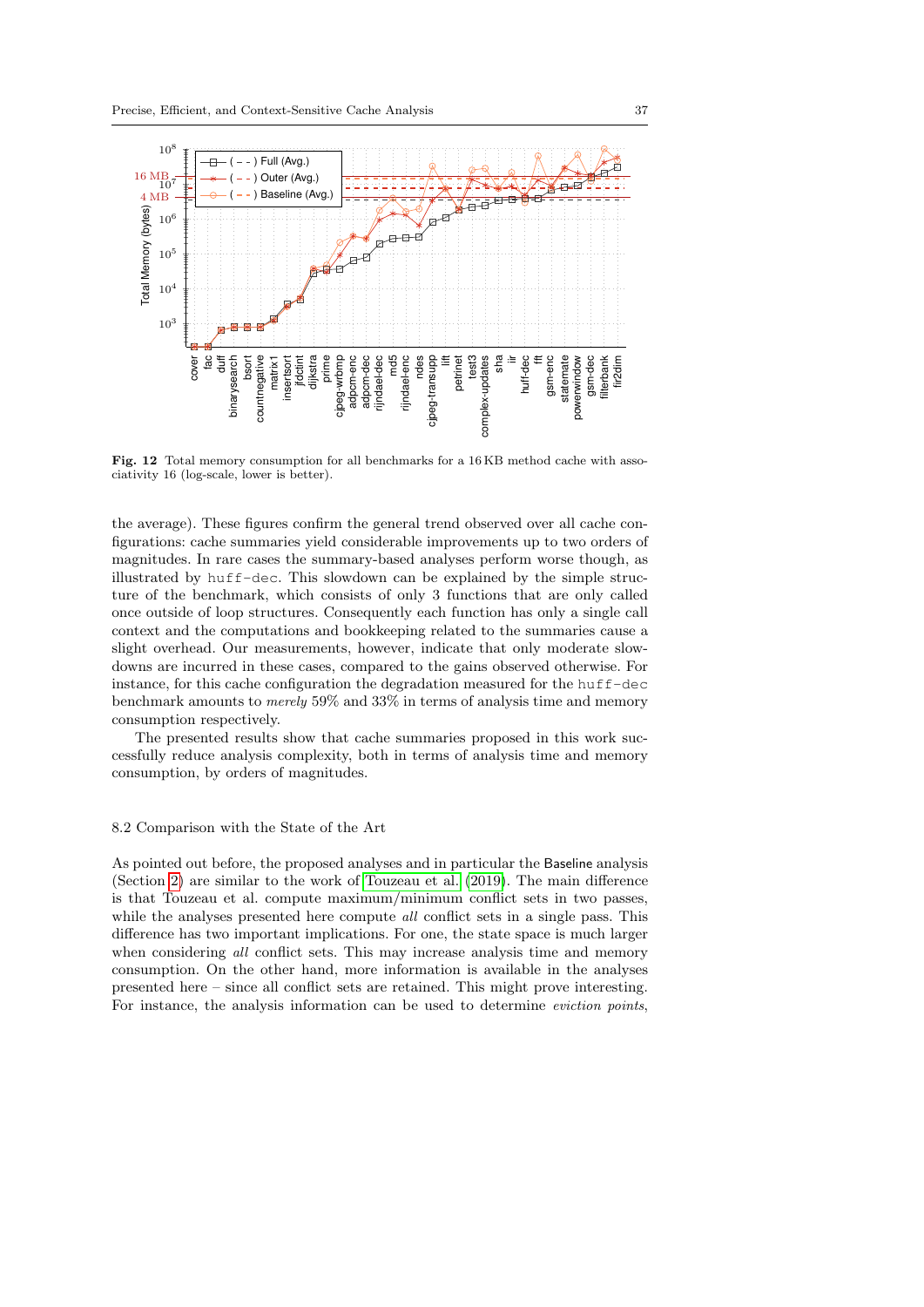

<span id="page-36-0"></span>Fig. 12 Total memory consumption for all benchmarks for a 16KB method cache with associativity 16 (log-scale, lower is better).

the average). These figures confirm the general trend observed over all cache configurations: cache summaries yield considerable improvements up to two orders of magnitudes. In rare cases the summary-based analyses perform worse though, as illustrated by huff-dec. This slowdown can be explained by the simple structure of the benchmark, which consists of only 3 functions that are only called once outside of loop structures. Consequently each function has only a single call context and the computations and bookkeeping related to the summaries cause a slight overhead. Our measurements, however, indicate that only moderate slowdowns are incurred in these cases, compared to the gains observed otherwise. For instance, for this cache configuration the degradation measured for the huff-dec benchmark amounts to merely 59% and 33% in terms of analysis time and memory consumption respectively.

The presented results show that cache summaries proposed in this work successfully reduce analysis complexity, both in terms of analysis time and memory consumption, by orders of magnitudes.

### 8.2 Comparison with the State of the Art

As pointed out before, the proposed analyses and in particular the Baseline analysis (Section [2\)](#page-3-0) are similar to the work of [Touzeau et al.](#page-45-4) [\(2019\)](#page-45-4). The main difference is that Touzeau et al. compute maximum/minimum conflict sets in two passes, while the analyses presented here compute *all* conflict sets in a single pass. This difference has two important implications. For one, the state space is much larger when considering *all* conflict sets. This may increase analysis time and memory consumption. On the other hand, more information is available in the analyses presented here – since all conflict sets are retained. This might prove interesting. For instance, the analysis information can be used to determine *eviction points*,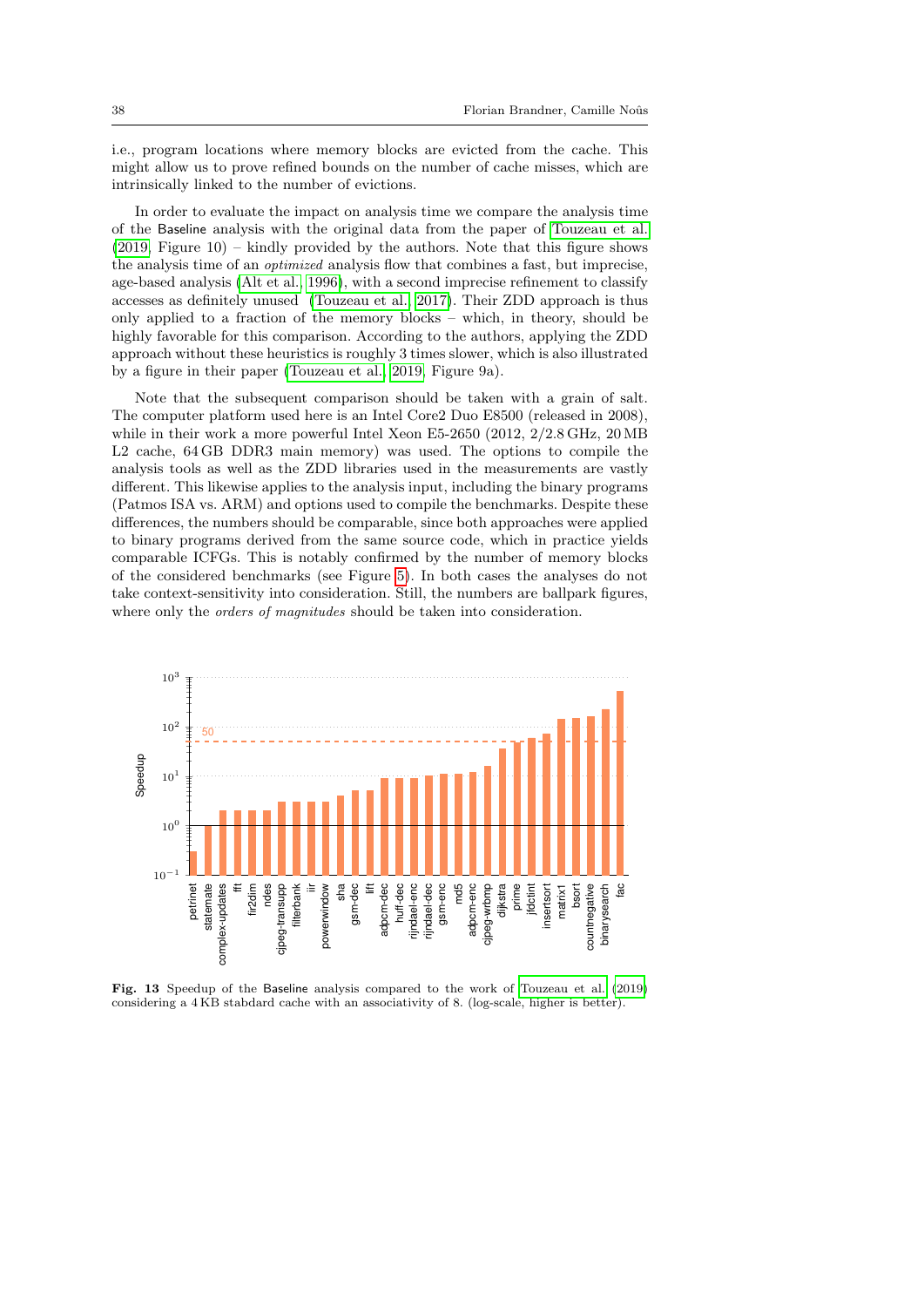i.e., program locations where memory blocks are evicted from the cache. This might allow us to prove refined bounds on the number of cache misses, which are intrinsically linked to the number of evictions.

In order to evaluate the impact on analysis time we compare the analysis time of the Baseline analysis with the original data from the paper of [Touzeau et al.](#page-45-4) [\(2019,](#page-45-4) Figure 10) – kindly provided by the authors. Note that this figure shows the analysis time of an optimized analysis flow that combines a fast, but imprecise, age-based analysis [\(Alt et al., 1996\)](#page-43-2), with a second imprecise refinement to classify accesses as definitely unused [\(Touzeau et al., 2017\)](#page-45-3). Their ZDD approach is thus only applied to a fraction of the memory blocks – which, in theory, should be highly favorable for this comparison. According to the authors, applying the ZDD approach without these heuristics is roughly 3 times slower, which is also illustrated by a figure in their paper [\(Touzeau et al., 2019,](#page-45-4) Figure 9a).

Note that the subsequent comparison should be taken with a grain of salt. The computer platform used here is an Intel Core2 Duo E8500 (released in 2008), while in their work a more powerful Intel Xeon E5-2650 (2012, 2/2.8 GHz, 20 MB L2 cache, 64 GB DDR3 main memory) was used. The options to compile the analysis tools as well as the ZDD libraries used in the measurements are vastly different. This likewise applies to the analysis input, including the binary programs (Patmos ISA vs. ARM) and options used to compile the benchmarks. Despite these differences, the numbers should be comparable, since both approaches were applied to binary programs derived from the same source code, which in practice yields comparable ICFGs. This is notably confirmed by the number of memory blocks of the considered benchmarks (see Figure [5\)](#page-30-1). In both cases the analyses do not take context-sensitivity into consideration. Still, the numbers are ballpark figures, where only the *orders of magnitudes* should be taken into consideration.



<span id="page-37-0"></span>Fig. 13 Speedup of the Baseline analysis compared to the work of [Touzeau et al.](#page-45-4) [\(2019\)](#page-45-4) considering a 4 KB stabdard cache with an associativity of 8. (log-scale, higher is better).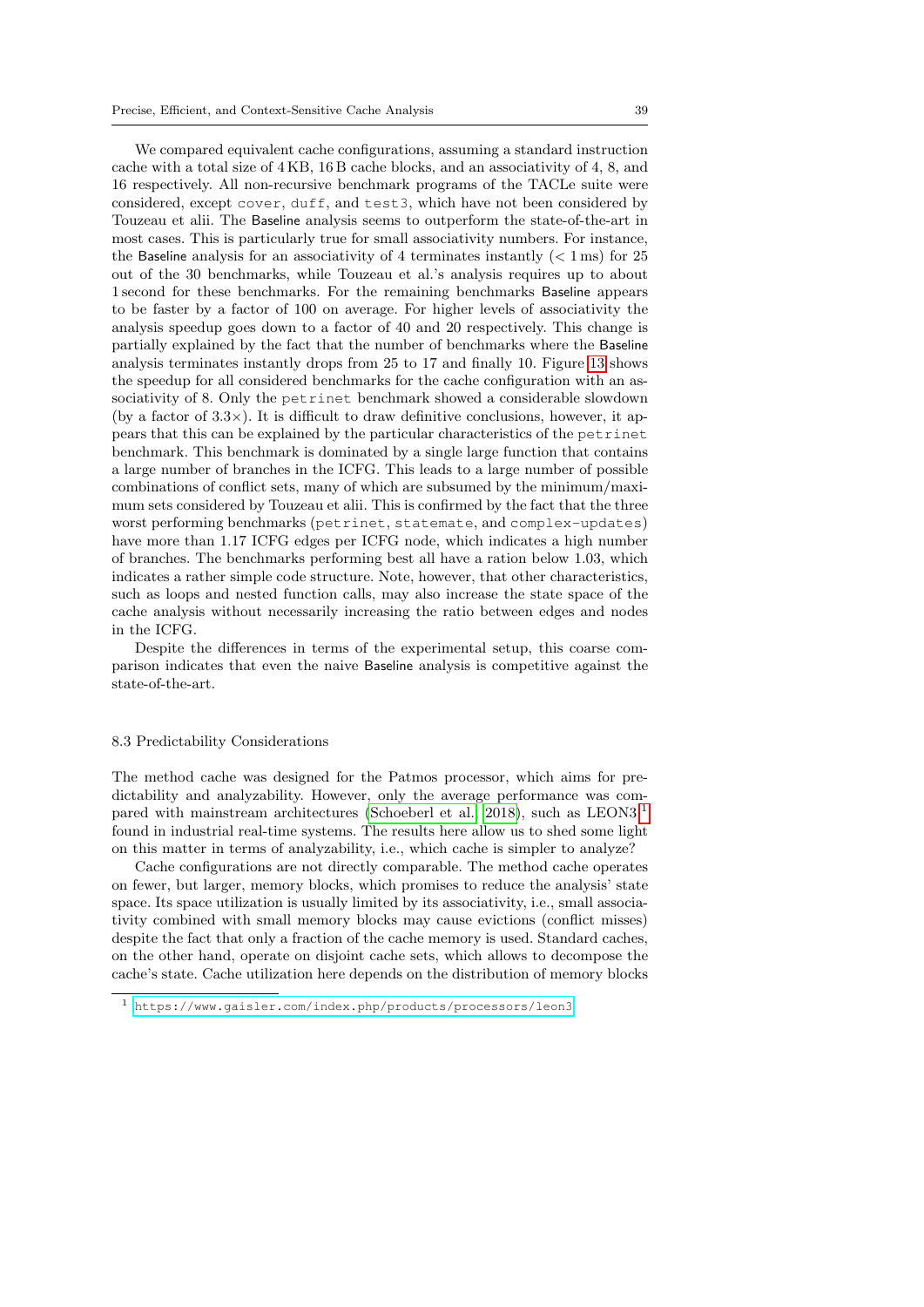We compared equivalent cache configurations, assuming a standard instruction cache with a total size of 4 KB, 16 B cache blocks, and an associativity of 4, 8, and 16 respectively. All non-recursive benchmark programs of the TACLe suite were considered, except cover, duff, and test3, which have not been considered by Touzeau et alii. The Baseline analysis seems to outperform the state-of-the-art in most cases. This is particularly true for small associativity numbers. For instance, the Baseline analysis for an associativity of 4 terminates instantly  $(< 1 \,\text{ms})$  for 25 out of the 30 benchmarks, while Touzeau et al.'s analysis requires up to about 1 second for these benchmarks. For the remaining benchmarks Baseline appears to be faster by a factor of 100 on average. For higher levels of associativity the analysis speedup goes down to a factor of 40 and 20 respectively. This change is partially explained by the fact that the number of benchmarks where the Baseline analysis terminates instantly drops from 25 to 17 and finally 10. Figure [13](#page-37-0) shows the speedup for all considered benchmarks for the cache configuration with an associativity of 8. Only the petrinet benchmark showed a considerable slowdown (by a factor of  $3.3\times$ ). It is difficult to draw definitive conclusions, however, it appears that this can be explained by the particular characteristics of the petrinet benchmark. This benchmark is dominated by a single large function that contains a large number of branches in the ICFG. This leads to a large number of possible combinations of conflict sets, many of which are subsumed by the minimum/maximum sets considered by Touzeau et alii. This is confirmed by the fact that the three worst performing benchmarks (petrinet, statemate, and complex-updates) have more than 1.17 ICFG edges per ICFG node, which indicates a high number of branches. The benchmarks performing best all have a ration below 1.03, which indicates a rather simple code structure. Note, however, that other characteristics, such as loops and nested function calls, may also increase the state space of the cache analysis without necessarily increasing the ratio between edges and nodes in the ICFG.

Despite the differences in terms of the experimental setup, this coarse comparison indicates that even the naive Baseline analysis is competitive against the state-of-the-art.

### 8.3 Predictability Considerations

The method cache was designed for the Patmos processor, which aims for predictability and analyzability. However, only the average performance was com-pared with mainstream architectures [\(Schoeberl et al., 2018\)](#page-45-9), such as  $LEON3<sup>1</sup>$  $LEON3<sup>1</sup>$  $LEON3<sup>1</sup>$ found in industrial real-time systems. The results here allow us to shed some light on this matter in terms of analyzability, i.e., which cache is simpler to analyze?

Cache configurations are not directly comparable. The method cache operates on fewer, but larger, memory blocks, which promises to reduce the analysis' state space. Its space utilization is usually limited by its associativity, i.e., small associativity combined with small memory blocks may cause evictions (conflict misses) despite the fact that only a fraction of the cache memory is used. Standard caches, on the other hand, operate on disjoint cache sets, which allows to decompose the cache's state. Cache utilization here depends on the distribution of memory blocks

<span id="page-38-0"></span><sup>1</sup> <https://www.gaisler.com/index.php/products/processors/leon3>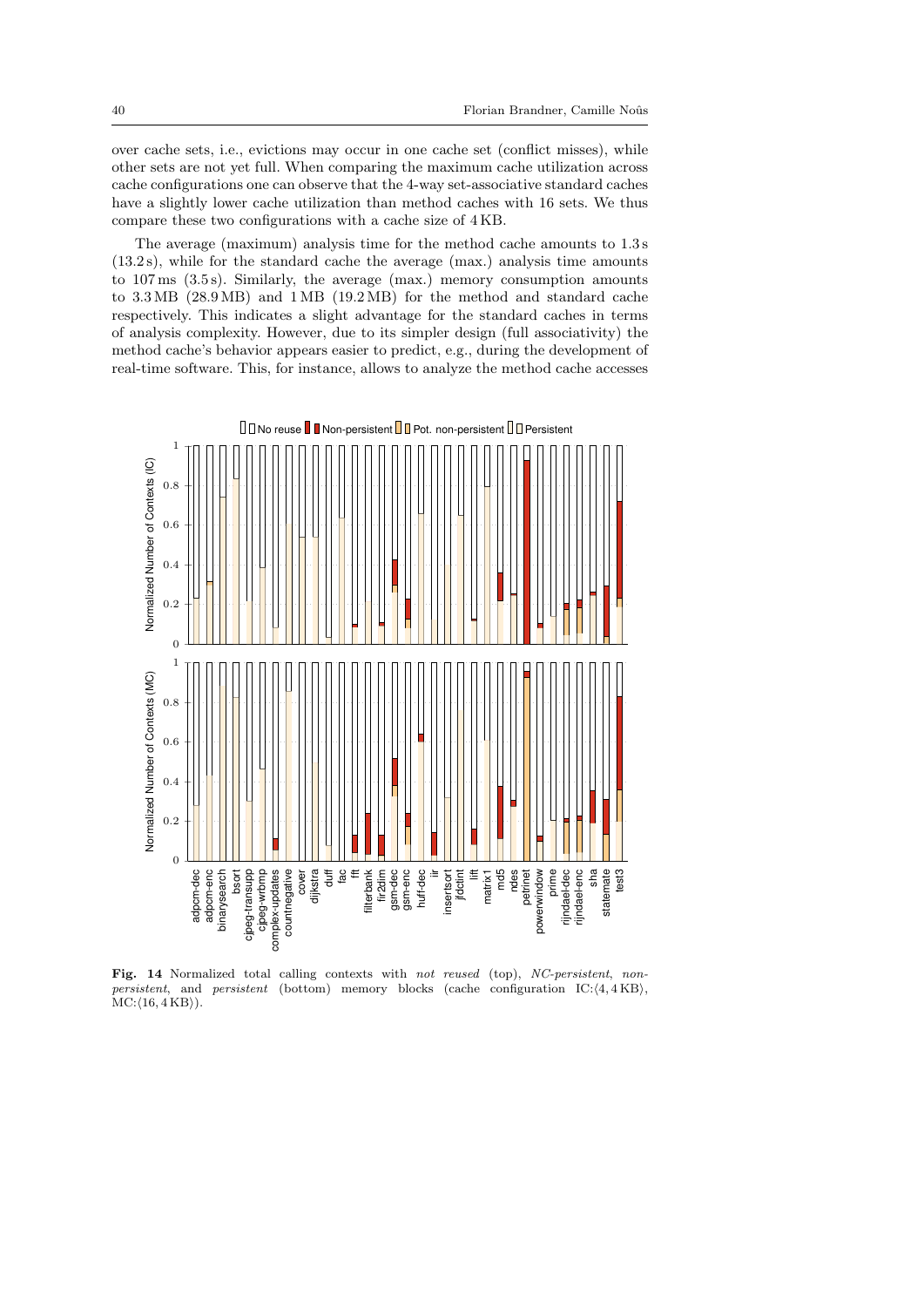over cache sets, i.e., evictions may occur in one cache set (conflict misses), while other sets are not yet full. When comparing the maximum cache utilization across cache configurations one can observe that the 4-way set-associative standard caches have a slightly lower cache utilization than method caches with 16 sets. We thus compare these two configurations with a cache size of 4 KB.

The average (maximum) analysis time for the method cache amounts to 1.3 s (13.2 s), while for the standard cache the average (max.) analysis time amounts to 107 ms (3.5 s). Similarly, the average (max.) memory consumption amounts to 3.3 MB (28.9 MB) and 1 MB (19.2 MB) for the method and standard cache respectively. This indicates a slight advantage for the standard caches in terms of analysis complexity. However, due to its simpler design (full associativity) the method cache's behavior appears easier to predict, e.g., during the development of real-time software. This, for instance, allows to analyze the method cache accesses



<span id="page-39-0"></span>Fig. 14 Normalized total calling contexts with not reused (top), NC-persistent, nonpersistent, and persistent (bottom) memory blocks (cache configuration IC: $\langle 4, 4 \text{ KB} \rangle$ ,  $MC:\langle 16, 4KB \rangle$ ).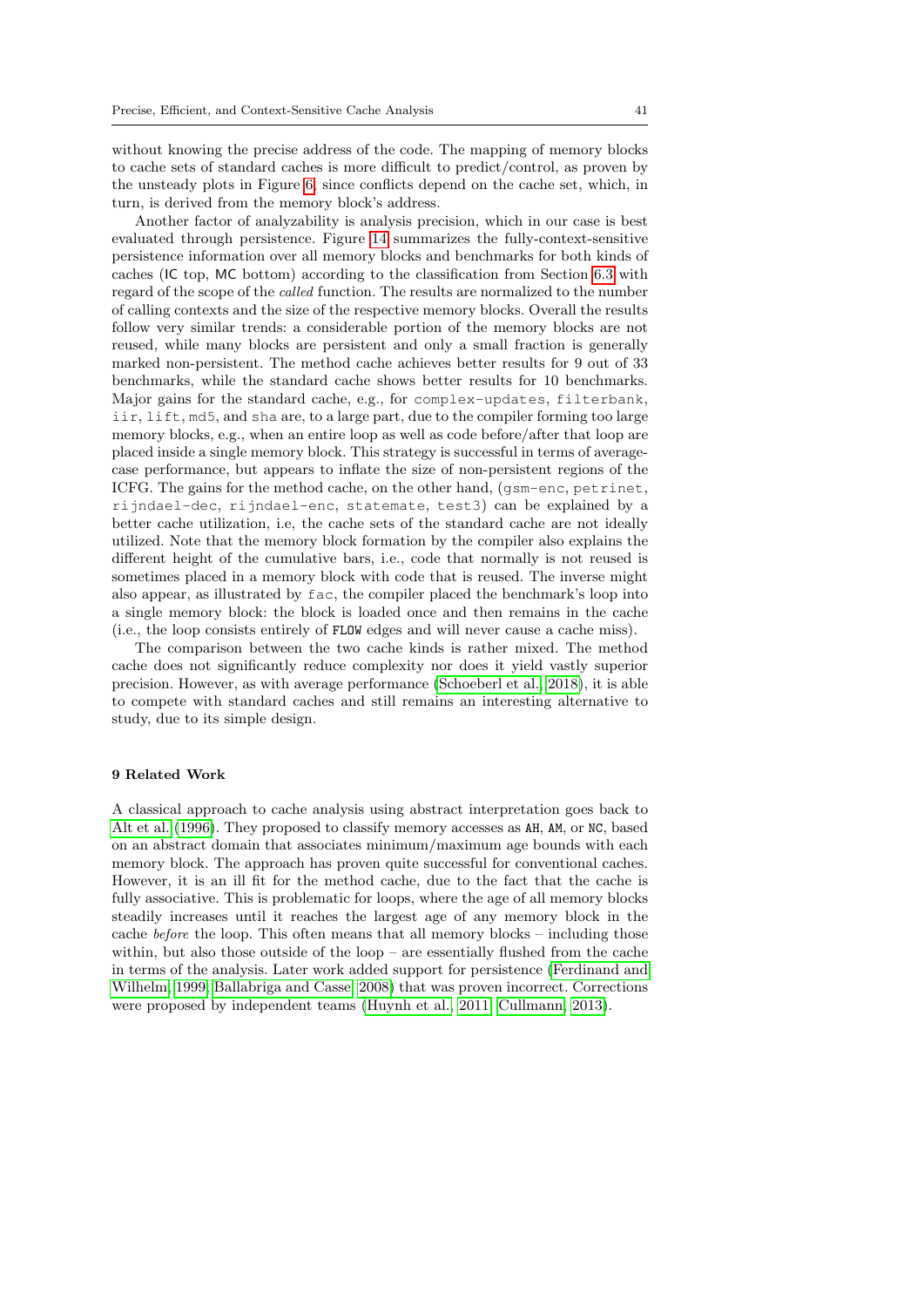without knowing the precise address of the code. The mapping of memory blocks to cache sets of standard caches is more difficult to predict/control, as proven by the unsteady plots in Figure [6,](#page-32-0) since conflicts depend on the cache set, which, in turn, is derived from the memory block's address.

Another factor of analyzability is analysis precision, which in our case is best evaluated through persistence. Figure [14](#page-39-0) summarizes the fully-context-sensitive persistence information over all memory blocks and benchmarks for both kinds of caches (IC top, MC bottom) according to the classification from Section [6.3](#page-16-6) with regard of the scope of the called function. The results are normalized to the number of calling contexts and the size of the respective memory blocks. Overall the results follow very similar trends: a considerable portion of the memory blocks are not reused, while many blocks are persistent and only a small fraction is generally marked non-persistent. The method cache achieves better results for 9 out of 33 benchmarks, while the standard cache shows better results for 10 benchmarks. Major gains for the standard cache, e.g., for complex-updates, filterbank, iir, lift, md5, and sha are, to a large part, due to the compiler forming too large memory blocks, e.g., when an entire loop as well as code before/after that loop are placed inside a single memory block. This strategy is successful in terms of averagecase performance, but appears to inflate the size of non-persistent regions of the ICFG. The gains for the method cache, on the other hand, (gsm-enc, petrinet, rijndael-dec, rijndael-enc, statemate, test3) can be explained by a better cache utilization, i.e, the cache sets of the standard cache are not ideally utilized. Note that the memory block formation by the compiler also explains the different height of the cumulative bars, i.e., code that normally is not reused is sometimes placed in a memory block with code that is reused. The inverse might also appear, as illustrated by fac, the compiler placed the benchmark's loop into a single memory block: the block is loaded once and then remains in the cache (i.e., the loop consists entirely of FLOW edges and will never cause a cache miss).

The comparison between the two cache kinds is rather mixed. The method cache does not significantly reduce complexity nor does it yield vastly superior precision. However, as with average performance [\(Schoeberl et al., 2018\)](#page-45-9), it is able to compete with standard caches and still remains an interesting alternative to study, due to its simple design.

#### <span id="page-40-0"></span>9 Related Work

A classical approach to cache analysis using abstract interpretation goes back to [Alt et al.](#page-43-2) [\(1996\)](#page-43-2). They proposed to classify memory accesses as AH, AM, or NC, based on an abstract domain that associates minimum/maximum age bounds with each memory block. The approach has proven quite successful for conventional caches. However, it is an ill fit for the method cache, due to the fact that the cache is fully associative. This is problematic for loops, where the age of all memory blocks steadily increases until it reaches the largest age of any memory block in the cache before the loop. This often means that all memory blocks – including those within, but also those outside of the loop – are essentially flushed from the cache in terms of the analysis. Later work added support for persistence [\(Ferdinand and](#page-44-2) [Wilhelm, 1999;](#page-44-2) [Ballabriga and Casse, 2008\)](#page-43-8) that was proven incorrect. Corrections were proposed by independent teams [\(Huynh et al., 2011;](#page-44-14) [Cullmann, 2013\)](#page-43-3).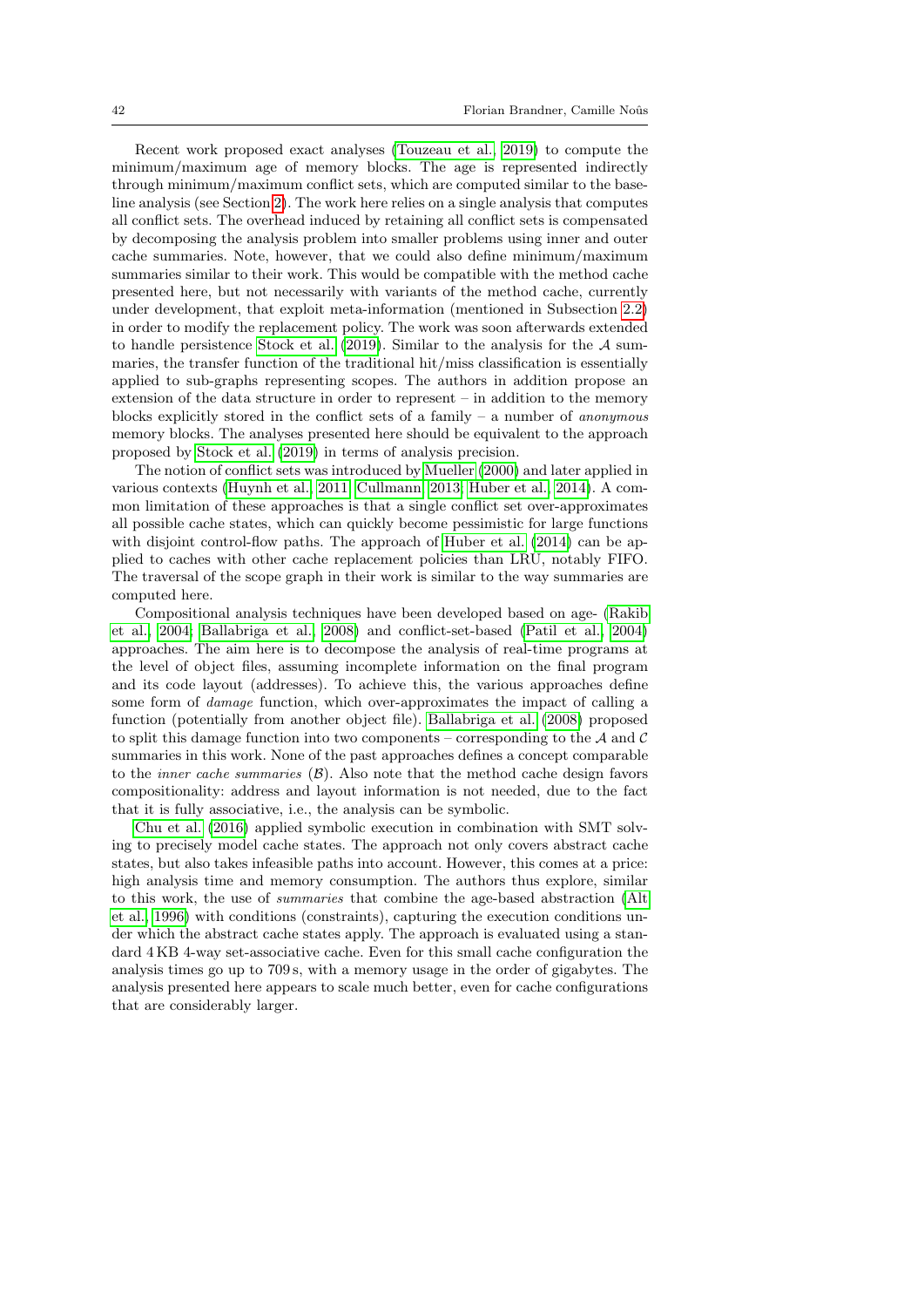Recent work proposed exact analyses [\(Touzeau et al., 2019\)](#page-45-4) to compute the minimum/maximum age of memory blocks. The age is represented indirectly through minimum/maximum conflict sets, which are computed similar to the baseline analysis (see Section [2\)](#page-3-0). The work here relies on a single analysis that computes all conflict sets. The overhead induced by retaining all conflict sets is compensated by decomposing the analysis problem into smaller problems using inner and outer cache summaries. Note, however, that we could also define minimum/maximum summaries similar to their work. This would be compatible with the method cache presented here, but not necessarily with variants of the method cache, currently under development, that exploit meta-information (mentioned in Subsection [2.2\)](#page-4-2) in order to modify the replacement policy. The work was soon afterwards extended to handle persistence [Stock et al.](#page-45-8)  $(2019)$ . Similar to the analysis for the A summaries, the transfer function of the traditional hit/miss classification is essentially applied to sub-graphs representing scopes. The authors in addition propose an extension of the data structure in order to represent – in addition to the memory blocks explicitly stored in the conflict sets of a family  $-$  a number of *anonymous* memory blocks. The analyses presented here should be equivalent to the approach proposed by [Stock et al.](#page-45-8) [\(2019\)](#page-45-8) in terms of analysis precision.

The notion of conflict sets was introduced by [Mueller](#page-44-3) [\(2000\)](#page-44-3) and later applied in various contexts [\(Huynh et al., 2011;](#page-44-14) [Cullmann, 2013;](#page-43-3) [Huber et al., 2014\)](#page-44-4). A common limitation of these approaches is that a single conflict set over-approximates all possible cache states, which can quickly become pessimistic for large functions with disjoint control-flow paths. The approach of [Huber et al.](#page-44-4)  $(2014)$  can be applied to caches with other cache replacement policies than LRU, notably FIFO. The traversal of the scope graph in their work is similar to the way summaries are computed here.

Compositional analysis techniques have been developed based on age- [\(Rakib](#page-45-10) [et al., 2004;](#page-45-10) [Ballabriga et al., 2008\)](#page-43-9) and conflict-set-based [\(Patil et al., 2004\)](#page-44-15) approaches. The aim here is to decompose the analysis of real-time programs at the level of object files, assuming incomplete information on the final program and its code layout (addresses). To achieve this, the various approaches define some form of damage function, which over-approximates the impact of calling a function (potentially from another object file). [Ballabriga et al.](#page-43-9) [\(2008\)](#page-43-9) proposed to split this damage function into two components – corresponding to the  $A$  and  $C$ summaries in this work. None of the past approaches defines a concept comparable to the *inner cache summaries*  $(\beta)$ . Also note that the method cache design favors compositionality: address and layout information is not needed, due to the fact that it is fully associative, i.e., the analysis can be symbolic.

[Chu et al.](#page-43-10) [\(2016\)](#page-43-10) applied symbolic execution in combination with SMT solving to precisely model cache states. The approach not only covers abstract cache states, but also takes infeasible paths into account. However, this comes at a price: high analysis time and memory consumption. The authors thus explore, similar to this work, the use of summaries that combine the age-based abstraction [\(Alt](#page-43-2) [et al., 1996\)](#page-43-2) with conditions (constraints), capturing the execution conditions under which the abstract cache states apply. The approach is evaluated using a standard 4 KB 4-way set-associative cache. Even for this small cache configuration the analysis times go up to 709 s, with a memory usage in the order of gigabytes. The analysis presented here appears to scale much better, even for cache configurations that are considerably larger.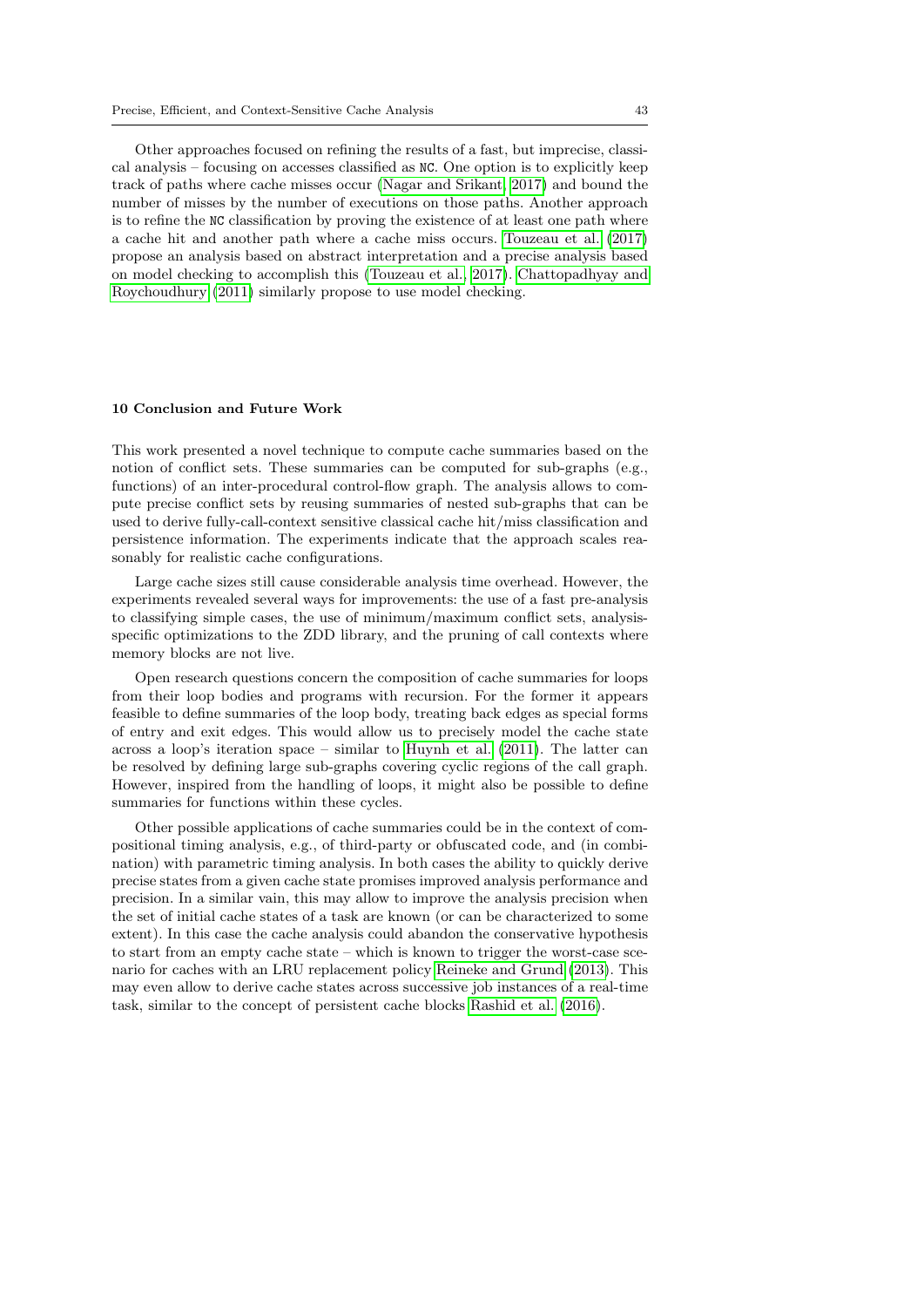Other approaches focused on refining the results of a fast, but imprecise, classical analysis – focusing on accesses classified as NC. One option is to explicitly keep track of paths where cache misses occur [\(Nagar and Srikant, 2017\)](#page-44-16) and bound the number of misses by the number of executions on those paths. Another approach is to refine the NC classification by proving the existence of at least one path where a cache hit and another path where a cache miss occurs. [Touzeau et al.](#page-45-3) [\(2017\)](#page-45-3) propose an analysis based on abstract interpretation and a precise analysis based on model checking to accomplish this [\(Touzeau et al., 2017\)](#page-45-3). [Chattopadhyay and](#page-43-11) [Roychoudhury](#page-43-11) [\(2011\)](#page-43-11) similarly propose to use model checking.

#### <span id="page-42-0"></span>10 Conclusion and Future Work

This work presented a novel technique to compute cache summaries based on the notion of conflict sets. These summaries can be computed for sub-graphs (e.g., functions) of an inter-procedural control-flow graph. The analysis allows to compute precise conflict sets by reusing summaries of nested sub-graphs that can be used to derive fully-call-context sensitive classical cache hit/miss classification and persistence information. The experiments indicate that the approach scales reasonably for realistic cache configurations.

Large cache sizes still cause considerable analysis time overhead. However, the experiments revealed several ways for improvements: the use of a fast pre-analysis to classifying simple cases, the use of minimum/maximum conflict sets, analysisspecific optimizations to the ZDD library, and the pruning of call contexts where memory blocks are not live.

Open research questions concern the composition of cache summaries for loops from their loop bodies and programs with recursion. For the former it appears feasible to define summaries of the loop body, treating back edges as special forms of entry and exit edges. This would allow us to precisely model the cache state across a loop's iteration space – similar to [Huynh et al.](#page-44-14) [\(2011\)](#page-44-14). The latter can be resolved by defining large sub-graphs covering cyclic regions of the call graph. However, inspired from the handling of loops, it might also be possible to define summaries for functions within these cycles.

Other possible applications of cache summaries could be in the context of compositional timing analysis, e.g., of third-party or obfuscated code, and (in combination) with parametric timing analysis. In both cases the ability to quickly derive precise states from a given cache state promises improved analysis performance and precision. In a similar vain, this may allow to improve the analysis precision when the set of initial cache states of a task are known (or can be characterized to some extent). In this case the cache analysis could abandon the conservative hypothesis to start from an empty cache state – which is known to trigger the worst-case scenario for caches with an LRU replacement policy [Reineke and Grund](#page-45-11) [\(2013\)](#page-45-11). This may even allow to derive cache states across successive job instances of a real-time task, similar to the concept of persistent cache blocks [Rashid et al.](#page-45-12) [\(2016\)](#page-45-12).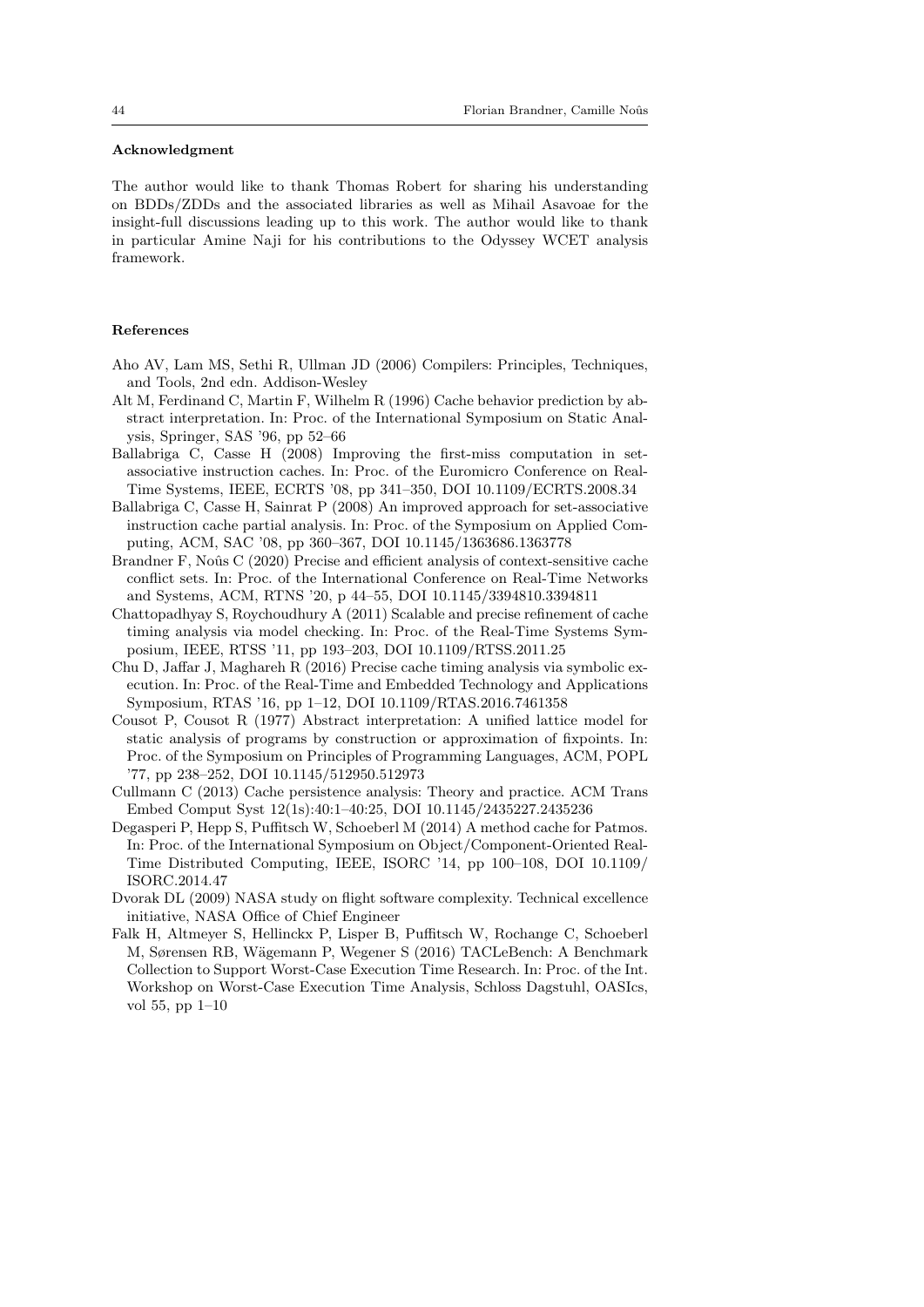### Acknowledgment

The author would like to thank Thomas Robert for sharing his understanding on BDDs/ZDDs and the associated libraries as well as Mihail Asavoae for the insight-full discussions leading up to this work. The author would like to thank in particular Amine Naji for his contributions to the Odyssey WCET analysis framework.

### References

- <span id="page-43-7"></span>Aho AV, Lam MS, Sethi R, Ullman JD (2006) Compilers: Principles, Techniques, and Tools, 2nd edn. Addison-Wesley
- <span id="page-43-2"></span>Alt M, Ferdinand C, Martin F, Wilhelm R (1996) Cache behavior prediction by abstract interpretation. In: Proc. of the International Symposium on Static Analysis, Springer, SAS '96, pp 52–66
- <span id="page-43-8"></span>Ballabriga C, Casse H (2008) Improving the first-miss computation in setassociative instruction caches. In: Proc. of the Euromicro Conference on Real-Time Systems, IEEE, ECRTS '08, pp 341–350, DOI 10.1109/ECRTS.2008.34
- <span id="page-43-9"></span>Ballabriga C, Casse H, Sainrat P (2008) An improved approach for set-associative instruction cache partial analysis. In: Proc. of the Symposium on Applied Computing, ACM, SAC '08, pp 360–367, DOI 10.1145/1363686.1363778
- <span id="page-43-0"></span>Brandner F, Noûs C (2020) Precise and efficient analysis of context-sensitive cache conflict sets. In: Proc. of the International Conference on Real-Time Networks and Systems, ACM, RTNS '20, p 44–55, DOI 10.1145/3394810.3394811
- <span id="page-43-11"></span>Chattopadhyay S, Roychoudhury A (2011) Scalable and precise refinement of cache timing analysis via model checking. In: Proc. of the Real-Time Systems Symposium, IEEE, RTSS '11, pp 193–203, DOI 10.1109/RTSS.2011.25
- <span id="page-43-10"></span>Chu D, Jaffar J, Maghareh R (2016) Precise cache timing analysis via symbolic execution. In: Proc. of the Real-Time and Embedded Technology and Applications Symposium, RTAS '16, pp 1–12, DOI 10.1109/RTAS.2016.7461358
- <span id="page-43-6"></span>Cousot P, Cousot R (1977) Abstract interpretation: A unified lattice model for static analysis of programs by construction or approximation of fixpoints. In: Proc. of the Symposium on Principles of Programming Languages, ACM, POPL '77, pp 238–252, DOI 10.1145/512950.512973
- <span id="page-43-3"></span>Cullmann C (2013) Cache persistence analysis: Theory and practice. ACM Trans Embed Comput Syst 12(1s):40:1–40:25, DOI 10.1145/2435227.2435236
- <span id="page-43-5"></span>Degasperi P, Hepp S, Puffitsch W, Schoeberl M (2014) A method cache for Patmos. In: Proc. of the International Symposium on Object/Component-Oriented Real-Time Distributed Computing, IEEE, ISORC '14, pp 100–108, DOI 10.1109/ ISORC.2014.47
- <span id="page-43-1"></span>Dvorak DL (2009) NASA study on flight software complexity. Technical excellence initiative, NASA Office of Chief Engineer
- <span id="page-43-4"></span>Falk H, Altmeyer S, Hellinckx P, Lisper B, Puffitsch W, Rochange C, Schoeberl M, Sørensen RB, Wägemann P, Wegener S (2016) TACLeBench: A Benchmark Collection to Support Worst-Case Execution Time Research. In: Proc. of the Int. Workshop on Worst-Case Execution Time Analysis, Schloss Dagstuhl, OASIcs, vol 55, pp 1–10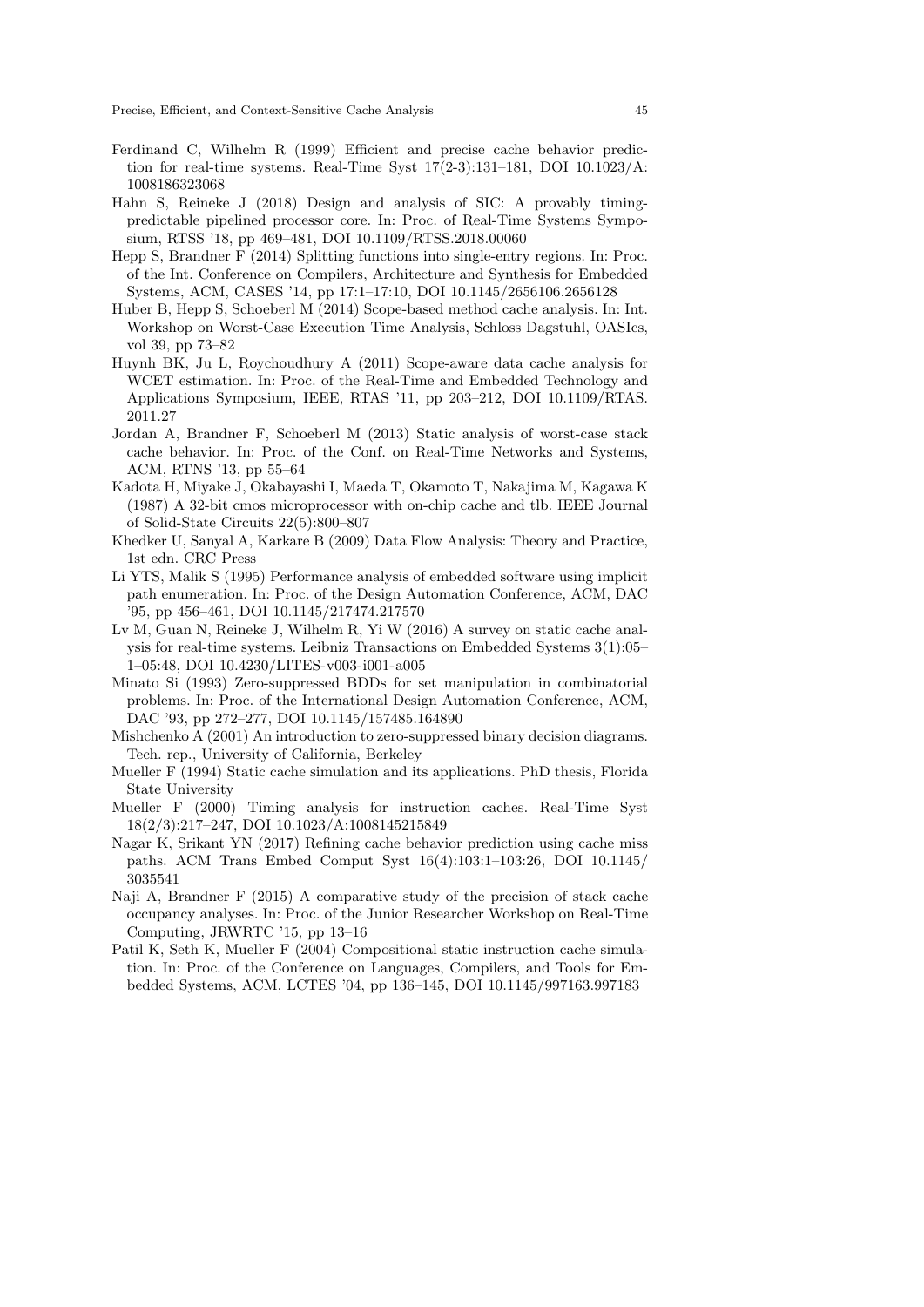- <span id="page-44-2"></span>Ferdinand C, Wilhelm R (1999) Efficient and precise cache behavior prediction for real-time systems. Real-Time Syst 17(2-3):131–181, DOI 10.1023/A: 1008186323068
- <span id="page-44-9"></span>Hahn S, Reineke J (2018) Design and analysis of SIC: A provably timingpredictable pipelined processor core. In: Proc. of Real-Time Systems Symposium, RTSS '18, pp 469–481, DOI 10.1109/RTSS.2018.00060
- <span id="page-44-8"></span>Hepp S, Brandner F (2014) Splitting functions into single-entry regions. In: Proc. of the Int. Conference on Compilers, Architecture and Synthesis for Embedded Systems, ACM, CASES '14, pp 17:1–17:10, DOI 10.1145/2656106.2656128
- <span id="page-44-4"></span>Huber B, Hepp S, Schoeberl M (2014) Scope-based method cache analysis. In: Int. Workshop on Worst-Case Execution Time Analysis, Schloss Dagstuhl, OASIcs, vol 39, pp 73–82
- <span id="page-44-14"></span>Huynh BK, Ju L, Roychoudhury A (2011) Scope-aware data cache analysis for WCET estimation. In: Proc. of the Real-Time and Embedded Technology and Applications Symposium, IEEE, RTAS '11, pp 203–212, DOI 10.1109/RTAS. 2011.27
- <span id="page-44-10"></span>Jordan A, Brandner F, Schoeberl M (2013) Static analysis of worst-case stack cache behavior. In: Proc. of the Conf. on Real-Time Networks and Systems, ACM, RTNS '13, pp 55–64
- <span id="page-44-7"></span>Kadota H, Miyake J, Okabayashi I, Maeda T, Okamoto T, Nakajima M, Kagawa K (1987) A 32-bit cmos microprocessor with on-chip cache and tlb. IEEE Journal of Solid-State Circuits 22(5):800–807
- <span id="page-44-12"></span>Khedker U, Sanyal A, Karkare B (2009) Data Flow Analysis: Theory and Practice, 1st edn. CRC Press
- <span id="page-44-0"></span>Li YTS, Malik S (1995) Performance analysis of embedded software using implicit path enumeration. In: Proc. of the Design Automation Conference, ACM, DAC '95, pp 456–461, DOI 10.1145/217474.217570
- <span id="page-44-6"></span>Lv M, Guan N, Reineke J, Wilhelm R, Yi W (2016) A survey on static cache analysis for real-time systems. Leibniz Transactions on Embedded Systems 3(1):05– 1–05:48, DOI 10.4230/LITES-v003-i001-a005
- <span id="page-44-5"></span>Minato Si (1993) Zero-suppressed BDDs for set manipulation in combinatorial problems. In: Proc. of the International Design Automation Conference, ACM, DAC '93, pp 272–277, DOI 10.1145/157485.164890
- <span id="page-44-13"></span>Mishchenko A (2001) An introduction to zero-suppressed binary decision diagrams. Tech. rep., University of California, Berkeley
- <span id="page-44-1"></span>Mueller F (1994) Static cache simulation and its applications. PhD thesis, Florida State University
- <span id="page-44-3"></span>Mueller F (2000) Timing analysis for instruction caches. Real-Time Syst 18(2/3):217–247, DOI 10.1023/A:1008145215849
- <span id="page-44-16"></span>Nagar K, Srikant YN (2017) Refining cache behavior prediction using cache miss paths. ACM Trans Embed Comput Syst 16(4):103:1–103:26, DOI 10.1145/ 3035541
- <span id="page-44-11"></span>Naji A, Brandner F (2015) A comparative study of the precision of stack cache occupancy analyses. In: Proc. of the Junior Researcher Workshop on Real-Time Computing, JRWRTC '15, pp 13–16
- <span id="page-44-15"></span>Patil K, Seth K, Mueller F (2004) Compositional static instruction cache simulation. In: Proc. of the Conference on Languages, Compilers, and Tools for Embedded Systems, ACM, LCTES '04, pp 136–145, DOI 10.1145/997163.997183